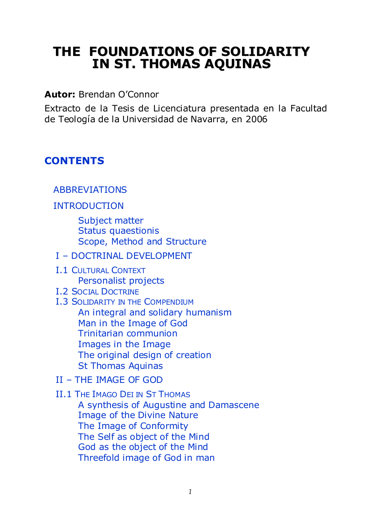# **THE FOUNDATIONS OF SOLIDARITY IN ST. THOMAS AQUINAS**

**Autor:** Brendan O'Connor

Extracto de la Tesis de Licenciatura presentada en la Facultad de Teología de la Universidad de Navarra, en 2006

# <span id="page-0-0"></span>**CONTENTS**

# [ABBREVIATIONS](#page-2-0)

# [INTRODUCTION](#page-3-0)

[Subject matter](#page-3-1) [Status quaestionis](#page-4-0) [Scope, Method and Structure](#page-6-0)

# I – [DOCTRINAL DEVELOPMENT](#page-8-0)

I.1 C[ULTURAL](#page-8-1) CONTEXT [Personalist projects](#page-11-0)

# I.2 SOCIAL D[OCTRINE](#page-12-0)

I.3 S[OLIDARITY IN THE](#page-14-0) COMPENDIUM [An integral and solidary humanism](#page-15-0) [Man in the Image of God](#page-17-0) [Trinitarian communion](#page-18-0) [Images in the Image](#page-19-0) [The original design of creation](#page-21-0) [St Thomas Aquinas](#page-21-1)

# II – [THE IMAGE OF GOD](#page-23-0)

# II.1 THE IMAGO DEI IN ST T[HOMAS](#page-23-1)

[A synthesis of Augustine and Damascene](#page-24-0) [Image of the Divine Nature](#page-25-0) [The Image of Conformity](#page-27-0) [The Self as object of the Mind](#page-28-0) [God as the object of the Mind](#page-29-0) [Threefold image of God in man](#page-30-0)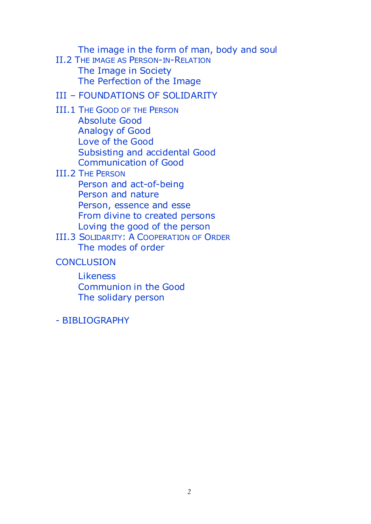[The image in the form of man, body and soul](#page-31-0)

II.2 T[HE IMAGE AS](#page-32-0) PERSON-IN-RELATION [The Image in Society](#page-34-0) [The Perfection of the Image](#page-36-0)

# III – [FOUNDATIONS OF SOLIDARITY](#page-38-0)

- III.1 THE G[OOD OF THE](#page-39-0) PERSON [Absolute Good](#page-39-1) [Analogy of Good](#page-40-0) [Love of the Good](#page-41-0) [Subsisting and accidental Good](#page-42-0) [Communication of Good](#page-44-0)
- III.2 THE P[ERSON](#page-45-0)

[Person and act-of-being](#page-46-0) [Person and nature](#page-47-0) [Person, essence and esse](#page-49-0) [From divine to created persons](#page-51-0) [Loving the good of the person](#page-55-0)

- III.3 SOLIDARITY: A C[OOPERATION OF](#page-57-0) ORDER [The modes of order](#page-58-0)
- **[CONCLUSION](#page-62-0)**

[Likeness](#page-63-0) [Communion in the Good](#page-44-0) [The solidary person](#page-64-0)

- [BIBLIOGRAPHY](#page-66-0)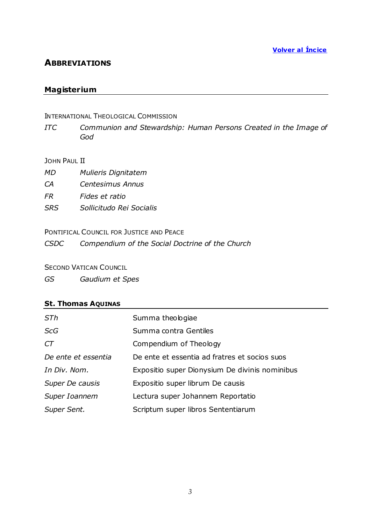# <span id="page-2-0"></span>**ABBREVIATIONS**

# **Magisterium**

#### INTERNATIONAL THEOLOGICAL COMMISSION

*ITC Communion and Stewardship: Human Persons Created in the Image of God*

#### JOHN PAUL II

- *MD Mulieris Dignitatem*
- *CA Centesimus Annus*
- *FR Fides et ratio*
- *SRS Sollicitudo Rei Socialis*

# PONTIFICAL COUNCIL FOR JUSTICE AND PEACE

*CSDC Compendium of the Social Doctrine of the Church*

#### **SECOND VATICAN COUNCIL**

*GS Gaudium et Spes*

# **St. Thomas AQUINAS**

| STh                 | Summa theologiae                               |
|---------------------|------------------------------------------------|
| <b>ScG</b>          | Summa contra Gentiles                          |
| CT                  | Compendium of Theology                         |
| De ente et essentia | De ente et essentia ad fratres et socios suos  |
| In Div. Nom.        | Expositio super Dionysium De divinis nominibus |
| Super De causis     | Expositio super librum De causis               |
| Super Ioannem       | Lectura super Johannem Reportatio              |
| Super Sent.         | Scriptum super libros Sententiarum             |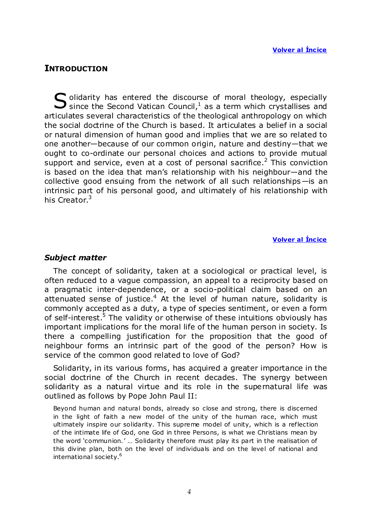# <span id="page-3-0"></span>**INTRODUCTION**

olidarity has entered the discourse of moral theology, especially  $S$  olidarity has entered the discourse of moral theology, especially since the Second Vatican Council,<sup>1</sup> as a term which crystallises and articulates several characteristics of the theological anthropology on which the social doctrine of the Church is based. It articulates a belief in a social or natural dimension of human good and implies that we are so related to one another—because of our common origin, nature and destiny—that we ought to co-ordinate our personal choices and actions to provide mutual support and service, even at a cost of personal sacrifice.<sup>2</sup> This conviction is based on the idea that man's relationship with his neighbour—and the collective good ensuing from the network of all such relationships—is an intrinsic part of his personal good, and ultimately of his relationship with his Creator.<sup>3</sup>

#### **Volver al Íncice**

#### <span id="page-3-1"></span>*Subject matter*

The concept of solidarity, taken at a sociological or practical level, is often reduced to a vague compassion, an appeal to a reciprocity based on a pragmatic inter-dependence, or a socio-political claim based on an attenuated sense of justice.<sup>4</sup> At the level of human nature, solidarity is commonly accepted as a duty, a type of species sentiment, or even a form of self-interest.<sup>5</sup> The validity or otherwise of these intuitions obviously has important implications for the moral life of the human person in society. Is there a compelling justification for the proposition that the good of neighbour forms an intrinsic part of the good of the person? How is service of the common good related to love of God?

Solidarity, in its various forms, has acquired a greater importance in the social doctrine of the Church in recent decades. The synergy between solidarity as a natural virtue and its role in the supernatural life was outlined as follows by Pope John Paul II:

Beyond human and natural bonds, already so close and strong, there is discerned in the light of faith a new model of the unity of the human race, which must ultimately inspire our solidarity. This supreme model of unity, which is a reflection of the intimate life of God, one God in three Persons, is what we Christians mean by the word ‗communion.' … Solidarity therefore must play its part in the realisation of this divine plan, both on the level of individuals and on the level of national and international society.<sup>6</sup>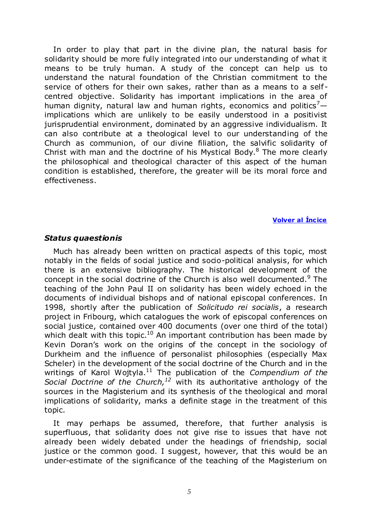In order to play that part in the divine plan, the natural basis for solidarity should be more fully integrated into our understanding of what it means to be truly human. A study of the concept can help us to understand the natural foundation of the Christian commitment to the service of others for their own sakes, rather than as a means to a self centred objective. Solidarity has important implications in the area of human dignity, natural law and human rights, economics and politics<sup>7</sup> $$ implications which are unlikely to be easily understood in a positivist jurisprudential environment, dominated by an aggressive individualism. It can also contribute at a theological level to our understanding of the Church as communion, of our divine filiation, the salvific solidarity of Christ with man and the doctrine of his Mystical Body. $8$  The more clearly the philosophical and theological character of this aspect of the human condition is established, therefore, the greater will be its moral force and effectiveness.

#### **Volver al Íncice**

#### <span id="page-4-0"></span>*Status quaestionis*

Much has already been written on practical aspects of this topic, most notably in the fields of social justice and socio-political analysis, for which there is an extensive bibliography. The historical development of the concept in the social doctrine of the Church is also well documented. $9$  The teaching of the John Paul II on solidarity has been widely echoed in the documents of individual bishops and of national episcopal conferences. In 1998, shortly after the publication of *Solicitudo rei socialis*, a research project in Fribourg, which catalogues the work of episcopal conferences on social justice, contained over 400 documents (over one third of the total) which dealt with this topic.<sup>10</sup> An important contribution has been made by Kevin Doran's work on the origins of the concept in the sociology of Durkheim and the influence of personalist philosophies (especially Max Scheler) in the development of the social doctrine of the Church and in the writings of Karol Wojtyla.<sup>11</sup> The publication of the *Compendium of the Social Doctrine of the Church,<sup>12</sup>* with its authoritative anthology of the sources in the Magisterium and its synthesis of the theological and moral implications of solidarity, marks a definite stage in the treatment of this topic.

It may perhaps be assumed, therefore, that further analysis is superfluous, that solidarity does not give rise to issues that have not already been widely debated under the headings of friendship, social justice or the common good. I suggest, however, that this would be an under-estimate of the significance of the teaching of the Magisterium on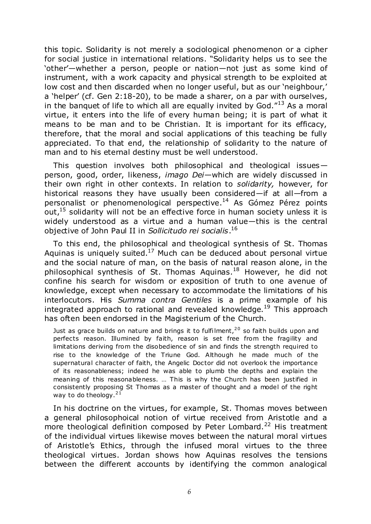this topic. Solidarity is not merely a sociological phenomenon or a cipher for social justice in international relations. "Solidarity helps us to see the 'other'—whether a person, people or nation—not just as some kind of instrument, with a work capacity and physical strength to be exploited at low cost and then discarded when no longer useful, but as our 'neighbour,' a 'helper' (cf. Gen 2:18-20), to be made a sharer, on a par with ourselves, in the banquet of life to which all are equally invited by God. $113$  As a moral virtue, it enters into the life of every human being; it is part of what it means to be man and to be Christian. It is important for its efficacy, therefore, that the moral and social applications of this teaching be fully appreciated. To that end, the relationship of solidarity to the nature of man and to his eternal destiny must be well understood.

This question involves both philosophical and theological issues $$ person, good, order, likeness, *imago Dei*—which are widely discussed in their own right in other contexts. In relation to *solidarity,* however, for historical reasons they have usually been considered—if at all—from a personalist or phenomenological perspective.<sup>14</sup> As Gómez Pérez points out, $15$  solidarity will not be an effective force in human society unless it is widely understood as a virtue and a human value—this is the central objective of John Paul II in *Sollicitudo rei socialis*. 16

To this end, the philosophical and theological synthesis of St. Thomas Aquinas is uniquely suited. $17$  Much can be deduced about personal virtue and the social nature of man, on the basis of natural reason alone, in the philosophical synthesis of St. Thomas Aquinas.<sup>18</sup> However, he did not confine his search for wisdom or exposition of truth to one avenue of knowledge, except when necessary to accommodate the limitations of his interlocutors. His *Summa contra Gentiles* is a prime example of his integrated approach to rational and revealed knowledge.<sup>19</sup> This approach has often been endorsed in the Magisterium of the Church.

Just as grace builds on nature and brings it to fulfilment,  $20$  so faith builds upon and perfects reason. Illumined by faith, reason is set free from the fragility and limitations deriving from the disobedience of sin and finds the strength required to rise to the knowledge of the Triune God. Although he made much of the supernatural character of faith, the Angelic Doctor did not overlook the importance of its reasonableness; indeed he was able to plumb the depths and explain the meaning of this reasonableness. … This is why the Church has been justified in consistently proposing St Thomas as a master of thought and a model of the right way to do theology.  $2<sup>1</sup>$ 

In his doctrine on the virtues, for example, St. Thomas moves between a general philosophoical notion of virtue received from Aristotle and a more theological definition composed by Peter Lombard.<sup>22</sup> His treatment of the individual virtues likewise moves between the natural moral virtues of Aristotle's Ethics, through the infused moral virtues to the three theological virtues. Jordan shows how Aquinas resolves the tensions between the different accounts by identifying the common analogical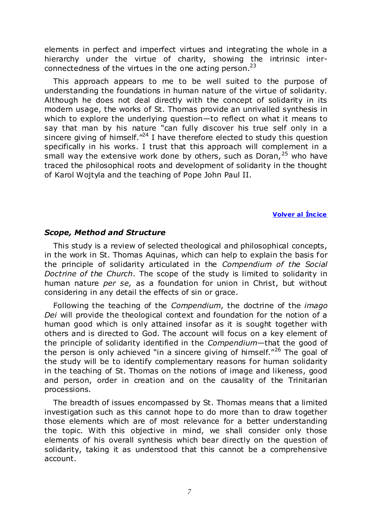elements in perfect and imperfect virtues and integrating the whole in a hierarchy under the virtue of charity, showing the intrinsic interconnectedness of the virtues in the one acting person.<sup>23</sup>

This approach appears to me to be well suited to the purpose of understanding the foundations in human nature of the virtue of solidarity. Although he does not deal directly with the concept of solidarity in its modern usage, the works of St. Thomas provide an unrivalled synthesis in which to explore the underlying question—to reflect on what it means to say that man by his nature "can fully discover his true self only in a sincere giving of himself.<sup> $n24$ </sup> I have therefore elected to study this question specifically in his works. I trust that this approach will complement in a small way the extensive work done by others, such as Doran,  $25$  who have traced the philosophical roots and development of solidarity in the thought of Karol Wojtyla and the teaching of Pope John Paul II.

**Volver al Íncice** 

#### <span id="page-6-0"></span>*Scope, Method and Structure*

This study is a review of selected theological and philosophical concepts, in the work in St. Thomas Aquinas, which can help to explain the basis for the principle of solidarity articulated in the *Compendium of the Social Doctrine of the Church*. The scope of the study is limited to solidarity in human nature *per se,* as a foundation for union in Christ, but without considering in any detail the effects of sin or grace.

Following the teaching of the *Compendium*, the doctrine of the *imago Dei* will provide the theological context and foundation for the notion of a human good which is only attained insofar as it is sought together with others and is directed to God. The account will focus on a key element of the principle of solidarity identified in the *Compendium*—that the good of the person is only achieved "in a sincere giving of himself."<sup>26</sup> The goal of the study will be to identify complementary reasons for human solidarity in the teaching of St. Thomas on the notions of image and likeness, good and person, order in creation and on the causality of the Trinitarian processions.

The breadth of issues encompassed by St. Thomas means that a limited investigation such as this cannot hope to do more than to draw together those elements which are of most relevance for a better understanding the topic. With this objective in mind, we shall consider only those elements of his overall synthesis which bear directly on the question of solidarity, taking it as understood that this cannot be a comprehensive account.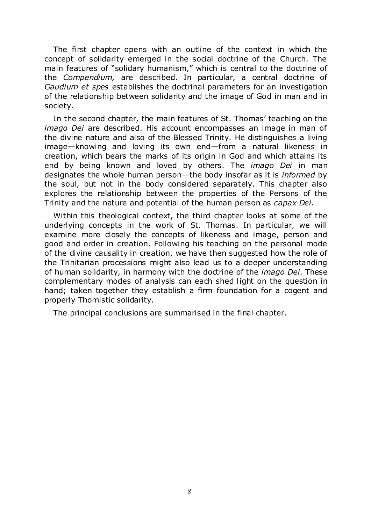The first chapter opens with an outline of the context in which the concept of solidarity emerged in the social doctrine of the Church. The main features of "solidary humanism," which is central to the doctrine of the *Compendium,* are described. In particular, a central doctrine of *Gaudium et spes* establishes the doctrinal parameters for an investigation of the relationship between solidarity and the image of God in man and in society.

In the second chapter, the main features of St. Thomas' teaching on the *imago Dei* are described. His account encompasses an image in man of the divine nature and also of the Blessed Trinity. He distinguishes a living image—knowing and loving its own end—from a natural likeness in creation, which bears the marks of its origin in God and which attains its end by being known and loved by others. The *imago Dei* in man designates the whole human person—the body insofar as it is *informed* by the soul, but not in the body considered separately. This chapter also explores the relationship between the properties of the Persons of the Trinity and the nature and potential of the human person as *capax Dei*.

Within this theological context, the third chapter looks at some of the underlying concepts in the work of St. Thomas. In particular, we will examine more closely the concepts of likeness and image, person and good and order in creation. Following his teaching on the personal mode of the divine causality in creation, we have then suggested how the role of the Trinitarian processions might also lead us to a deeper understanding of human solidarity, in harmony with the doctrine of the *imago Dei*. These complementary modes of analysis can each shed light on the question in hand; taken together they establish a firm foundation for a cogent and properly Thomistic solidarity.

The principal conclusions are summarised in the final chapter.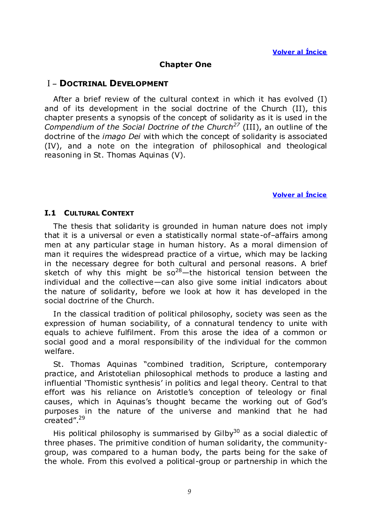# **Chapter One**

# <span id="page-8-0"></span>I – **DOCTRINAL DEVELOPMENT**

After a brief review of the cultural context in which it has evolved (I) and of its development in the social doctrine of the Church (II), this chapter presents a synopsis of the concept of solidarity as it is used in the *Compendium of the Social Doctrine of the Church<sup>27</sup>* (III), an outline of the doctrine of the *imago Dei* with which the concept of solidarity is associated (IV), and a note on the integration of philosophical and theological reasoning in St. Thomas Aquinas (V).

#### **Volver al Íncice**

#### <span id="page-8-1"></span>**I.1 CULTURAL CONTEXT**

The thesis that solidarity is grounded in human nature does not imply that it is a universal or even a statistically normal state-of–affairs among men at any particular stage in human history. As a moral dimension of man it requires the widespread practice of a virtue, which may be lacking in the necessary degree for both cultural and personal reasons. A brief sketch of why this might be  $so^{28}$ —the historical tension between the individual and the collective—can also give some initial indicators about the nature of solidarity, before we look at how it has developed in the social doctrine of the Church.

In the classical tradition of political philosophy, society was seen as the expression of human sociability, of a connatural tendency to unite with equals to achieve fulfilment. From this arose the idea of a common or social good and a moral responsibility of the individual for the common welfare.

St. Thomas Aquinas "combined tradition, Scripture, contemporary practice, and Aristotelian philosophical methods to produce a lasting and influential 'Thomistic synthesis' in politics and legal theory. Central to that effort was his reliance on Aristotle's conception of teleology or final causes, which in Aquinas's thought became the working out of God's purposes in the nature of the universe and mankind that he had created".<sup>29</sup>

His political philosophy is summarised by  $GiIby<sup>30</sup>$  as a social dialectic of three phases. The primitive condition of human solidarity, the communitygroup, was compared to a human body, the parts being for the sake of the whole. From this evolved a political-group or partnership in which the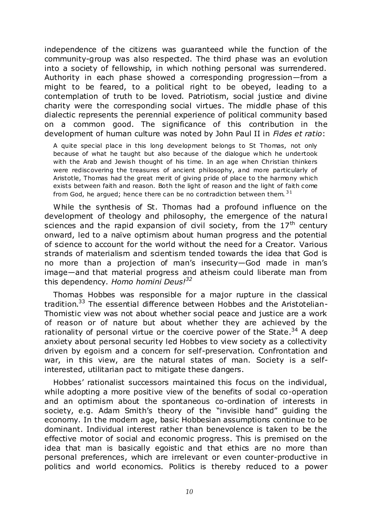independence of the citizens was guaranteed while the function of the community-group was also respected. The third phase was an evolution into a society of fellowship, in which nothing personal was surrendered. Authority in each phase showed a corresponding progression—from a might to be feared, to a political right to be obeyed, leading to a contemplation of truth to be loved. Patriotism, social justice and divine charity were the corresponding social virtues. The middle phase of this dialectic represents the perennial experience of political community based on a common good. The significance of this contribution in the development of human culture was noted by John Paul II in *Fides et ratio*:

A quite special place in this long development belongs to St Thomas, not only because of what he taught but also because of the dialogue which he undertook with the Arab and Jewish thought of his time. In an age when Christian thinkers were rediscovering the treasures of ancient philosophy, and more particularly of Aristotle, Thomas had the great merit of giving pride of place to the harmony which exists between faith and reason. Both the light of reason and the light of faith come from God, he argued; hence there can be no contradiction between them.  $31$ 

While the synthesis of St. Thomas had a profound influence on the development of theology and philosophy, the emergence of the natural sciences and the rapid expansion of civil society, from the  $17<sup>th</sup>$  century onward, led to a naïve optimism about human progress and the potential of science to account for the world without the need for a Creator. Various strands of materialism and scientism tended towards the idea that God is no more than a projection of man's insecurity—God made in man's image—and that material progress and atheism could liberate man from this dependency. *Homo homini Deus!<sup>32</sup>*

Thomas Hobbes was responsible for a major rupture in the classical tradition.<sup>33</sup> The essential difference between Hobbes and the Aristotelian-Thomistic view was not about whether social peace and justice are a work of reason or of nature but about whether they are achieved by the rationality of personal virtue or the coercive power of the State. $34$  A deep anxiety about personal security led Hobbes to view society as a collectivity driven by egoism and a concern for self-preservation. Confrontation and war, in this view, are the natural states of man. Society is a selfinterested, utilitarian pact to mitigate these dangers.

Hobbes' rationalist successors maintained this focus on the individual, while adopting a more positive view of the benefits of social co-operation and an optimism about the spontaneous co-ordination of interests in society, e.g. Adam Smith's theory of the "invisible hand" guiding the economy. In the modern age, basic Hobbesian assumptions continue to be dominant. Individual interest rather than benevolence is taken to be the effective motor of social and economic progress. This is premised on the idea that man is basically egoistic and that ethics are no more than personal preferences, which are irrelevant or even counter-productive in politics and world economics. Politics is thereby reduced to a power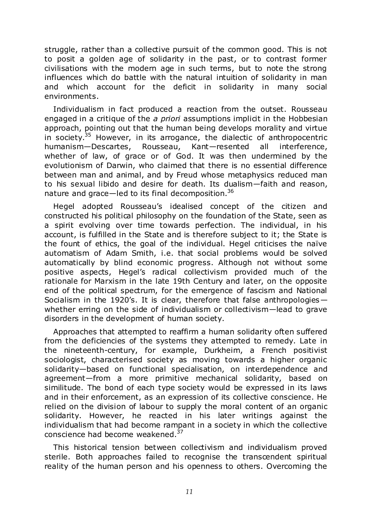struggle, rather than a collective pursuit of the common good. This is not to posit a golden age of solidarity in the past, or to contrast former civilisations with the modern age in such terms, but to note the strong influences which do battle with the natural intuition of solidarity in man and which account for the deficit in solidarity in many social environments.

Individualism in fact produced a reaction from the outset. Rousseau engaged in a critique of the *a priori* assumptions implicit in the Hobbesian approach, pointing out that the human being develops morality and virtue in society.<sup>35</sup> However, in its arrogance, the dialectic of anthropocentric humanism—Descartes, Rousseau, Kant—resented all interference, whether of law, of grace or of God. It was then undermined by the evolutionism of Darwin, who claimed that there is no essential difference between man and animal, and by Freud whose metaphysics reduced man to his sexual libido and desire for death. Its dualism—faith and reason, nature and grace—led to its final decomposition.  $36$ 

Hegel adopted Rousseau's idealised concept of the citizen and constructed his political philosophy on the foundation of the State, seen as a spirit evolving over time towards perfection. The individual, in his account, is fulfilled in the State and is therefore subject to it; the State is the fount of ethics, the goal of the individual. Hegel criticises the naïve automatism of Adam Smith, i.e. that social problems would be solved automatically by blind economic progress. Although not without some positive aspects, Hegel's radical collectivism provided much of the rationale for Marxism in the late 19th Century and later, on the opposite end of the political spectrum, for the emergence of fascism and National Socialism in the 1920's. It is clear, therefore that false anthropologies whether erring on the side of individualism or collectivism—lead to grave disorders in the development of human society.

Approaches that attempted to reaffirm a human solidarity often suffered from the deficiencies of the systems they attempted to remedy. Late in the nineteenth-century, for example, Durkheim, a French positivist sociologist, characterised society as moving towards a higher organic solidarity—based on functional specialisation, on interdependence and agreement—from a more primitive mechanical solidarity, based on similitude. The bond of each type society would be expressed in its laws and in their enforcement, as an expression of its collective conscience. He relied on the division of labour to supply the moral content of an organic solidarity. However, he reacted in his later writings against the individualism that had become rampant in a society in which the collective conscience had become weakened.<sup>37</sup>

This historical tension between collectivism and individualism proved sterile. Both approaches failed to recognise the transcendent spiritual reality of the human person and his openness to others. Overcoming the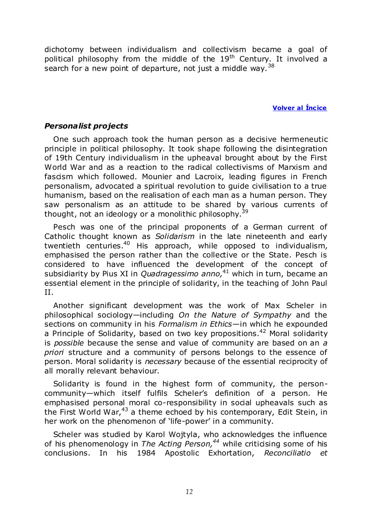dichotomy between individualism and collectivism became a goal of political philosophy from the middle of the  $19<sup>th</sup>$  Century. It involved a search for a new point of departure, not just a middle way.  $38$ 

**Volver al Íncice** 

# <span id="page-11-0"></span>*Personalist projects*

One such approach took the human person as a decisive hermeneutic principle in political philosophy. It took shape following the disintegration of 19th Century individualism in the upheaval brought about by the First World War and as a reaction to the radical collectivisms of Marxism and fascism which followed. Mounier and Lacroix, leading figures in French personalism, advocated a spiritual revolution to guide civilisation to a true humanism, based on the realisation of each man as a human person. They saw personalism as an attitude to be shared by various currents of thought, not an ideology or a monolithic philosophy. $39$ 

Pesch was one of the principal proponents of a German current of Catholic thought known as *Solidarism* in the late nineteenth and early twentieth centuries.<sup>40</sup> His approach, while opposed to individualism, emphasised the person rather than the collective or the State. Pesch is considered to have influenced the development of the concept of subsidiarity by Pius XI in *Quadragessimo anno,*<sup>41</sup> which in turn, became an essential element in the principle of solidarity, in the teaching of John Paul II.

Another significant development was the work of Max Scheler in philosophical sociology—including *On the Nature of Sympathy* and the sections on community in his *Formalism in Ethics*—in which he expounded a Principle of Solidarity, based on two key propositions.<sup>42</sup> Moral solidarity is *possible* because the sense and value of community are based on an *a priori* structure and a community of persons belongs to the essence of person. Moral solidarity is *necessary* because of the essential reciprocity of all morally relevant behaviour.

Solidarity is found in the highest form of community, the personcommunity—which itself fulfils Scheler's definition of a person. He emphasised personal moral co-responsibility in social upheavals such as the First World War,  $43$  a theme echoed by his contemporary, Edit Stein, in her work on the phenomenon of 'life-power' in a community.

Scheler was studied by Karol Wojtyla, who acknowledges the influence of his phenomenology in *The Acting Person,<sup>44</sup>* while criticising some of his conclusions. In his 1984 Apostolic Exhortation, *Reconciliatio et*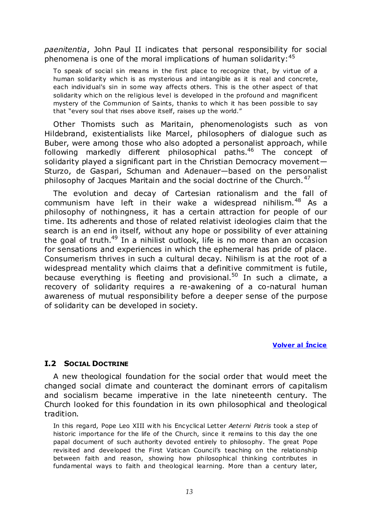*paenitentia*, John Paul II indicates that personal responsibility for social phenomena is one of the moral implications of human solidarity:  $45$ 

To speak of social sin means in the first place to recognize that, by virtue of a human solidarity which is as mysterious and intangible as it is real and concrete, each individual's sin in some way affects others. This is the other aspect of that solidarity which on the religious level is developed in the profound and magnificent mystery of the Communion of Saints, thanks to which it has been possible to say that "every soul that rises above itself, raises up the world."

Other Thomists such as Maritain, phenomenologists such as von Hildebrand, existentialists like Marcel, philosophers of dialogue such as Buber, were among those who also adopted a personalist approach, while following markedly different philosophical paths.<sup>46</sup> The concept of solidarity played a significant part in the Christian Democracy movement— Sturzo, de Gaspari, Schuman and Adenauer—based on the personalist philosophy of Jacques Maritain and the social doctrine of the Church.<sup>47</sup>

The evolution and decay of Cartesian rationalism and the fall of communism have left in their wake a widespread nihilism.<sup>48</sup> As a philosophy of nothingness, it has a certain attraction for people of our time. Its adherents and those of related relativist ideologies claim that the search is an end in itself, without any hope or possibility of ever attaining the goal of truth.<sup>49</sup> In a nihilist outlook, life is no more than an occasion for sensations and experiences in which the ephemeral has pride of place. Consumerism thrives in such a cultural decay. Nihilism is at the root of a widespread mentality which claims that a definitive commitment is futile, because everything is fleeting and provisional.<sup>50</sup> In such a climate, a recovery of solidarity requires a re-awakening of a co-natural human awareness of mutual responsibility before a deeper sense of the purpose of solidarity can be developed in society.

# **Volver al Íncice**

# <span id="page-12-0"></span>**I.2 SOCIAL DOCTRINE**

A new theological foundation for the social order that would meet the changed social climate and counteract the dominant errors of capitalism and socialism became imperative in the late nineteenth century. The Church looked for this foundation in its own philosophical and theological tradition.

In this regard, Pope Leo XIII with his Encyclical Letter *Aeterni Patris* took a step of historic importance for the life of the Church, since it remains to this day the one papal document of such authority devoted entirely to philosophy. The great Pope revisited and developed the First Vatican Council's teaching on the relationship between faith and reason, showing how philosophical thinking contributes in fundamental ways to faith and theological learning. More than a century later,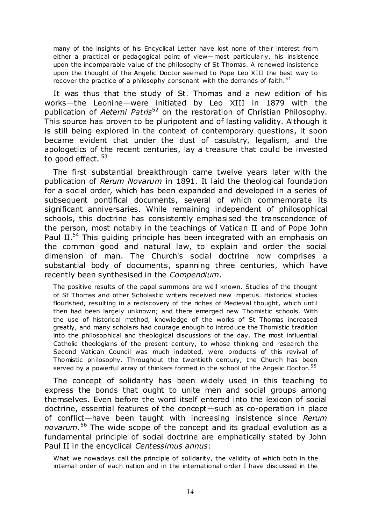many of the insights of his Encyclical Letter have lost none of their interest from either a practical or pedagogical point of view—most particularly, his insistence upon the incomparable value of the philosophy of St Thomas. A renewed insistence upon the thought of the Angelic Doctor seemed to Pope Leo XIII the best way to recover the practice of a philosophy consonant with the demands of faith.<sup>51</sup>

It was thus that the study of St. Thomas and a new edition of his works—the Leonine—were initiated by Leo XIII in 1879 with the publication of *Aeterni Patris*<sup>52</sup> on the restoration of Christian Philosophy. This source has proven to be pluripotent and of lasting validity. Although it is still being explored in the context of contemporary questions, it soon became evident that under the dust of casuistry, legalism, and the apologetics of the recent centuries, lay a treasure that could be invested to good effect.<sup>53</sup>

The first substantial breakthrough came twelve years later with the publication of *Rerum Novarum* in 1891. It laid the theological foundation for a social order, which has been expanded and developed in a series of subsequent pontifical documents, several of which commemorate its significant anniversaries. While remaining independent of philosophical schools, this doctrine has consistently emphasised the transcendence of the person, most notably in the teachings of Vatican II and of Pope John Paul II.<sup>54</sup> This guiding principle has been integrated with an emphasis on the common good and natural law, to explain and order the social dimension of man. The Church's social doctrine now comprises a substantial body of documents, spanning three centuries, which have recently been synthesised in the *Compendium*.

The positive results of the papal summons are well known. Studies of the thought of St Thomas and other Scholastic writers received new impetus. Historical studies flourished, resulting in a rediscovery of the riches of Medieval thought, which until then had been largely unknown; and there emerged new Thomistic schools. With the use of historical method, knowledge of the works of St Thomas increased greatly, and many scholars had courage enough to introduce the Thomistic tradition into the philosophical and theological discussions of the day. The most influential Catholic theologians of the present century, to whose thinking and research the Second Vatican Council was much indebted, were products of this revival of Thomistic philosophy. Throughout the twentieth century, the Church has been served by a powerful array of thinkers formed in the school of the Angelic Doctor.<sup>55</sup>

The concept of solidarity has been widely used in this teaching to express the bonds that ought to unite men and social groups among themselves. Even before the word itself entered into the lexicon of social doctrine, essential features of the concept—such as co-operation in place of conflict—have been taught with increasing insistence since *Rerum novarum*. <sup>56</sup> The wide scope of the concept and its gradual evolution as a fundamental principle of social doctrine are emphatically stated by John Paul II in the encyclical *Centessimus annus*:

What we nowadays call the principle of solidarity, the validity of which both in the internal order of each nation and in the international order I have discussed in the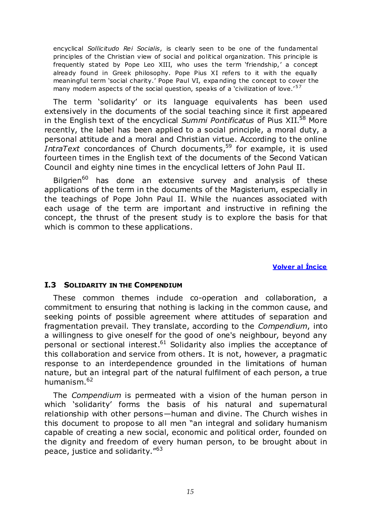encyclical *Sollicitudo Rei Socialis*, is clearly seen to be one of the fundamental principles of the Christian view of social and political organization. This principle is frequently stated by Pope Leo XIII, who uses the term 'friendship,' a concept already found in Greek philosophy. Pope Pius XI refers to it with the equally meaningful term 'social charity.' Pope Paul VI, expanding the concept to cover the many modern aspects of the social question, speaks of a 'civilization of love.' $57$ 

The term 'solidarity' or its language equivalents has been used extensively in the documents of the social teaching since it first appeared in the English text of the encyclical *Summi Pontificatus* of Pius XII.<sup>58</sup> More recently, the label has been applied to a social principle, a moral duty, a personal attitude and a moral and Christian virtue. According to the online *IntraText* concordances of Church documents,<sup>59</sup> for example, it is used fourteen times in the English text of the documents of the Second Vatican Council and eighty nine times in the encyclical letters of John Paul II.

Bilgrien<sup>60</sup> has done an extensive survey and analysis of these applications of the term in the documents of the Magisterium, especially in the teachings of Pope John Paul II. While the nuances associated with each usage of the term are important and instructive in refining the concept, the thrust of the present study is to explore the basis for that which is common to these applications.

# **Volver al Íncice**

#### <span id="page-14-0"></span>**I.3 SOLIDARITY IN THE COMPENDIUM**

These common themes include co-operation and collaboration, a commitment to ensuring that nothing is lacking in the common cause, and seeking points of possible agreement where attitudes of separation and fragmentation prevail. They translate, according to the *Compendium*, into a willingness to give oneself for the good of one's neighbour, beyond any personal or sectional interest.<sup>61</sup> Solidarity also implies the acceptance of this collaboration and service from others. It is not, however, a pragmatic response to an interdependence grounded in the limitations of human nature, but an integral part of the natural fulfilment of each person, a true humanism.<sup>62</sup>

The *Compendium* is permeated with a vision of the human person in which 'solidarity' forms the basis of his natural and supernatural relationship with other persons—human and divine. The Church wishes in this document to propose to all men "an integral and solidary humanism capable of creating a new social, economic and political order, founded on the dignity and freedom of every human person, to be brought about in peace, justice and solidarity. $^{\prime\prime63}$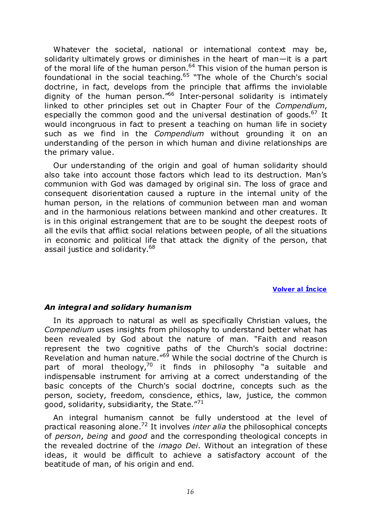Whatever the societal, national or international context may be, solidarity ultimately grows or diminishes in the heart of man—it is a part of the moral life of the human person.<sup>64</sup> This vision of the human person is foundational in the social teaching.<sup>65</sup> "The whole of the Church's social doctrine, in fact, develops from the principle that affirms the inviolable dignity of the human person.<sup> $166$ </sup> Inter-personal solidarity is intimately linked to other principles set out in Chapter Four of the *Compendium*, especially the common good and the universal destination of goods.<sup>67</sup> It would incongruous in fact to present a teaching on human life in society such as we find in the *Compendium* without grounding it on an understanding of the person in which human and divine relationships are the primary value.

Our understanding of the origin and goal of human solidarity should also take into account those factors which lead to its destruction. Man's communion with God was damaged by original sin. The loss of grace and consequent disorientation caused a rupture in the internal unity of the human person, in the relations of communion between man and woman and in the harmonious relations between mankind and other creatures. It is in this original estrangement that are to be sought the deepest roots of all the evils that afflict social relations between people, of all the situations in economic and political life that attack the dignity of the person, that assail justice and solidarity.<sup>68</sup>

# **Volver al Íncice**

# <span id="page-15-0"></span>*An integral and solidary humanism*

In its approach to natural as well as specifically Christian values, the *Compendium* uses insights from philosophy to understand better what has been revealed by God about the nature of man. "Faith and reason represent the two cognitive paths of the Church's social doctrine: Revelation and human nature.<sup>"69</sup> While the social doctrine of the Church is part of moral theology,<sup>70</sup> it finds in philosophy "a suitable and indispensable instrument for arriving at a correct understanding of the basic concepts of the Church's social doctrine, concepts such as the person, society, freedom, conscience, ethics, law, justice, the common good, solidarity, subsidiarity, the State. $'''^1$ 

An integral humanism cannot be fully understood at the level of practical reasoning alone.<sup>72</sup> It involves *inter alia* the philosophical concepts of *person*, *being* and *good* and the corresponding theological concepts in the revealed doctrine of the *imago Dei.* Without an integration of these ideas, it would be difficult to achieve a satisfactory account of the beatitude of man, of his origin and end.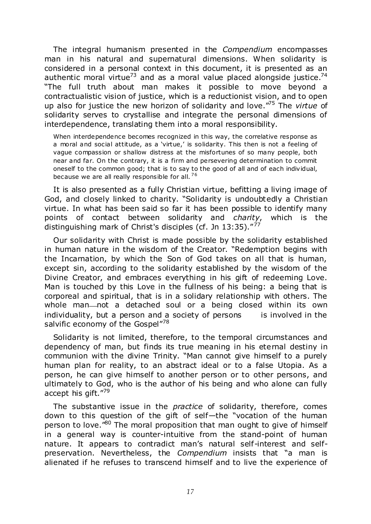The integral humanism presented in the *Compendium* encompasses man in his natural and supernatural dimensions. When solidarity is considered in a personal context in this document, it is presented as an authentic moral virtue<sup>73</sup> and as a moral value placed alongside justice.<sup>74</sup> ―The full truth about man makes it possible to move beyond a contractualistic vision of justice, which is a reductionist vision, and to open up also for justice the new horizon of solidarity and love.<sup>"75</sup> The *virtue* of solidarity serves to crystallise and integrate the personal dimensions of interdependence, translating them into a moral responsibility.

When interdependence becomes recognized in this way, the correlative response as a moral and social attitude, as a 'virtue,' is solidarity. This then is not a feeling of vague compassion or shallow distress at the misfortunes of so many people, both near and far. On the contrary, it is a firm and persevering determination to commit oneself to the common good; that is to say to the good of all and of each individual, because we are all really responsible for all.<sup>76</sup>

It is also presented as a fully Christian virtue, befitting a living image of God, and closely linked to charity. "Solidarity is undoubtedly a Christian virtue. In what has been said so far it has been possible to identify many points of contact between solidarity and *charity*, which is the distinguishing mark of Christ's disciples (cf. Jn 13:35). $\frac{77}{77}$ 

Our solidarity with Christ is made possible by the solidarity established in human nature in the wisdom of the Creator. "Redemption begins with the Incarnation, by which the Son of God takes on all that is human, except sin, according to the solidarity established by the wisdom of the Divine Creator, and embraces everything in his gift of redeeming Love. Man is touched by this Love in the fullness of his being: a being that is corporeal and spiritual, that is in a solidary relationship with others. The whole man-not a detached soul or a being closed within its own individuality, but a person and a society of persons is involved in the salvific economy of the Gospel"<sup>78</sup>

Solidarity is not limited, therefore, to the temporal circumstances and dependency of man, but finds its true meaning in his eternal destiny in communion with the divine Trinity. "Man cannot give himself to a purely human plan for reality, to an abstract ideal or to a false Utopia. As a person, he can give himself to another person or to other persons, and ultimately to God, who is the author of his being and who alone can fully accept his gift."79

The substantive issue in the *practice* of solidarity, therefore, comes down to this question of the gift of self-the "vocation of the human person to love.<sup>180</sup> The moral proposition that man ought to give of himself in a general way is counter-intuitive from the stand-point of human nature. It appears to contradict man's natural self-interest and selfpreservation. Nevertheless, the *Compendium* insists that "a man is alienated if he refuses to transcend himself and to live the experience of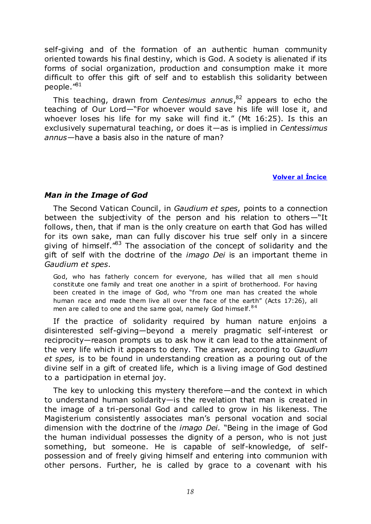self-giving and of the formation of an authentic human community oriented towards his final destiny, which is God. A society is alienated if its forms of social organization, production and consumption make it more difficult to offer this gift of self and to establish this solidarity between people. $^{\prime\prime81}$ 

This teaching, drawn from *Centesimus annus*, <sup>82</sup> appears to echo the teaching of Our Lord-"For whoever would save his life will lose it, and whoever loses his life for my sake will find it." (Mt 16:25). Is this an exclusively supernatural teaching, or does it—as is implied in *Centessimus annus*—have a basis also in the nature of man?

# **Volver al Íncice**

# <span id="page-17-0"></span>*Man in the Image of God*

The Second Vatican Council, in *Gaudium et spes,* points to a connection between the subjectivity of the person and his relation to others $-\mathrm{``It}$ follows, then, that if man is the only creature on earth that God has willed for its own sake, man can fully discover his true self only in a sincere giving of himself.<sup> $n83$ </sup> The association of the concept of solidarity and the gift of self with the doctrine of the *imago Dei* is an important theme in *Gaudium et spes*.

God, who has fatherly concern for everyone, has willed that all men s hould constitute one family and treat one another in a spirit of brotherhood. For having been created in the image of God, who "from one man has created the whole human race and made them live all over the face of the earth" (Acts 17:26), all men are called to one and the same goal, namely God himself.<sup>84</sup>

If the practice of solidarity required by human nature enjoins a disinterested self-giving—beyond a merely pragmatic self-interest or reciprocity—reason prompts us to ask how it can lead to the attainment of the very life which it appears to deny. The answer, according to *Gaudium et spes,* is to be found in understanding creation as a pouring out of the divine self in a gift of created life, which is a living image of God destined to a participation in eternal joy.

The key to unlocking this mystery therefore—and the context in which to understand human solidarity—is the revelation that man is created in the image of a tri-personal God and called to grow in his likeness. The Magisterium consistently associates man's personal vocation and social dimension with the doctrine of the *imago Dei*. "Being in the image of God the human individual possesses the dignity of a person, who is not just something, but someone. He is capable of self-knowledge, of selfpossession and of freely giving himself and entering into communion with other persons. Further, he is called by grace to a covenant with his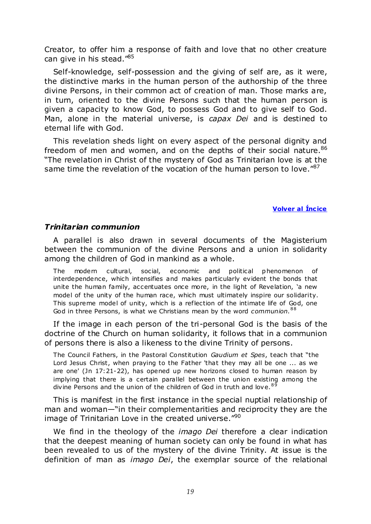Creator, to offer him a response of faith and love that no other creature can give in his stead."<sup>85</sup>

Self-knowledge, self-possession and the giving of self are, as it were, the distinctive marks in the human person of the authorship of the three divine Persons, in their common act of creation of man. Those marks are, in turn, oriented to the divine Persons such that the human person is given a capacity to know God, to possess God and to give self to God. Man, alone in the material universe, is *capax Dei* and is destined to eternal life with God.

This revelation sheds light on every aspect of the personal dignity and freedom of men and women, and on the depths of their social nature.<sup>86</sup> "The revelation in Christ of the mystery of God as Trinitarian love is at the same time the revelation of the vocation of the human person to love." $87$ 

**Volver al Íncice** 

#### <span id="page-18-0"></span>*Trinitarian communion*

A parallel is also drawn in several documents of the Magisterium between the communion of the divine Persons and a union in solidarity among the children of God in mankind as a whole.

The modern cultural, social, economic and political phenomenon of interdependence, which intensifies and makes particularly evident the bonds that unite the human family, accentuates once more, in the light of Revelation, 'a new model of the unity of the human race, which must ultimately inspire our solidarity. This supreme model of unity, which is a reflection of the intimate life of God, one God in three Persons, is what we Christians mean by the word *communion*.<sup>88</sup>

If the image in each person of the tri-personal God is the basis of the doctrine of the Church on human solidarity, it follows that in a communion of persons there is also a likeness to the divine Trinity of persons.

The Council Fathers, in the Pastoral Constitution *Gaudium et Spes*, teach that "the Lord Jesus Christ, when praying to the Father 'that they may all be one ... as we are one' (Jn 17:21-22), has opened up new horizons closed to human reason by implying that there is a certain parallel between the union existing among the divine Persons and the union of the children of God in truth and love.<sup>89</sup>

This is manifest in the first instance in the special nuptial relationship of man and woman—"in their complementarities and reciprocity they are the image of Trinitarian Love in the created universe. $\frac{1}{200}$ 

We find in the theology of the *imago Dei* therefore a clear indication that the deepest meaning of human society can only be found in what has been revealed to us of the mystery of the divine Trinity. At issue is the definition of man as *imago Dei*, the exemplar source of the relational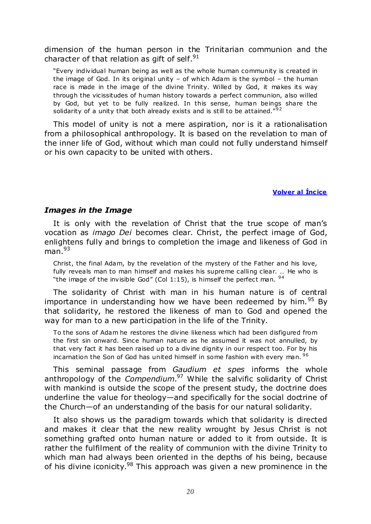dimension of the human person in the Trinitarian communion and the character of that relation as gift of self. $91$ 

"Every individual human being as well as the whole human community is created in the image of God. In its original unity – of which Adam is the symbol – the human race is made in the image of the divine Trinity. Willed by God, it makes its way through the vicissitudes of human history towards a perfect communion, also willed by God, but yet to be fully realized. In this sense, human beings share the solidarity of a unity that both already exists and is still to be attained." $92$ 

This model of unity is not a mere aspiration, nor is it a rationalisation from a philosophical anthropology. It is based on the revelation to man of the inner life of God, without which man could not fully understand himself or his own capacity to be united with others.

#### **Volver al Íncice**

#### <span id="page-19-0"></span>*Images in the Image*

It is only with the revelation of Christ that the true scope of man's vocation as *imago Dei* becomes clear. Christ, the perfect image of God, enlightens fully and brings to completion the image and likeness of God in  $man.<sup>93</sup>$ 

Christ, the final Adam, by the revelation of the mystery of the Father and his love, fully reveals man to man himself and makes his supreme calling clear. ... He who is "the image of the invisible God" (Col 1:15), is himself the perfect man.  $94$ 

The solidarity of Christ with man in his human nature is of central importance in understanding how we have been redeemed by him.<sup>95</sup> By that solidarity, he restored the likeness of man to God and opened the way for man to a new participation in the life of the Trinity.

To the sons of Adam he restores the divine likeness which had been disfigured from the first sin onward. Since human nature as he assumed it was not annulled, by that very fact it has been raised up to a divine dignity in our respect too. For by his incarnation the Son of God has united himself in some fashion with every man.  $96$ 

This seminal passage from *Gaudium et spes* informs the whole anthropology of the *Compendium*. <sup>97</sup> While the salvific solidarity of Christ with mankind is outside the scope of the present study, the doctrine does underline the value for theology—and specifically for the social doctrine of the Church—of an understanding of the basis for our natural solidarity.

It also shows us the paradigm towards which that solidarity is directed and makes it clear that the new reality wrought by Jesus Christ is not something grafted onto human nature or added to it from outside. It is rather the fulfilment of the reality of communion with the divine Trinity to which man had always been oriented in the depths of his being, because of his divine iconicity.<sup>98</sup> This approach was given a new prominence in the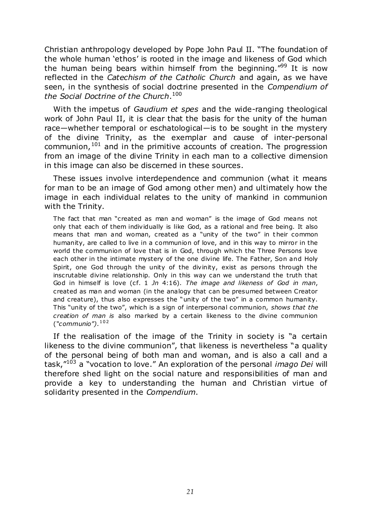Christian anthropology developed by Pope John Paul II. "The foundation of the whole human 'ethos' is rooted in the image and likeness of God which the human being bears within himself from the beginning." $99$  It is now reflected in the *Catechism of the Catholic Church* and again, as we have seen, in the synthesis of social doctrine presented in the *Compendium of the Social Doctrine of the Church*. 100

With the impetus of *Gaudium et spes* and the wide-ranging theological work of John Paul II, it is clear that the basis for the unity of the human race—whether temporal or eschatological—is to be sought in the mystery of the divine Trinity, as the exemplar and cause of inter-personal communion,  $101$  and in the primitive accounts of creation. The progression from an image of the divine Trinity in each man to a collective dimension in this image can also be discerned in these sources.

These issues involve interdependence and communion (what it means for man to be an image of God among other men) and ultimately how the image in each individual relates to the unity of mankind in communion with the Trinity.

The fact that man "created as man and woman" is the image of God means not only that each of them individually is like God, as a rational and free being. It also means that man and woman, created as a "unity of the two" in their common humanity, are called to live in a communion of love, and in this way to mirror in the world the communion of love that is in God, through which the Three Persons love each other in the intimate mystery of the one divine life. The Father, Son and Holy Spirit, one God through the unity of the divinity, exist as persons through the inscrutable divine relationship. Only in this way can we understand the truth that God in himself is love (cf. 1 Jn 4:16). The image and likeness of God in man, created as man and woman (in the analogy that can be presumed between Creator and creature), thus also expresses the "unity of the two" in a common humanity. This "unity of the two", which is a sign of interpersonal communion, *shows that the creation of man is* also marked by a certain likeness to the divine communion (*"communio")*. 102

If the realisation of the image of the Trinity in society is "a certain likeness to the divine communion", that likeness is nevertheless "a quality of the personal being of both man and woman, and is also a call and a task,"<sup>103</sup> a "vocation to love." An exploration of the personal *imago Dei* will therefore shed light on the social nature and responsibilities of man and provide a key to understanding the human and Christian virtue of solidarity presented in the *Compendium*.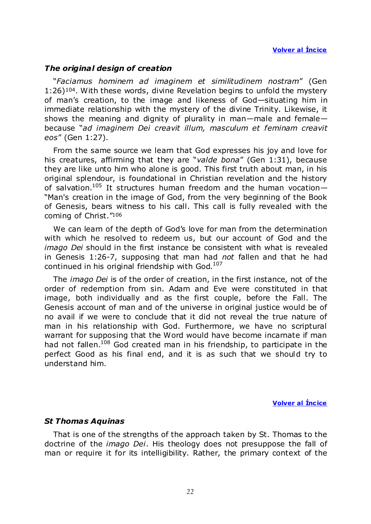# <span id="page-21-0"></span>*The original design of creation*

―*Faciamus hominem ad imaginem et similitudinem nostram*‖ (Gen 1:26)104. With these words, divine Revelation begins to unfold the mystery of man's creation, to the image and likeness of God—situating him in immediate relationship with the mystery of the divine Trinity. Likewise, it shows the meaning and dignity of plurality in man—male and female because ―*ad imaginem Dei creavit illum, masculum et feminam creavit eos*‖ (Gen 1:27).

From the same source we learn that God expresses his joy and love for his creatures, affirming that they are "valde bona" (Gen 1:31), because they are like unto him who alone is good. This first truth about man, in his original splendour, is foundational in Christian revelation and the history of salvation.<sup>105</sup> It structures human freedom and the human vocation-"Man's creation in the image of God, from the very beginning of the Book of Genesis, bears witness to his call. This call is fully revealed with the coming of Christ."106

We can learn of the depth of God's love for man from the determination with which he resolved to redeem us, but our account of God and the *imago Dei* should in the first instance be consistent with what is revealed in Genesis 1:26-7, supposing that man had *not* fallen and that he had continued in his original friendship with God.<sup>107</sup>

The *imago Dei* is of the order of creation, in the first instance, not of the order of redemption from sin. Adam and Eve were constituted in that image, both individually and as the first couple, before the Fall. The Genesis account of man and of the universe in original justice would be of no avail if we were to conclude that it did not reveal the true nature of man in his relationship with God. Furthermore, we have no scriptural warrant for supposing that the Word would have become incarnate if man had not fallen.<sup>108</sup> God created man in his friendship, to participate in the perfect Good as his final end, and it is as such that we should try to understand him.

**Volver al Íncice** 

# <span id="page-21-1"></span>*St Thomas Aquinas*

That is one of the strengths of the approach taken by St. Thomas to the doctrine of the *imago Dei*. His theology does not presuppose the fall of man or require it for its intelligibility. Rather, the primary context of the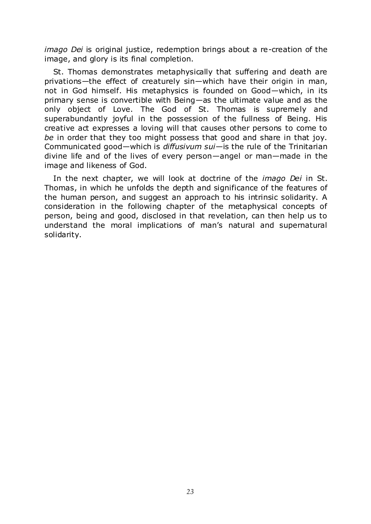*imago Dei* is original justice, redemption brings about a re-creation of the image, and glory is its final completion.

St. Thomas demonstrates metaphysically that suffering and death are privations—the effect of creaturely sin—which have their origin in man, not in God himself. His metaphysics is founded on Good—which, in its primary sense is convertible with Being—as the ultimate value and as the only object of Love. The God of St. Thomas is supremely and superabundantly joyful in the possession of the fullness of Being. His creative act expresses a loving will that causes other persons to come to *be* in order that they too might possess that good and share in that joy. Communicated good—which is *diffusivum sui*—is the rule of the Trinitarian divine life and of the lives of every person—angel or man—made in the image and likeness of God.

In the next chapter, we will look at doctrine of the *imago Dei* in St. Thomas, in which he unfolds the depth and significance of the features of the human person, and suggest an approach to his intrinsic solidarity. A consideration in the following chapter of the metaphysical concepts of person, being and good, disclosed in that revelation, can then help us to understand the moral implications of man's natural and supernatural solidarity.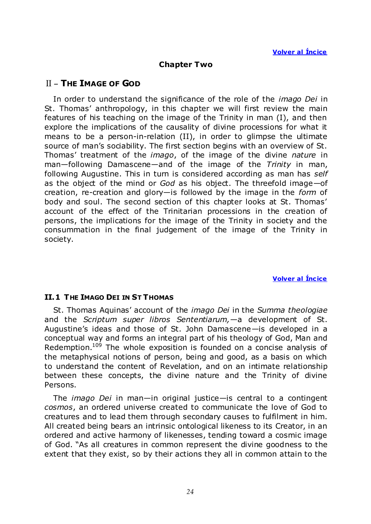# **Chapter Two**

# <span id="page-23-0"></span>II – **THE IMAGE OF GOD**

In order to understand the significance of the role of the *imago Dei* in St. Thomas' anthropology, in this chapter we will first review the main features of his teaching on the image of the Trinity in man (I), and then explore the implications of the causality of divine processions for what it means to be a person-in-relation (II), in order to glimpse the ultimate source of man's sociability. The first section begins with an overview of St. Thomas' treatment of the *imago*, of the image of the divine *nature* in man—following Damascene—and of the image of the *Trinity* in man, following Augustine. This in turn is considered according as man has *self* as the object of the mind or *God* as his object. The threefold image—of creation, re-creation and glory—is followed by the image in the *form* of body and soul. The second section of this chapter looks at St. Thomas' account of the effect of the Trinitarian processions in the creation of persons, the implications for the image of the Trinity in society and the consummation in the final judgement of the image of the Trinity in society.

#### **Volver al Íncice**

# <span id="page-23-1"></span>**II.1 THE IMAGO DEI IN ST THOMAS**

St. Thomas Aquinas' account of the *imago Dei* in the *Summa theologiae* and the *Scriptum super libros Sententiarum,*—a development of St. Augustine's ideas and those of St. John Damascene—is developed in a conceptual way and forms an integral part of his theology of God, Man and Redemption.<sup>109</sup> The whole exposition is founded on a concise analysis of the metaphysical notions of person, being and good, as a basis on which to understand the content of Revelation, and on an intimate relationship between these concepts, the divine nature and the Trinity of divine Persons.

The *imago Dei* in man—in original justice—is central to a contingent *cosmos*, an ordered universe created to communicate the love of God to creatures and to lead them through secondary causes to fulfilment in him. All created being bears an intrinsic ontological likeness to its Creator, in an ordered and active harmony of likenesses, tending toward a cosmic image of God. "As all creatures in common represent the divine goodness to the extent that they exist, so by their actions they all in common attain to the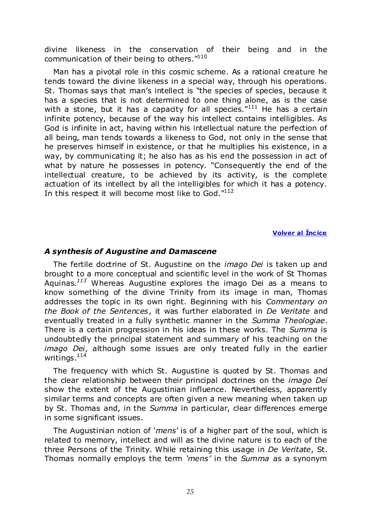divine likeness in the conservation of their being and in the communication of their being to others."<sup>110</sup>

Man has a pivotal role in this cosmic scheme. As a rational creature he tends toward the divine likeness in a special way, through his operations. St. Thomas says that man's intellect is "the species of species, because it has a species that is not determined to one thing alone, as is the case with a stone, but it has a capacity for all species. $111$  He has a certain infinite potency, because of the way his intellect contains intelligibles. As God is infinite in act, having within his intellectual nature the perfection of all being, man tends towards a likeness to God, not only in the sense that he preserves himself in existence, or that he multiplies his existence, in a way, by communicating it; he also has as his end the possession in act of what by nature he possesses in potency. "Consequently the end of the intellectual creature, to be achieved by its activity, is the complete actuation of its intellect by all the intelligibles for which it has a potency. In this respect it will become most like to God. $"^{112}$ 

#### **Volver al Íncice**

#### <span id="page-24-0"></span>*A synthesis of Augustine and Damascene*

The fertile doctrine of St. Augustine on the *imago Dei* is taken up and brought to a more conceptual and scientific level in the work of St Thomas Aquinas*. <sup>113</sup>* Whereas Augustine explores the imago Dei as a means to know something of the divine Trinity from its image in man, Thomas addresses the topic in its own right. Beginning with his *Commentary on the Book of the Sentences*, it was further elaborated in *De Veritate* and eventually treated in a fully synthetic manner in the *Summa Theologiae*. There is a certain progression in his ideas in these works. The *Summa* is undoubtedly the principal statement and summary of his teaching on the *imago Dei*, although some issues are only treated fully in the earlier writings.<sup>114</sup>

The frequency with which St. Augustine is quoted by St. Thomas and the clear relationship between their principal doctrines on the *imago Dei* show the extent of the Augustinian influence. Nevertheless, apparently similar terms and concepts are often given a new meaning when taken up by St. Thomas and, in the *Summa* in particular, clear differences emerge in some significant issues.

The Augustinian notion of *'mens'* is of a higher part of the soul, which is related to memory, intellect and will as the divine nature is to each of the three Persons of the Trinity. While retaining this usage in *De Veritate*, St. Thomas normally employs the term *"mens"* in the *Summa* as a synonym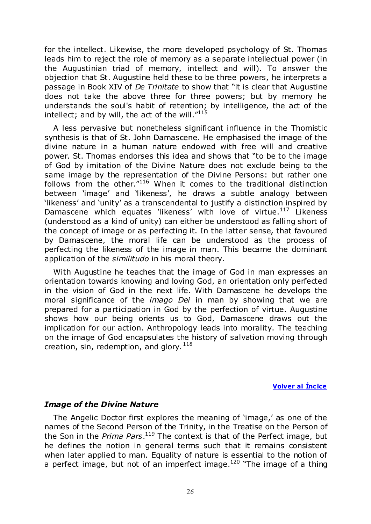for the intellect. Likewise, the more developed psychology of St. Thomas leads him to reject the role of memory as a separate intellectual power (in the Augustinian triad of memory, intellect and will). To answer the objection that St. Augustine held these to be three powers, he interprets a passage in Book XIV of *De Trinitate* to show that "it is clear that Augustine does not take the above three for three powers; but by memory he understands the soul's habit of retention; by intelligence, the act of the intellect; and by will, the act of the will. $^{\prime\prime 115}$ 

A less pervasive but nonetheless significant influence in the Thomistic synthesis is that of St. John Damascene. He emphasised the image of the divine nature in a human nature endowed with free will and creative power. St. Thomas endorses this idea and shows that "to be to the image of God by imitation of the Divine Nature does not exclude being to the same image by the representation of the Divine Persons: but rather one follows from the other. $^{\prime\prime 116}$  When it comes to the traditional distinction between 'image' and 'likeness', he draws a subtle analogy between 'likeness' and 'unity' as a transcendental to justify a distinction inspired by Damascene which equates 'likeness' with love of virtue.<sup>117</sup> Likeness (understood as a kind of unity) can either be understood as falling short of the concept of image or as perfecting it. In the latter sense, that favoured by Damascene, the moral life can be understood as the process of perfecting the likeness of the image in man. This became the dominant application of the *similitudo* in his moral theory.

With Augustine he teaches that the image of God in man expresses an orientation towards knowing and loving God, an orientation only perfected in the vision of God in the next life. With Damascene he develops the moral significance of the *imago Dei* in man by showing that we are prepared for a participation in God by the perfection of virtue. Augustine shows how our being orients us to God, Damascene draws out the implication for our action. Anthropology leads into morality. The teaching on the image of God encapsulates the history of salvation moving through creation, sin, redemption, and glory.<sup>118</sup>

**Volver al Íncice** 

# <span id="page-25-0"></span>*Image of the Divine Nature*

The Angelic Doctor first explores the meaning of 'image,' as one of the names of the Second Person of the Trinity, in the Treatise on the Person of the Son in the *Prima Pars*. <sup>119</sup> The context is that of the Perfect image, but he defines the notion in general terms such that it remains consistent when later applied to man. Equality of nature is essential to the notion of a perfect image, but not of an imperfect image.<sup>120</sup> "The image of a thing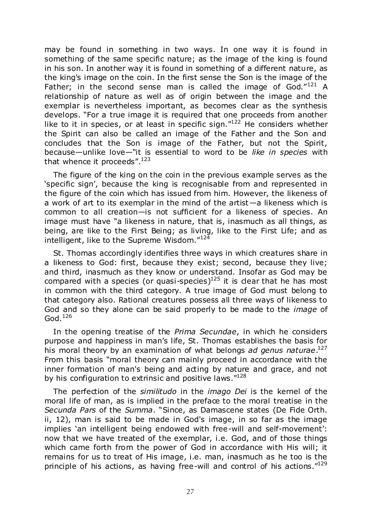may be found in something in two ways. In one way it is found in something of the same specific nature; as the image of the king is found in his son. In another way it is found in something of a different nature, as the king's image on the coin. In the first sense the Son is the image of the Father; in the second sense man is called the image of God. $121$  A relationship of nature as well as of origin between the image and the exemplar is nevertheless important, as becomes clear as the synthesis develops. "For a true image it is required that one proceeds from another like to it in species, or at least in specific sign. $122$  He considers whether the Spirit can also be called an image of the Father and the Son and concludes that the Son is image of the Father, but not the Spirit, because—unlike love—"it is essential to word to be like in species with that whence it proceeds". $123$ 

The figure of the king on the coin in the previous example serves as the ‗specific sign', because the king is recognisable from and represented in the figure of the coin which has issued from him. However, the likeness of a work of art to its exemplar in the mind of the artist—a likeness which is common to all creation—is not sufficient for a likeness of species. An image must have "a likeness in nature, that is, inasmuch as all things, as being, are like to the First Being; as living, like to the First Life; and as intelligent, like to the Supreme Wisdom."124

St. Thomas accordingly identifies three ways in which creatures share in a likeness to God: first, because they exist; second, because they live; and third, inasmuch as they know or understand. Insofar as God may be compared with a species (or quasi-species)<sup>125</sup> it is clear that he has most in common with the third category. A true image of God must belong to that category also. Rational creatures possess all three ways of likeness to God and so they alone can be said properly to be made to the *image* of God. $126$ 

In the opening treatise of the *Prima Secundae*, in which he considers purpose and happiness in man's life, St. Thomas establishes the basis for his moral theory by an examination of what belongs *ad genus naturae*. 127 From this basis "moral theory can mainly proceed in accordance with the inner formation of man's being and acting by nature and grace, and not by his configuration to extrinsic and positive laws. $128$ 

The perfection of the *similitudo* in the *imago Dei* is the kernel of the moral life of man, as is implied in the preface to the moral treatise in the *Secunda Pars* of the *Summa*. "Since, as Damascene states (De Fide Orth. ii, 12), man is said to be made in God's image, in so far as the image implies 'an intelligent being endowed with free-will and self-movement': now that we have treated of the exemplar, i.e. God, and of those things which came forth from the power of God in accordance with His will; it remains for us to treat of His image, i.e. man, inasmuch as he too is the principle of his actions, as having free-will and control of his actions. $129$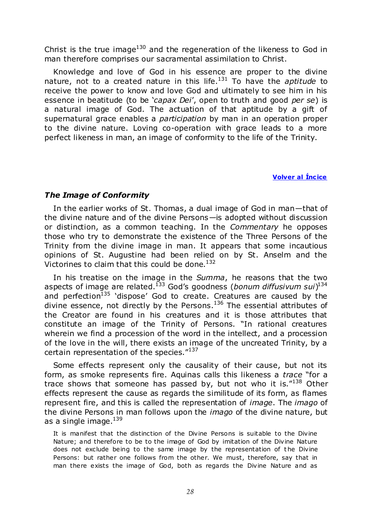Christ is the true image<sup>130</sup> and the regeneration of the likeness to God in man therefore comprises our sacramental assimilation to Christ.

Knowledge and love of God in his essence are proper to the divine nature, not to a created nature in this life.<sup>131</sup> To have the *aptitude* to receive the power to know and love God and ultimately to see him in his essence in beatitude (to be *'capax Dei'*, open to truth and good *per se*) is a natural image of God. The actuation of that aptitude by a gift of supernatural grace enables a *participation* by man in an operation proper to the divine nature. Loving co-operation with grace leads to a more perfect likeness in man, an image of conformity to the life of the Trinity.

#### **Volver al Íncice**

# <span id="page-27-0"></span>*The Image of Conformity*

In the earlier works of St. Thomas, a dual image of God in man—that of the divine nature and of the divine Persons—is adopted without discussion or distinction, as a common teaching. In the *Commentary* he opposes those who try to demonstrate the existence of the Three Persons of the Trinity from the divine image in man. It appears that some incautious opinions of St. Augustine had been relied on by St. Anselm and the Victorines to claim that this could be done.<sup>132</sup>

In his treatise on the image in the *Summa*, he reasons that the two aspects of image are related.<sup>133</sup> God's goodness (*bonum diffusivum sui*) 134 and perfection $135$  'dispose' God to create. Creatures are caused by the divine essence, not directly by the Persons. $136$  The essential attributes of the Creator are found in his creatures and it is those attributes that constitute an image of the Trinity of Persons. "In rational creatures wherein we find a procession of the word in the intellect, and a procession of the love in the will, there exists an image of the uncreated Trinity, by a certain representation of the species."137

Some effects represent only the causality of their cause, but not its form, as smoke represents fire. Aquinas calls this likeness a *trace* "for a trace shows that someone has passed by, but not who it is. $"^{138}$  Other effects represent the cause as regards the similitude of its form, as flames represent fire, and this is called the representation of *image*. The *imago* of the divine Persons in man follows upon the *imago* of the divine nature, but as a single image.<sup>139</sup>

It is manifest that the distinction of the Divine Persons is suitable to the Divine Nature; and therefore to be to the image of God by imitation of the Divine Nature does not exclude being to the same image by the representation of the Divine Persons: but rather one follows from the other. We must, therefore, say that in man there exists the image of God, both as regards the Divine Nature and as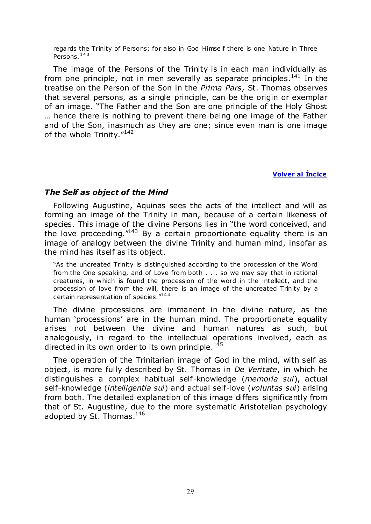regards the Trinity of Persons; for also in God Himself there is one Nature in Three Persons.<sup>140</sup>

The image of the Persons of the Trinity is in each man individually as from one principle, not in men severally as separate principles. $141$  In the treatise on the Person of the Son in the *Prima Pars*, St. Thomas observes that several persons, as a single principle, can be the origin or exemplar of an image. "The Father and the Son are one principle of the Holy Ghost … hence there is nothing to prevent there being one image of the Father and of the Son, inasmuch as they are one; since even man is one image of the whole Trinity. $142$ 

#### **Volver al Íncice**

### <span id="page-28-0"></span>*The Self as object of the Mind*

Following Augustine, Aquinas sees the acts of the intellect and will as forming an image of the Trinity in man, because of a certain likeness of species. This image of the divine Persons lies in "the word conceived, and the love proceeding. $143$  By a certain proportionate equality there is an image of analogy between the divine Trinity and human mind, insofar as the mind has itself as its object.

"As the uncreated Trinity is distinguished according to the procession of the Word from the One speaking, and of Love from both . . . so we may say that in rational creatures, in which is found the procession of the word in the intellect, and the procession of love from the will, there is an image of the uncreated Trinity by a certain representation of species."<sup>144</sup>

The divine processions are immanent in the divine nature, as the human 'processions' are in the human mind. The proportionate equality arises not between the divine and human natures as such, but analogously, in regard to the intellectual operations involved, each as directed in its own order to its own principle. $145$ 

The operation of the Trinitarian image of God in the mind, with self as object, is more fully described by St. Thomas in *De Veritate*, in which he distinguishes a complex habitual self-knowledge (*memoria sui*), actual self-knowledge (*intelligentia sui*) and actual self-love (*voluntas sui*) arising from both. The detailed explanation of this image differs significantly from that of St. Augustine, due to the more systematic Aristotelian psychology adopted by St. Thomas.<sup>146</sup>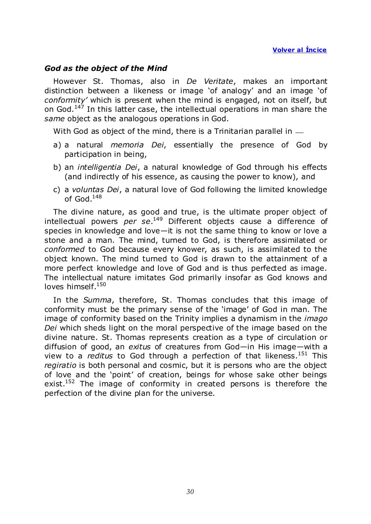# <span id="page-29-0"></span>*God as the object of the Mind*

However St. Thomas, also in *De Veritate*, makes an important distinction between a likeness or image 'of analogy' and an image 'of *conformity"* which is present when the mind is engaged, not on itself, but on God.<sup>147</sup> In this latter case, the intellectual operations in man share the *same* object as the analogous operations in God.

With God as object of the mind, there is a Trinitarian parallel in  $-$ 

- a) a natural *memoria Dei*, essentially the presence of God by participation in being,
- b) an *intelligentia Dei*, a natural knowledge of God through his effects (and indirectly of his essence, as causing the power to know), and
- c) a *voluntas Dei*, a natural love of God following the limited knowledge of God. $148$

The divine nature, as good and true, is the ultimate proper object of intellectual powers *per se*. <sup>149</sup> Different objects cause a difference of species in knowledge and love—it is not the same thing to know or love a stone and a man. The mind, turned to God, is therefore assimilated or *conformed* to God because every knower, as such, is assimilated to the object known. The mind turned to God is drawn to the attainment of a more perfect knowledge and love of God and is thus perfected as image. The intellectual nature imitates God primarily insofar as God knows and loves himself.<sup>150</sup>

In the *Summa*, therefore, St. Thomas concludes that this image of conformity must be the primary sense of the 'image' of God in man. The image of conformity based on the Trinity implies a dynamism in the *imago Dei* which sheds light on the moral perspective of the image based on the divine nature. St. Thomas represents creation as a type of circulation or diffusion of good, an *exitus* of creatures from God—in His image—with a view to a *reditus* to God through a perfection of that likeness.<sup>151</sup> This *regiratio* is both personal and cosmic, but it is persons who are the object of love and the 'point' of creation, beings for whose sake other beings exist.<sup>152</sup> The image of conformity in created persons is therefore the perfection of the divine plan for the universe.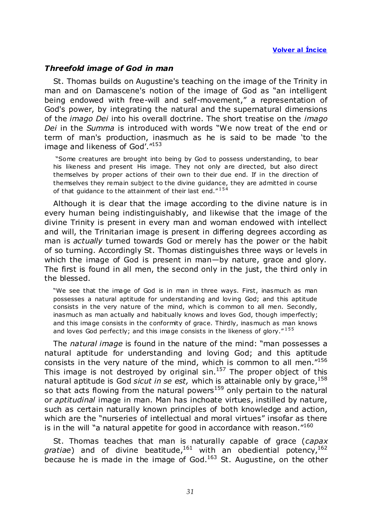### <span id="page-30-0"></span>*Threefold image of God in man*

St. Thomas builds on Augustine's teaching on the image of the Trinity in man and on Damascene's notion of the image of God as "an intelligent being endowed with free-will and self-movement," a representation of God's power, by integrating the natural and the supernatural dimensions of the *imago Dei* into his overall doctrine. The short treatise on the *imago Dei* in the *Summa* is introduced with words "We now treat of the end or term of man's production, inasmuch as he is said to be made 'to the image and likeness of God'. "153

―Some creatures are brought into being by God to possess understanding, to bear his likeness and present His image. They not only are directed, but also direct themselves by proper actions of their own to their due end. If in the direction of themselves they remain subject to the divine guidance, they are admitted in course of that guidance to the attainment of their last end. $"^{154}$ 

Although it is clear that the image according to the divine nature is in every human being indistinguishably, and likewise that the image of the divine Trinity is present in every man and woman endowed with intellect and will, the Trinitarian image is present in differing degrees according as man is *actually* turned towards God or merely has the power or the habit of so turning. Accordingly St. Thomas distinguishes three ways or levels in which the image of God is present in man—by nature, grace and glory. The first is found in all men, the second only in the just, the third only in the blessed.

"We see that the image of God is in man in three ways. First, inasmuch as man possesses a natural aptitude for understanding and loving God; and this aptitude consists in the very nature of the mind, which is common to all men. Secondly, inasmuch as man actually and habitually knows and loves God, though imperfectly; and this image consists in the conformity of grace. Thirdly, inasmuch as man knows and loves God perfectly; and this image consists in the likeness of glory. $"155$ 

The *natural image* is found in the nature of the mind: "man possesses a natural aptitude for understanding and loving God; and this aptitude consists in the very nature of the mind, which is common to all men. $156$ This image is not destroyed by original  $sin<sup>157</sup>$  The proper object of this natural aptitude is God *sicut in se est*, which is attainable only by grace,<sup>158</sup> so that acts flowing from the natural powers<sup>159</sup> only pertain to the natural or *aptitudinal* image in man. Man has inchoate virtues, instilled by nature, such as certain naturally known principles of both knowledge and action, which are the "nurseries of intellectual and moral virtues" insofar as there is in the will "a natural appetite for good in accordance with reason. $160$ 

St. Thomas teaches that man is naturally capable of grace (*capax*  gratiae) and of divine beatitude,<sup>161</sup> with an obediential potency,<sup>162</sup> because he is made in the image of God.<sup>163</sup> St. Augustine, on the other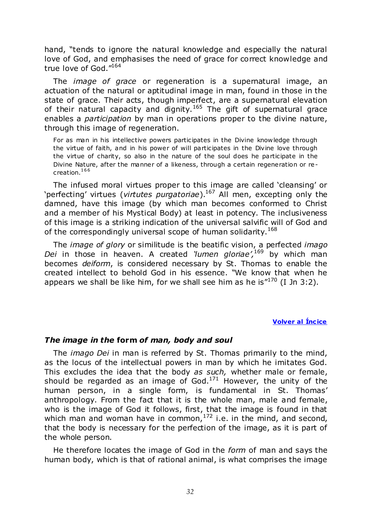hand, "tends to ignore the natural knowledge and especially the natural love of God, and emphasises the need of grace for correct knowledge and true love of God."164

The *image of grace* or regeneration is a supernatural image, an actuation of the natural or aptitudinal image in man, found in those in the state of grace. Their acts, though imperfect, are a supernatural elevation of their natural capacity and dignity.<sup>165</sup> The gift of supernatural grace enables a *participation* by man in operations proper to the divine nature, through this image of regeneration.

For as man in his intellective powers participates in the Divine knowledge through the virtue of faith, and in his power of will participates in the Divine love through the virtue of charity, so also in the nature of the soul does he participate in the Divine Nature, after the manner of a likeness, through a certain regeneration or recreation.<sup>166</sup>

The infused moral virtues proper to this image are called 'cleansing' or ‗perfecting' virtues (*virtutes purgatoriae*).<sup>167</sup> All men, excepting only the damned, have this image (by which man becomes conformed to Christ and a member of his Mystical Body) at least in potency. The inclusiveness of this image is a striking indication of the universal salvific will of God and of the correspondingly universal scope of human solidarity.<sup>168</sup>

The *image of glory* or similitude is the beatific vision, a perfected *imago Dei* in those in heaven. A created *'lumen gloriae'*,<sup>169</sup> by which man becomes *deiform*, is considered necessary by St. Thomas to enable the created intellect to behold God in his essence. "We know that when he appears we shall be like him, for we shall see him as he is  $170$  (I Jn 3:2).

#### **Volver al Íncice**

#### <span id="page-31-0"></span>*The image in the* **form** *of man, body and soul*

The *imago Dei* in man is referred by St. Thomas primarily to the mind, as the locus of the intellectual powers in man by which he imitates God. This excludes the idea that the body *as such,* whether male or female, should be regarded as an image of  $God.<sup>171</sup>$  However, the unity of the human person, in a single form, is fundamental in St. Thomas' anthropology. From the fact that it is the whole man, male and female, who is the image of God it follows, first, that the image is found in that which man and woman have in common,  $172$  i.e. in the mind, and second, that the body is necessary for the perfection of the image, as it is part of the whole person.

He therefore locates the image of God in the *form* of man and says the human body, which is that of rational animal, is what comprises the image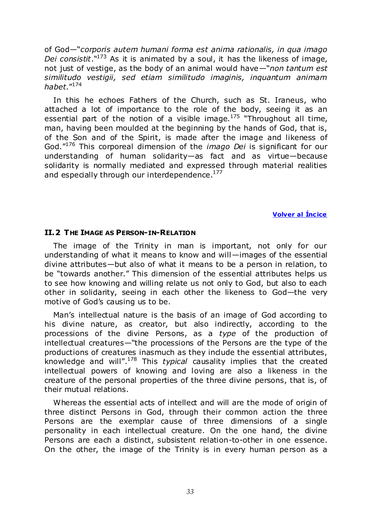of God—―*corporis autem humani forma est anima rationalis, in qua imago*  Dei consistit.<sup>\\173</sup> As it is animated by a soul, it has the likeness of image, not just of vestige, as the body of an animal would have—"non tantum est *similitudo vestigii, sed etiam similitudo imaginis, inquantum animam habet*.‖<sup>174</sup>

In this he echoes Fathers of the Church, such as St. Iraneus, who attached a lot of importance to the role of the body, seeing it as an essential part of the notion of a visible image.<sup>175</sup> "Throughout all time, man, having been moulded at the beginning by the hands of God, that is, of the Son and of the Spirit, is made after the image and likeness of God.‖<sup>176</sup> This corporeal dimension of the *imago Dei* is significant for our understanding of human solidarity—as fact and as virtue—because solidarity is normally mediated and expressed through material realities and especially through our interdependence. $177$ 

**Volver al Íncice** 

#### <span id="page-32-0"></span>**II.2 THE IMAGE AS PERSON-IN-RELATION**

The image of the Trinity in man is important, not only for our understanding of what it means to know and will—images of the essential divine attributes—but also of what it means to be a person in relation, to be "towards another." This dimension of the essential attributes helps us to see how knowing and willing relate us not only to God, but also to each other in solidarity, seeing in each other the likeness to God—the very motive of God's causing us to be.

Man's intellectual nature is the basis of an image of God according to his divine nature, as creator, but also indirectly, according to the processions of the divine Persons, as a *type* of the production of intellectual creatures—"the processions of the Persons are the type of the productions of creatures inasmuch as they include the essential attributes, knowledge and will".<sup>178</sup> This *typical* causality implies that the created intellectual powers of knowing and loving are also a likeness in the creature of the personal properties of the three divine persons, that is, of their mutual relations.

Whereas the essential acts of intellect and will are the mode of origin of three distinct Persons in God, through their common action the three Persons are the exemplar cause of three dimensions of a single personality in each intellectual creature. On the one hand, the divine Persons are each a distinct, subsistent relation-to-other in one essence. On the other, the image of the Trinity is in every human person as a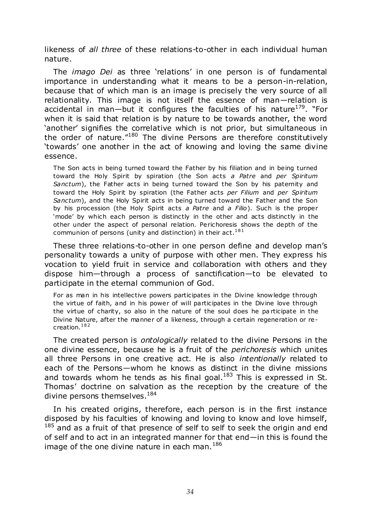likeness of *all three* of these relations-to-other in each individual human nature.

The *imago Dei* as three 'relations' in one person is of fundamental importance in understanding what it means to be a person-in-relation, because that of which man is an image is precisely the very source of all relationality. This image is not itself the essence of man—relation is accidental in man—but it configures the faculties of his nature<sup>179</sup>. "For when it is said that relation is by nature to be towards another, the word ‗another' signifies the correlative which is not prior, but simultaneous in the order of nature. $180$  The divine Persons are therefore constitutively 'towards' one another in the act of knowing and loving the same divine essence.

The Son acts in being turned toward the Father by his filiation and in being turned toward the Holy Spirit by spiration (the Son acts *a Patre* and *per Spiritum Sanctum*), the Father acts in being turned toward the Son by his paternity and toward the Holy Spirit by spiration (the Father acts *per Filium* and *per Spiritum Sanctum*), and the Holy Spirit acts in being turned toward the Father and the Son by his procession (the Holy Spirit acts *a Patre* and *a Filio*). Such is the proper 'mode' by which each person is distinctly in the other and acts distinctly in the other under the aspect of personal relation. Perichoresis shows the depth of the communion of persons (unity and distinction) in their  $act.^{181}$ 

These three relations-to-other in one person define and develop man's personality towards a unity of purpose with other men. They express his vocation to yield fruit in service and collaboration with others and they dispose him—through a process of sanctification—to be elevated to participate in the eternal communion of God.

For as man in his intellective powers participates in the Divine knowledge through the virtue of faith, and in his power of will participates in the Divine love through the virtue of charity, so also in the nature of the soul does he pa rticipate in the Divine Nature, after the manner of a likeness, through a certain regeneration or recreation.<sup>182</sup>

The created person is *ontologically* related to the divine Persons in the one divine essence, because he is a fruit of the *perichoresis* which unites all three Persons in one creative act. He is also *intentionally* related to each of the Persons—whom he knows as distinct in the divine missions and towards whom he tends as his final goal. $183$  This is expressed in St. Thomas' doctrine on salvation as the reception by the creature of the divine persons themselves.<sup>184</sup>

In his created origins, therefore, each person is in the first instance disposed by his faculties of knowing and loving to know and love himself,  $185$  and as a fruit of that presence of self to self to seek the origin and end of self and to act in an integrated manner for that end—in this is found the image of the one divine nature in each man.  $186$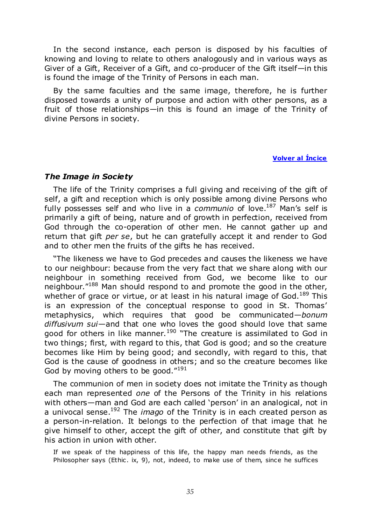In the second instance, each person is disposed by his faculties of knowing and loving to relate to others analogously and in various ways as Giver of a Gift, Receiver of a Gift, and co-producer of the Gift itself—in this is found the image of the Trinity of Persons in each man.

By the same faculties and the same image, therefore, he is further disposed towards a unity of purpose and action with other persons, as a fruit of those relationships—in this is found an image of the Trinity of divine Persons in society.

#### **Volver al Íncice**

#### <span id="page-34-0"></span>*The Image in Society*

The life of the Trinity comprises a full giving and receiving of the gift of self, a gift and reception which is only possible among divine Persons who fully possesses self and who live in a *communio* of love.<sup>187</sup> Man's self is primarily a gift of being, nature and of growth in perfection, received from God through the co-operation of other men. He cannot gather up and return that gift *per se*, but he can gratefully accept it and render to God and to other men the fruits of the gifts he has received.

"The likeness we have to God precedes and causes the likeness we have to our neighbour: because from the very fact that we share along with our neighbour in something received from God, we become like to our neighbour."<sup>188</sup> Man should respond to and promote the good in the other, whether of grace or virtue, or at least in his natural image of  $God.<sup>189</sup>$  This is an expression of the conceptual response to good in St. Thomas' metaphysics, which requires that good be communicated—*bonum diffusivum sui*—and that one who loves the good should love that same good for others in like manner.<sup>190</sup> "The creature is assimilated to God in two things; first, with regard to this, that God is good; and so the creature becomes like Him by being good; and secondly, with regard to this, that God is the cause of goodness in others; and so the creature becomes like God by moving others to be good. $^{\prime\prime 191}$ 

The communion of men in society does not imitate the Trinity as though each man represented *one* of the Persons of the Trinity in his relations with others—man and God are each called 'person' in an analogical, not in a univocal sense.<sup>192</sup> The *imago* of the Trinity is in each created person as a person-in-relation. It belongs to the perfection of that image that he give himself to other, accept the gift of other, and constitute that gift by his action in union with other.

If we speak of the happiness of this life, the happy man needs friends, as the Philosopher says (Ethic. ix, 9), not, indeed, to make use of them, since he suffices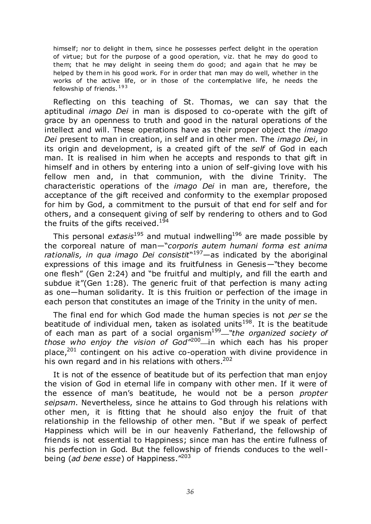himself; nor to delight in them, since he possesses perfect delight in the operation of virtue; but for the purpose of a good operation, viz. that he may do good to them; that he may delight in seeing them do good; and again that he may be helped by them in his good work. For in order that man may do well, whether in the works of the active life, or in those of the contemplative life, he needs the fellowship of friends. 193

Reflecting on this teaching of St. Thomas, we can say that the aptitudinal *imago Dei* in man is disposed to co-operate with the gift of grace by an openness to truth and good in the natural operations of the intellect and will. These operations have as their proper object the *imago Dei* present to man in creation, in self and in other men. The *imago Dei,* in its origin and development, is a created gift of the *self* of God in each man. It is realised in him when he accepts and responds to that gift in himself and in others by entering into a union of self-giving love with his fellow men and, in that communion, with the divine Trinity. The characteristic operations of the *imago Dei* in man are, therefore, the acceptance of the gift received and conformity to the exemplar proposed for him by God, a commitment to the pursuit of that end for self and for others, and a consequent giving of self by rendering to others and to God the fruits of the gifts received.<sup>194</sup>

This personal *extasis*<sup>195</sup> and mutual indwelling<sup>196</sup> are made possible by the corporeal nature of man<sup>-</sup>corporis autem humani forma est anima rationalis, in qua imago Dei consistit<sup>"197</sup>—as indicated by the aboriginal expressions of this image and its fruitfulness in Genesis—"they become one flesh" (Gen 2:24) and "be fruitful and multiply, and fill the earth and subdue it"(Gen 1:28). The generic fruit of that perfection is many acting as one—human solidarity. It is this fruition or perfection of the image in each person that constitutes an image of the Trinity in the unity of men.

The final end for which God made the human species is not *per se* the beatitude of individual men, taken as isolated units<sup>198</sup>. It is the beatitude of each man as part of a social organism<sup>199</sup> *"the organized society of those who enjoy the vision of God<sup>"200</sup>* in which each has his proper place, $201$  contingent on his active co-operation with divine providence in his own regard and in his relations with others.<sup>202</sup>

It is not of the essence of beatitude but of its perfection that man enjoy the vision of God in eternal life in company with other men. If it were of the essence of man's beatitude, he would not be a person *propter seipsam*. Nevertheless, since he attains to God through his relations with other men, it is fitting that he should also enjoy the fruit of that relationship in the fellowship of other men. "But if we speak of perfect Happiness which will be in our heavenly Fatherland, the fellowship of friends is not essential to Happiness; since man has the entire fullness of his perfection in God. But the fellowship of friends conduces to the well being (*ad bene esse*) of Happiness."<sup>203</sup>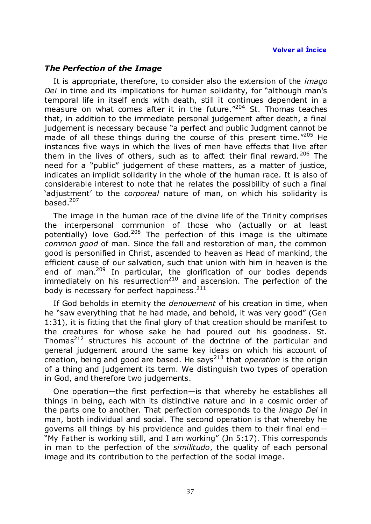# *The Perfection of the Image*

It is appropriate, therefore, to consider also the extension of the *imago Dei* in time and its implications for human solidarity, for "although man's temporal life in itself ends with death, still it continues dependent in a measure on what comes after it in the future. $^{\prime\prime\prime}^{204}$  St. Thomas teaches that, in addition to the immediate personal judgement after death, a final judgement is necessary because "a perfect and public Judgment cannot be made of all these things during the course of this present time. $^{4205}$  He instances five ways in which the lives of men have effects that live after them in the lives of others, such as to affect their final reward.<sup>206</sup> The need for a "public" judgement of these matters, as a matter of justice, indicates an implicit solidarity in the whole of the human race. It is also of considerable interest to note that he relates the possibility of such a final ‗adjustment' to the *corporeal* nature of man, on which his solidarity is based. $207$ 

The image in the human race of the divine life of the Trinity comprises the interpersonal communion of those who (actually or at least potentially) love God.<sup>208</sup> The perfection of this image is the ultimate *common good* of man. Since the fall and restoration of man, the common good is personified in Christ, ascended to heaven as Head of mankind, the efficient cause of our salvation, such that union with him in heaven is the end of man.<sup>209</sup> In particular, the glorification of our bodies depends immediately on his resurrection<sup>210</sup> and ascension. The perfection of the body is necessary for perfect happiness.<sup>211</sup>

If God beholds in eternity the *denouement* of his creation in time, when he "saw everything that he had made, and behold, it was very good" (Gen 1:31), it is fitting that the final glory of that creation should be manifest to the creatures for whose sake he had poured out his goodness. St. Thomas $^{212}$  structures his account of the doctrine of the particular and general judgement around the same key ideas on which his account of creation, being and good are based. He says<sup>213</sup> that *operation* is the origin of a thing and judgement its term. We distinguish two types of operation in God, and therefore two judgements.

One operation—the first perfection—is that whereby he establishes all things in being, each with its distinctive nature and in a cosmic order of the parts one to another. That perfection corresponds to the *imago Dei* in man, both individual and social. The second operation is that whereby he governs all things by his providence and guides them to their final end— "My Father is working still, and I am working" (Jn 5:17). This corresponds in man to the perfection of the *similitudo*, the quality of each personal image and its contribution to the perfection of the social image.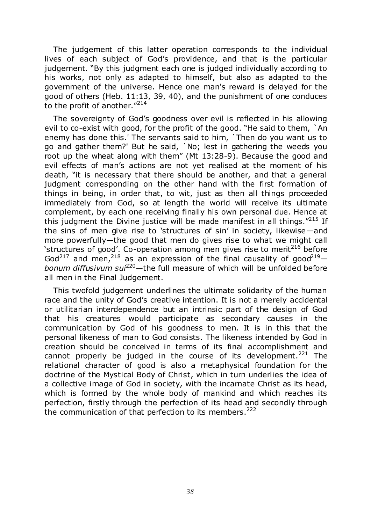The judgement of this latter operation corresponds to the individual lives of each subject of God's providence, and that is the particular judgement. "By this judgment each one is judged individually according to his works, not only as adapted to himself, but also as adapted to the government of the universe. Hence one man's reward is delayed for the good of others (Heb. 11:13, 39, 40), and the punishment of one conduces to the profit of another. $^{\prime\prime214}$ 

The sovereignty of God's goodness over evil is reflected in his allowing evil to co-exist with good, for the profit of the good. "He said to them, `An enemy has done this.' The servants said to him, `Then do you want us to go and gather them?' But he said, `No; lest in gathering the weeds you root up the wheat along with them" (Mt 13:28-9). Because the good and evil effects of man's actions are not yet realised at the moment of his death, "it is necessary that there should be another, and that a general judgment corresponding on the other hand with the first formation of things in being, in order that, to wit, just as then all things proceeded immediately from God, so at length the world will receive its ultimate complement, by each one receiving finally his own personal due. Hence at this judgment the Divine justice will be made manifest in all things.<sup> $n215$ </sup> If the sins of men give rise to 'structures of sin' in society, likewise—and more powerfully—the good that men do gives rise to what we might call 'structures of good'. Co-operation among men gives rise to merit<sup>216</sup> before God<sup>217</sup> and men,<sup>218</sup> as an expression of the final causality of good<sup>219</sup>*bonum diffusivum sui*<sup>220</sup>*—*the full measure of which will be unfolded before all men in the Final Judgement.

This twofold judgement underlines the ultimate solidarity of the human race and the unity of God's creative intention. It is not a merely accidental or utilitarian interdependence but an intrinsic part of the design of God that his creatures would participate as secondary causes in the communication by God of his goodness to men. It is in this that the personal likeness of man to God consists. The likeness intended by God in creation should be conceived in terms of its final accomplishment and cannot properly be judged in the course of its development.<sup>221</sup> The relational character of good is also a metaphysical foundation for the doctrine of the Mystical Body of Christ, which in turn underlies the idea of a collective image of God in society, with the incarnate Christ as its head, which is formed by the whole body of mankind and which reaches its perfection, firstly through the perfection of its head and secondly through the communication of that perfection to its members.  $222$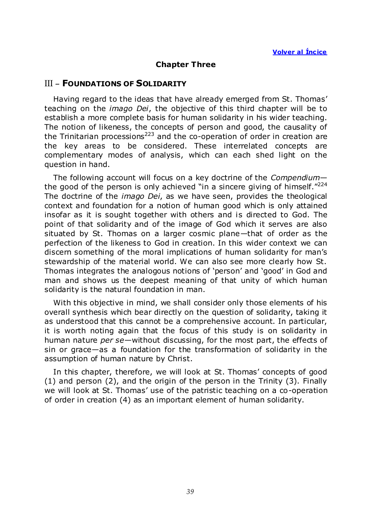# **Chapter Three**

# III – **FOUNDATIONS OF SOLIDARITY**

Having regard to the ideas that have already emerged from St. Thomas' teaching on the *imago Dei*, the objective of this third chapter will be to establish a more complete basis for human solidarity in his wider teaching. The notion of likeness, the concepts of person and good, the causality of the Trinitarian processions<sup>223</sup> and the co-operation of order in creation are the key areas to be considered. These interrelated concepts are complementary modes of analysis, which can each shed light on the question in hand.

The following account will focus on a key doctrine of the *Compendium* the good of the person is only achieved "in a sincere giving of himself." $^{224}$ The doctrine of the *imago Dei*, as we have seen, provides the theological context and foundation for a notion of human good which is only attained insofar as it is sought together with others and is directed to God. The point of that solidarity and of the image of God which it serves are also situated by St. Thomas on a larger cosmic plane—that of order as the perfection of the likeness to God in creation. In this wider context we can discern something of the moral implications of human solidarity for man's stewardship of the material world. We can also see more clearly how St. Thomas integrates the analogous notions of 'person' and 'good' in God and man and shows us the deepest meaning of that unity of which human solidarity is the natural foundation in man.

With this objective in mind, we shall consider only those elements of his overall synthesis which bear directly on the question of solidarity, taking it as understood that this cannot be a comprehensive account. In particular, it is worth noting again that the focus of this study is on solidarity in human nature *per se*—without discussing, for the most part, the effects of sin or grace—as a foundation for the transformation of solidarity in the assumption of human nature by Christ.

In this chapter, therefore, we will look at St. Thomas' concepts of good (1) and person (2), and the origin of the person in the Trinity (3). Finally we will look at St. Thomas' use of the patristic teaching on a co-operation of order in creation (4) as an important element of human solidarity.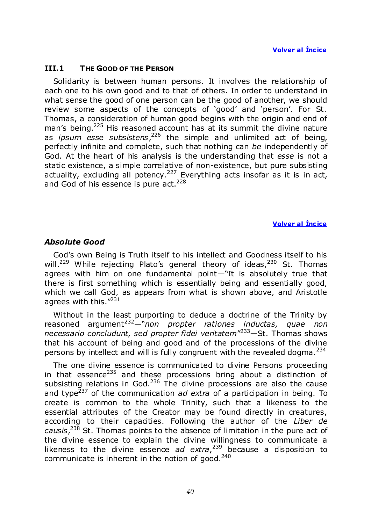#### **III.1 THE GOOD OF THE PERSON**

Solidarity is between human persons. It involves the relationship of each one to his own good and to that of others. In order to understand in what sense the good of one person can be the good of another, we should review some aspects of the concepts of 'good' and 'person'. For St. Thomas, a consideration of human good begins with the origin and end of man's being.<sup>225</sup> His reasoned account has at its summit the divine nature as *ipsum esse subsistens*, <sup>226</sup> the simple and unlimited act of being, perfectly infinite and complete, such that nothing can *be* independently of God. At the heart of his analysis is the understanding that *esse* is not a static existence, a simple correlative of non-existence, but pure subsisting actuality, excluding all potency.<sup>227</sup> Everything acts insofar as it is in act, and God of his essence is pure  $act.^{228}$ 

#### **Volver al Íncice**

#### *Absolute Good*

God's own Being is Truth itself to his intellect and Goodness itself to his will.<sup>229</sup> While rejecting Plato's general theory of ideas,<sup>230</sup> St. Thomas agrees with him on one fundamental point—"It is absolutely true that there is first something which is essentially being and essentially good, which we call God, as appears from what is shown above, and Aristotle agrees with this. $"^{231}$ 

Without in the least purporting to deduce a doctrine of the Trinity by reasoned argument<sup>232</sup>—"non propter rationes inductas, quae non necessario concludunt, sed propter fidei veritatem<sup>"233</sup>—St. Thomas shows that his account of being and good and of the processions of the divine persons by intellect and will is fully congruent with the revealed dogma.  $234$ 

The one divine essence is communicated to divine Persons proceeding in that essence<sup>235</sup> and these processions bring about a distinction of subsisting relations in God. $236$  The divine processions are also the cause and type<sup>237</sup> of the communication *ad extra* of a participation in being. To create is common to the whole Trinity, such that a likeness to the essential attributes of the Creator may be found directly in creatures, according to their capacities. Following the author of the *Liber de causis*, <sup>238</sup> St. Thomas points to the absence of limitation in the pure act of the divine essence to explain the divine willingness to communicate a likeness to the divine essence *ad extra*, <sup>239</sup> because a disposition to communicate is inherent in the notion of good. $240$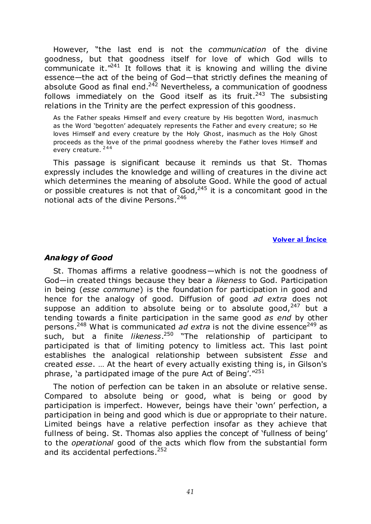However, "the last end is not the *communication* of the divine goodness, but that goodness itself for love of which God wills to communicate it. $1241$  It follows that it is knowing and willing the divine essence—the act of the being of God—that strictly defines the meaning of absolute Good as final end.<sup>242</sup> Nevertheless, a communication of goodness follows immediately on the Good itself as its fruit.<sup>243</sup> The subsisting relations in the Trinity are the perfect expression of this goodness.

As the Father speaks Himself and every creature by His begotten Word, inasmuch as the Word 'begotten' adequately represents the Father and every creature; so He loves Himself and every creature by the Holy Ghost, inasmuch as the Holy Ghost proceeds as the love of the primal goodness whereby the Father loves Himself and every creature. <sup>244</sup>

This passage is significant because it reminds us that St. Thomas expressly includes the knowledge and willing of creatures in the divine act which determines the meaning of absolute Good. While the good of actual or possible creatures is not that of God,  $245$  it is a concomitant good in the notional acts of the divine Persons.<sup>246</sup>

## **Volver al Íncice**

# *Analogy of Good*

St. Thomas affirms a relative goodness—which is not the goodness of God—in created things because they bear a *likeness* to God. Participation in being (*esse commune*) is the foundation for participation in good and hence for the analogy of good. Diffusion of good *ad extra* does not suppose an addition to absolute being or to absolute good,  $247$  but a tending towards a finite participation in the same good *as end* by other persons.<sup>248</sup> What is communicated *ad extra* is not the divine essence<sup>249</sup> as such, but a finite *likeness*.<sup>250</sup> "The relationship of participant to participated is that of limiting potency to limitless act. This last point establishes the analogical relationship between subsistent *Esse* and created *esse*. … At the heart of every actually existing thing is, in Gilson's phrase, 'a participated image of the pure Act of Being'. $"^{251}$ 

The notion of perfection can be taken in an absolute or relative sense. Compared to absolute being or good, what is being or good by participation is imperfect. However, beings have their 'own' perfection, a participation in being and good which is due or appropriate to their nature. Limited beings have a relative perfection insofar as they achieve that fullness of being. St. Thomas also applies the concept of 'fullness of being' to the *operational* good of the acts which flow from the substantial form and its accidental perfections.<sup>252</sup>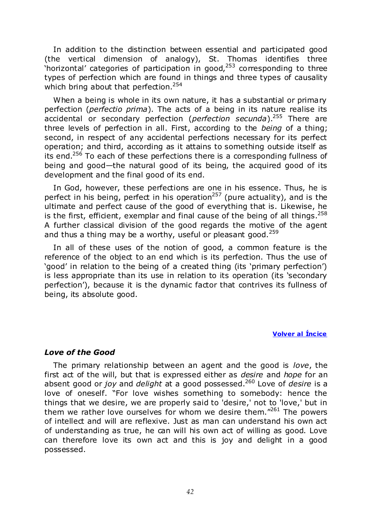In addition to the distinction between essential and participated good (the vertical dimension of analogy), St. Thomas identifies three 'horizontal' categories of participation in good, $253$  corresponding to three types of perfection which are found in things and three types of causality which bring about that perfection.  $254$ 

When a being is whole in its own nature, it has a substantial or primary perfection (*perfectio prima*). The acts of a being in its nature realise its accidental or secondary perfection (*perfection secunda*). <sup>255</sup> There are three levels of perfection in all. First, according to the *being* of a thing; second, in respect of any accidental perfections necessary for its perfect operation; and third, according as it attains to something outside itself as its end.<sup>256</sup> To each of these perfections there is a corresponding fullness of being and good—the natural good of its being, the acquired good of its development and the final good of its end.

In God, however, these perfections are one in his essence. Thus, he is perfect in his being, perfect in his operation<sup>257</sup> (pure actuality), and is the ultimate and perfect cause of the good of everything that is. Likewise, he is the first, efficient, exemplar and final cause of the being of all things.  $258$ A further classical division of the good regards the motive of the agent and thus a thing may be a worthy, useful or pleasant good.<sup>259</sup>

In all of these uses of the notion of good, a common feature is the reference of the object to an end which is its perfection. Thus the use of ‗good' in relation to the being of a created thing (its ‗primary perfection') is less appropriate than its use in relation to its operation (its 'secondary perfection'), because it is the dynamic factor that contrives its fullness of being, its absolute good.

#### **Volver al Íncice**

## *Love of the Good*

The primary relationship between an agent and the good is *love*, the first act of the will, but that is expressed either as *desire* and *hope* for an absent good or *joy* and *delight* at a good possessed.<sup>260</sup> Love of *desire* is a love of oneself. "For love wishes something to somebody: hence the things that we desire, we are properly said to 'desire,' not to 'love,' but in them we rather love ourselves for whom we desire them." $261$  The powers of intellect and will are reflexive. Just as man can understand his own act of understanding as true, he can will his own act of willing as good. Love can therefore love its own act and this is joy and delight in a good possessed.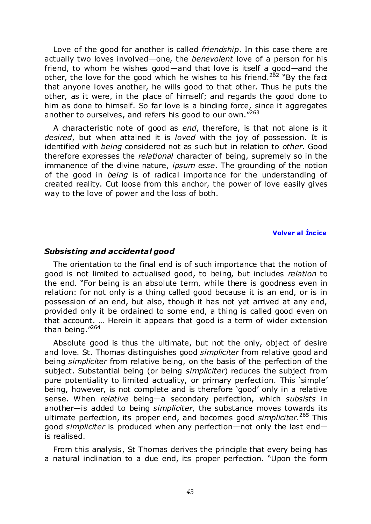Love of the good for another is called *friendship*. In this case there are actually two loves involved—one, the *benevolent* love of a person for his friend, to whom he wishes good—and that love is itself a good—and the other, the love for the good which he wishes to his friend.<sup>262</sup> "By the fact that anyone loves another, he wills good to that other. Thus he puts the other, as it were, in the place of himself; and regards the good done to him as done to himself. So far love is a binding force, since it aggregates another to ourselves, and refers his good to our own."263

A characteristic note of good as *end*, therefore, is that not alone is it *desired*, but when attained it is *loved* with the joy of possession. It is identified with *being* considered not as such but in relation to *other*. Good therefore expresses the *relational* character of being, supremely so in the immanence of the divine nature, *ipsum esse*. The grounding of the notion of the good in *being* is of radical importance for the understanding of created reality. Cut loose from this anchor, the power of love easily gives way to the love of power and the loss of both.

#### **Volver al Íncice**

#### *Subsisting and accidental good*

The orientation to the final end is of such importance that the notion of good is not limited to actualised good, to being, but includes *relation* to the end. "For being is an absolute term, while there is goodness even in relation: for not only is a thing called good because it is an end, or is in possession of an end, but also, though it has not yet arrived at any end, provided only it be ordained to some end, a thing is called good even on that account. … Herein it appears that good is a term of wider extension than being."264

Absolute good is thus the ultimate, but not the only, object of desire and love. St. Thomas distinguishes good *simpliciter* from relative good and being *simpliciter* from relative being, on the basis of the perfection of the subject. Substantial being (or being *simpliciter*) reduces the subject from pure potentiality to limited actuality, or primary perfection. This 'simple' being, however, is not complete and is therefore 'good' only in a relative sense. When *relative* being—a secondary perfection, which *subsists* in another—is added to being *simpliciter*, the substance moves towards its ultimate perfection, its proper end, and becomes good *simpliciter*. <sup>265</sup> This good *simpliciter* is produced when any perfection—not only the last end is realised.

From this analysis, St Thomas derives the principle that every being has a natural inclination to a due end, its proper perfection. "Upon the form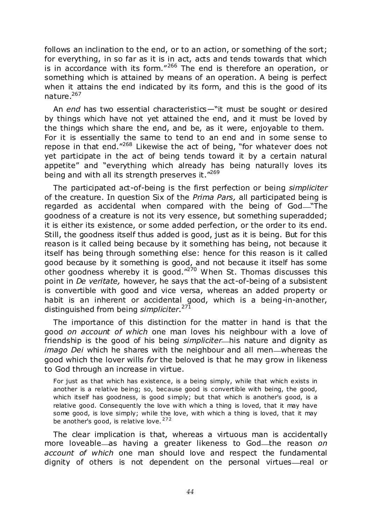follows an inclination to the end, or to an action, or something of the sort; for everything, in so far as it is in act, acts and tends towards that which is in accordance with its form." $266$  The end is therefore an operation, or something which is attained by means of an operation. A being is perfect when it attains the end indicated by its form, and this is the good of its nature.<sup>267</sup>

An *end* has two essential characteristics—"it must be sought or desired by things which have not yet attained the end, and it must be loved by the things which share the end, and be, as it were, enjoyable to them. For it is essentially the same to tend to an end and in some sense to repose in that end.<sup> $1268$ </sup> Likewise the act of being, "for whatever does not yet participate in the act of being tends toward it by a certain natural appetite" and "everything which already has being naturally loves its being and with all its strength preserves it. $"^{269}$ 

The participated act-of-being is the first perfection or being *simpliciter* of the creature. In question Six of the *Prima Pars,* all participated being is regarded as accidental when compared with the being of God-"The goodness of a creature is not its very essence, but something superadded; it is either its existence, or some added perfection, or the order to its end. Still, the goodness itself thus added is good, just as it is being. But for this reason is it called being because by it something has being, not because it itself has being through something else: hence for this reason is it called good because by it something is good, and not because it itself has some other goodness whereby it is good.<sup> $n^{270}$ </sup> When St. Thomas discusses this point in *De veritate,* however*,* he says that the act-of-being of a subsistent is convertible with good and vice versa, whereas an added property or habit is an inherent or accidental good, which is a being-in-another, distinguished from being *simpliciter*. 271

The importance of this distinction for the matter in hand is that the good *on account of which* one man loves his neighbour with a love of friendship is the good of his being *simpliciter*—his nature and dignity as *imago Dei* which he shares with the neighbour and all men—whereas the good which the lover wills *for* the beloved is that he may grow in likeness to God through an increase in virtue.

For just as that which has existence, is a being simply, while that which exists in another is a relative being; so, because good is convertible with being, the good, which itself has goodness, is good simply; but that which is another's good, is a relative good. Consequently the love with which a thing is loved, that it may have some good, is love simply; while the love, with which a thing is loved, that it may be another's good, is relative love.  $272$ 

The clear implication is that, whereas a virtuous man is accidentally more loveable—as having a greater likeness to God—the reason *on account of which* one man should love and respect the fundamental dignity of others is not dependent on the personal virtues—real or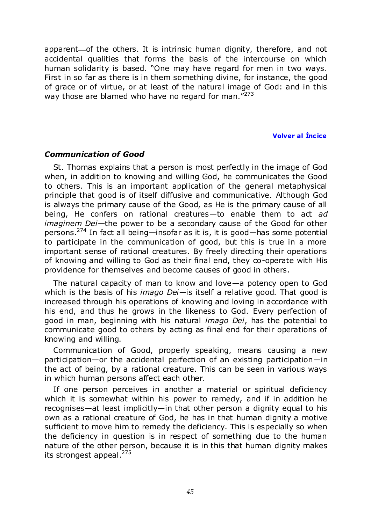apparent of the others. It is intrinsic human dignity, therefore, and not accidental qualities that forms the basis of the intercourse on which human solidarity is based. "One may have regard for men in two ways. First in so far as there is in them something divine, for instance, the good of grace or of virtue, or at least of the natural image of God: and in this way those are blamed who have no regard for man."<sup>273</sup>

# **Volver al Íncice**

# *Communication of Good*

St. Thomas explains that a person is most perfectly in the image of God when, in addition to knowing and willing God, he communicates the Good to others. This is an important application of the general metaphysical principle that good is of itself diffusive and communicative. Although God is always the primary cause of the Good, as He is the primary cause of all being, He confers on rational creatures—to enable them to act *ad imaginem Dei*—the power to be a secondary cause of the Good for other persons.<sup>274</sup> In fact all being—insofar as it is, it is good—has some potential to participate in the communication of good, but this is true in a more important sense of rational creatures. By freely directing their operations of knowing and willing to God as their final end, they co-operate with His providence for themselves and become causes of good in others.

The natural capacity of man to know and love—a potency open to God which is the basis of his *imago Dei*—is itself a relative good. That good is increased through his operations of knowing and loving in accordance with his end, and thus he grows in the likeness to God. Every perfection of good in man, beginning with his natural *imago Dei*, has the potential to communicate good to others by acting as final end for their operations of knowing and willing.

Communication of Good, properly speaking, means causing a new participation—or the accidental perfection of an existing participation—in the act of being, by a rational creature. This can be seen in various ways in which human persons affect each other.

If one person perceives in another a material or spiritual deficiency which it is somewhat within his power to remedy, and if in addition he recognises—at least implicitly—in that other person a dignity equal to his own as a rational creature of God, he has in that human dignity a motive sufficient to move him to remedy the deficiency. This is especially so when the deficiency in question is in respect of something due to the human nature of the other person, because it is in this that human dignity makes its strongest appeal.<sup>275</sup>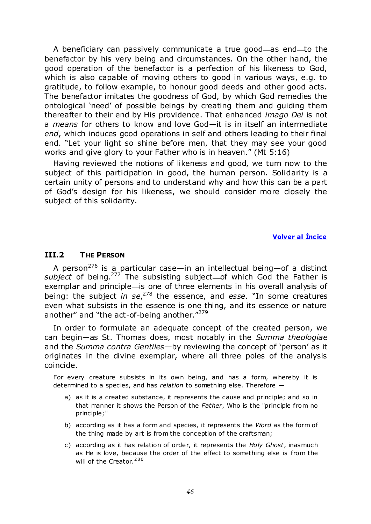A beneficiary can passively communicate a true good—as end—to the benefactor by his very being and circumstances. On the other hand, the good operation of the benefactor is a perfection of his likeness to God, which is also capable of moving others to good in various ways, e.g. to gratitude, to follow example, to honour good deeds and other good acts. The benefactor imitates the goodness of God, by which God remedies the ontological 'need' of possible beings by creating them and guiding them thereafter to their end by His providence. That enhanced *imago Dei* is not a *means* for others to know and love God—it is in itself an intermediate *end*, which induces good operations in self and others leading to their final end. "Let your light so shine before men, that they may see your good works and give glory to your Father who is in heaven." (Mt 5:16)

Having reviewed the notions of likeness and good, we turn now to the subject of this participation in good, the human person. Solidarity is a certain unity of persons and to understand why and how this can be a part of God's design for his likeness, we should consider more closely the subject of this solidarity.

#### **Volver al Íncice**

## **III.2 THE PERSON**

A person<sup>276</sup> is a particular case—in an intellectual being—of a distinct subject of being.<sup>277</sup> The subsisting subject—of which God the Father is exemplar and principle is one of three elements in his overall analysis of being: the subject *in se*,<sup>278</sup> the essence, and *esse.* "In some creatures even what subsists in the essence is one thing, and its essence or nature another" and "the act-of-being another."<sup>279</sup>

In order to formulate an adequate concept of the created person, we can begin—as St. Thomas does, most notably in the *Summa theologiae* and the *Summa contra Gentiles*—by reviewing the concept of 'person' as it originates in the divine exemplar, where all three poles of the analysis coincide.

For every creature subsists in its own being, and has a form, whereby it is determined to a species, and has *relation* to something else. Therefore —

- a) as it is a created substance, it represents the cause and principle; and so in that manner it shows the Person of the *Father*, Who is the "principle from no principle;"
- b) according as it has a form and species, it represents the *Word* as the form of the thing made by art is from the conception of the craftsman;
- c) according as it has relation of order, it represents the *Holy Ghost*, inasmuch as He is love, because the order of the effect to something else is from the will of the Creator.<sup>280</sup>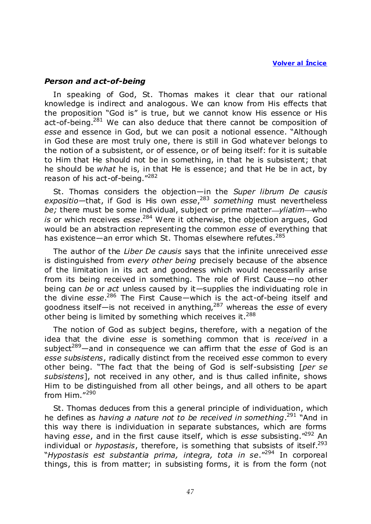#### *Person and act-of-being*

In speaking of God, St. Thomas makes it clear that our rational knowledge is indirect and analogous. We can know from His effects that the proposition "God is" is true, but we cannot know His essence or His act-of-being.<sup>281</sup> We can also deduce that there cannot be composition of esse and essence in God, but we can posit a notional essence. "Although in God these are most truly one, there is still in God whatever belongs to the notion of a subsistent, or of essence, or of being itself: for it is suitable to Him that He should not be in something, in that he is subsistent; that he should be *what* he is, in that He is essence; and that He be in act, by reason of his act-of-being."282

St. Thomas considers the objection—in the *Super librum De causis expositio*—that, if God is His own *esse*, <sup>283</sup> *something* must nevertheless *be;* there must be some individual, subject or prime matter—*yliatim*—who *is* or which receives *esse*. <sup>284</sup> Were it otherwise, the objection argues, God would be an abstraction representing the common *esse* of everything that has existence—an error which St. Thomas elsewhere refutes.<sup>285</sup>

The author of the *Liber De causis* says that the infinite unreceived *esse* is distinguished from *every other being* precisely because of the absence of the limitation in its act and goodness which would necessarily arise from its being received in something. The role of First Cause—no other being can *be* or *act* unless caused by it—supplies the individuating role in the divine *esse*. <sup>286</sup> The First Cause—which is the act-of-being itself and goodness itself—is not received in anything,<sup>287</sup> whereas the *esse* of every other being is limited by something which receives it.<sup>288</sup>

The notion of God as subject begins, therefore, with a negation of the idea that the divine *esse* is something common that is *received* in a subject<sup>289</sup>—and in consequence we can affirm that the *esse* of God is an *esse subsistens*, radically distinct from the received *esse* common to every other being. ―The fact that the being of God is self-subsisting [*per se subsistens*], not received in any other, and is thus called infinite, shows Him to be distinguished from all other beings, and all others to be apart from Him. $^{\prime\prime290}$ 

St. Thomas deduces from this a general principle of individuation, which he defines as *having a nature not to be received in something*.<sup>291</sup> "And in this way there is individuation in separate substances, which are forms having *esse*, and in the first cause itself, which is *esse* subsisting."<sup>292</sup> An individual or *hypostasis*, therefore, is something that subsists of itself.<sup>293</sup> ―*Hypostasis est substantia prima, integra, tota in se*.‖<sup>294</sup> In corporeal things, this is from matter; in subsisting forms, it is from the form (not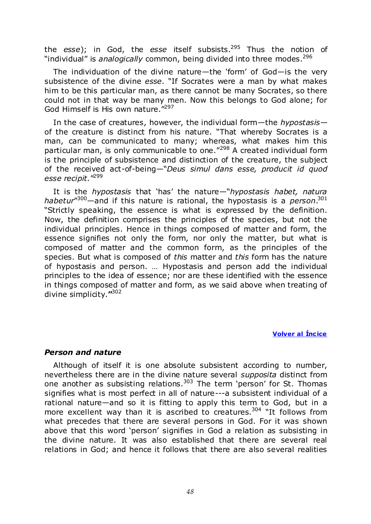the *esse*); in God, the *esse* itself subsists.<sup>295</sup> Thus the notion of "individual" is *analogically* common, being divided into three modes.<sup>296</sup>

The individuation of the divine nature—the 'form' of God—is the very subsistence of the divine *esse*. "If Socrates were a man by what makes him to be this particular man, as there cannot be many Socrates, so there could not in that way be many men. Now this belongs to God alone; for God Himself is His own nature.<sup>"297</sup>

In the case of creatures, however, the individual form—the *hypostasis* of the creature is distinct from his nature. "That whereby Socrates is a man, can be communicated to many; whereas, what makes him this particular man, is only communicable to one.<sup> $7298$ </sup> A created individual form is the principle of subsistence and distinction of the creature, the subject of the received act-of-being—"Deus simul dans esse, producit id quod esse recipit."<sup>299</sup>

It is the *hypostasis* that 'has' the nature—"*hypostasis habet, natura* habetur"<sup>300</sup>—and if this nature is rational, the hypostasis is a *person*.<sup>301</sup> ―Strictly speaking, the essence is what is expressed by the definition. Now, the definition comprises the principles of the species, but not the individual principles. Hence in things composed of matter and form, the essence signifies not only the form, nor only the matter, but what is composed of matter and the common form, as the principles of the species. But what is composed of *this* matter and *this* form has the nature of hypostasis and person. … Hypostasis and person add the individual principles to the idea of essence; nor are these identified with the essence in things composed of matter and form, as we said above when treating of divine simplicity.**"** 302

#### **Volver al Íncice**

## *Person and nature*

Although of itself it is one absolute subsistent according to number, nevertheless there are in the divine nature several *supposita* distinct from one another as subsisting relations. $303$  The term 'person' for St. Thomas signifies what is most perfect in all of nature---a subsistent individual of a rational nature—and so it is fitting to apply this term to God, but in a more excellent way than it is ascribed to creatures.<sup>304</sup> "It follows from what precedes that there are several persons in God. For it was shown above that this word 'person' signifies in God a relation as subsisting in the divine nature. It was also established that there are several real relations in God; and hence it follows that there are also several realities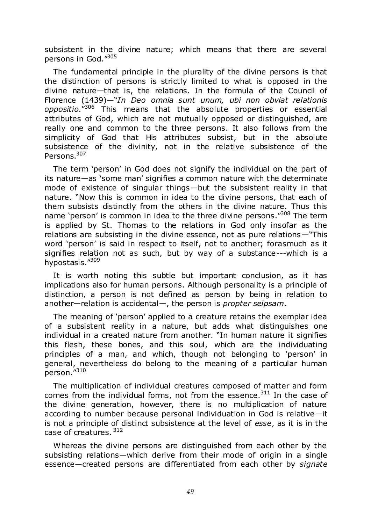subsistent in the divine nature; which means that there are several persons in God."305

The fundamental principle in the plurality of the divine persons is that the distinction of persons is strictly limited to what is opposed in the divine nature—that is, the relations. In the formula of the Council of Florence (1439)—<sup>"</sup>*In Deo omnia sunt unum, ubi non obviat relationis oppositio*.‖<sup>306</sup> This means that the absolute properties or essential attributes of God, which are not mutually opposed or distinguished, are really one and common to the three persons. It also follows from the simplicity of God that His attributes subsist, but in the absolute subsistence of the divinity, not in the relative subsistence of the Persons<sup>307</sup>

The term 'person' in God does not signify the individual on the part of its nature—as 'some man' signifies a common nature with the determinate mode of existence of singular things—but the subsistent reality in that nature. "Now this is common in idea to the divine persons, that each of them subsists distinctly from the others in the divine nature. Thus this name 'person' is common in idea to the three divine persons."<sup>308</sup> The term is applied by St. Thomas to the relations in God only insofar as the relations are subsisting in the divine essence, not as pure relations—"This word 'person' is said in respect to itself, not to another; forasmuch as it signifies relation not as such, but by way of a substance---which is a hypostasis."309

It is worth noting this subtle but important conclusion, as it has implications also for human persons. Although personality is a principle of distinction, a person is not defined as person by being in relation to another—relation is accidental—, the person is *propter seipsam*.

The meaning of 'person' applied to a creature retains the exemplar idea of a subsistent reality in a nature, but adds what distinguishes one individual in a created nature from another. "In human nature it signifies this flesh, these bones, and this soul, which are the individuating principles of a man, and which, though not belonging to 'person' in general, nevertheless do belong to the meaning of a particular human person."310

The multiplication of individual creatures composed of matter and form comes from the individual forms, not from the essence. $311$  In the case of the divine generation, however, there is no multiplication of nature according to number because personal individuation in God is relative—it is not a principle of distinct subsistence at the level of *esse*, as it is in the case of creatures.  $312$ 

Whereas the divine persons are distinguished from each other by the subsisting relations—which derive from their mode of origin in a single essence—created persons are differentiated from each other by *signate*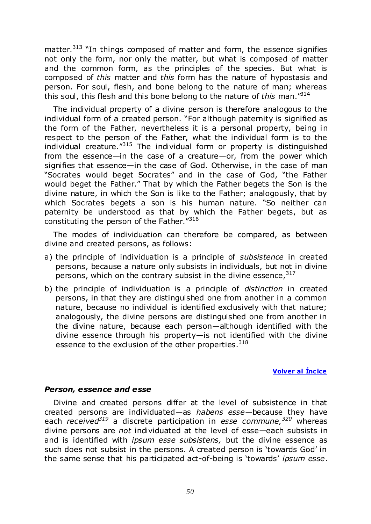matter.<sup>313</sup> "In things composed of matter and form, the essence signifies not only the form, nor only the matter, but what is composed of matter and the common form, as the principles of the species. But what is composed of *this* matter and *this* form has the nature of hypostasis and person. For soul, flesh, and bone belong to the nature of man; whereas this soul, this flesh and this bone belong to the nature of *this* man.<sup>"314</sup>

The individual property of a divine person is therefore analogous to the individual form of a created person. "For although paternity is signified as the form of the Father, nevertheless it is a personal property, being in respect to the person of the Father, what the individual form is to the individual creature.<sup> $1315$ </sup> The individual form or property is distinguished from the essence—in the case of a creature—or, from the power which signifies that essence—in the case of God. Otherwise, in the case of man "Socrates would beget Socrates" and in the case of God, "the Father would beget the Father." That by which the Father begets the Son is the divine nature, in which the Son is like to the Father; analogously, that by which Socrates begets a son is his human nature. "So neither can paternity be understood as that by which the Father begets, but as constituting the person of the Father."316

The modes of individuation can therefore be compared, as between divine and created persons, as follows:

- a) the principle of individuation is a principle of *subsistence* in created persons, because a nature only subsists in individuals, but not in divine persons, which on the contrary subsist in the divine essence,  $317$
- b) the principle of individuation is a principle of *distinction* in created persons, in that they are distinguished one from another in a common nature, because no individual is identified exclusively with that nature; analogously, the divine persons are distinguished one from another in the divine nature, because each person—although identified with the divine essence through his property—is not identified with the divine essence to the exclusion of the other properties.  $318$

#### **Volver al Íncice**

## *Person, essence and esse*

Divine and created persons differ at the level of subsistence in that created persons are individuated—as *habens esse—*because they have each *received<sup>319</sup>* a discrete participation in *esse commune,<sup>320</sup>* whereas divine persons are *not* individuated at the level of esse—each subsists in and is identified with *ipsum esse subsistens,* but the divine essence as such does not subsist in the persons. A created person is 'towards God' in the same sense that his participated act-of-being is 'towards' *ipsum esse*.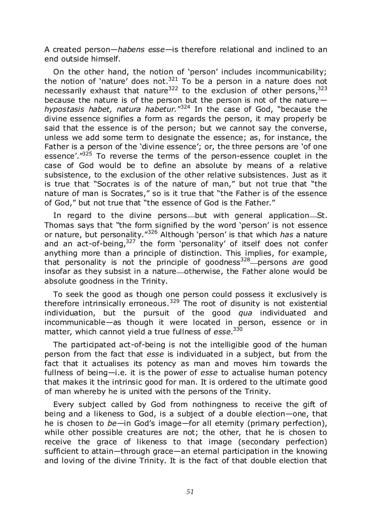A created person—*habens esse*—is therefore relational and inclined to an end outside himself.

On the other hand, the notion of 'person' includes incommunicability; the notion of 'nature' does not.<sup>321</sup> To be a person in a nature does not necessarily exhaust that nature<sup>322</sup> to the exclusion of other persons,  $323$ because the nature is of the person but the person is not of the nature hypostasis habet, natura habetur."<sup>324</sup> In the case of God, "because the divine essence signifies a form as regards the person, it may properly be said that the essence is of the person; but we cannot say the converse, unless we add some term to designate the essence; as, for instance, the Father is a person of the 'divine essence'; or, the three persons are 'of one essence'."<sup>325</sup> To reverse the terms of the person-essence couplet in the case of God would be to define an absolute by means of a relative subsistence, to the exclusion of the other relative subsistences. Just as it is true that "Socrates is of the nature of man," but not true that "the nature of man is Socrates," so is it true that "the Father is of the essence of God," but not true that "the essence of God is the Father."

In regard to the divine persons—but with general application—St. Thomas says that "the form signified by the word 'person' is not essence or nature, but personality.<sup>"326</sup> Although 'person' is that which *has* a nature and an act-of-being, $327$  the form 'personality' of itself does not confer anything more than a principle of distinction. This implies, for example, that personality is not the principle of goodness<sup>328</sup> persons *are* good insofar as they subsist in a nature—otherwise, the Father alone would be absolute goodness in the Trinity.

To seek the good as though one person could possess it exclusively is therefore intrinsically erroneous.<sup>329</sup> The root of disunity is not existential individuation, but the pursuit of the good *qua* individuated and incommunicable—as though it were located in person, essence or in matter, which cannot yield a true fullness of *esse*. 330

The participated act-of-being is not the intelligible good of the human person from the fact that *esse* is individuated in a subject, but from the fact that it actualises its potency as man and moves him towards the fullness of being—i.e. it is the power of *esse* to actualise human potency that makes it the intrinsic good for man. It is ordered to the ultimate good of man whereby he is united with the persons of the Trinity.

Every subject called by God from nothingness to receive the gift of being and a likeness to God, is a subject of a double election—one, that he is chosen to *be*—in God's image—for all eternity (primary perfection), while other possible creatures are not; the other, that he is chosen to receive the grace of likeness to that image (secondary perfection) sufficient to attain—through grace—an eternal participation in the knowing and loving of the divine Trinity. It is the fact of that double election that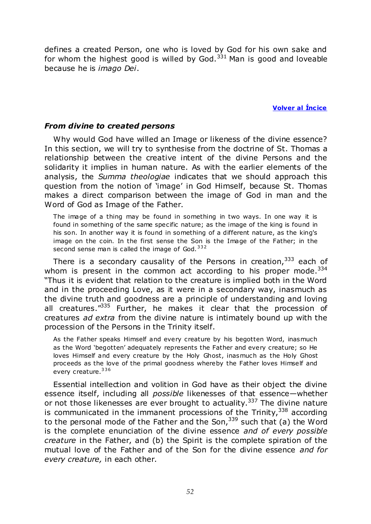defines a created Person, one who is loved by God for his own sake and for whom the highest good is willed by God.  $331$  Man is good and loveable because he is *imago Dei*.

**Volver al Íncice** 

#### *From divine to created persons*

Why would God have willed an Image or likeness of the divine essence? In this section, we will try to synthesise from the doctrine of St. Thomas a relationship between the creative intent of the divine Persons and the solidarity it implies in human nature. As with the earlier elements of the analysis, the *Summa theologiae* indicates that we should approach this question from the notion of 'image' in God Himself, because St. Thomas makes a direct comparison between the image of God in man and the Word of God as Image of the Father.

The image of a thing may be found in something in two ways. In one way it is found in something of the same specific nature; as the image of the king is found in his son. In another way it is found in something of a different nature, as the king's image on the coin. In the first sense the Son is the Image of the Father; in the second sense man is called the image of God.  $332$ 

There is a secondary causality of the Persons in creation,  $333$  each of whom is present in the common act according to his proper mode.  $334$ ―Thus it is evident that relation to the creature is implied both in the Word and in the proceeding Love, as it were in a secondary way, inasmuch as the divine truth and goodness are a principle of understanding and loving all creatures.<sup>1335</sup> Further, he makes it clear that the procession of creatures *ad extra* from the divine nature is intimately bound up with the procession of the Persons in the Trinity itself.

As the Father speaks Himself and every creature by his begotten Word, inasmuch as the Word 'begotten' adequately represents the Father and every creature; so He loves Himself and every creature by the Holy Ghost, inasmuch as the Holy Ghost proceeds as the love of the primal goodness whereby the Father loves Himself and every creature.<sup>336</sup>

Essential intellection and volition in God have as their object the divine essence itself, including all *possible* likenesses of that essence—whether or not those likenesses are ever brought to actuality.<sup>337</sup> The divine nature is communicated in the immanent processions of the Trinity,  $338$  according to the personal mode of the Father and the Son,  $339$  such that (a) the Word is the complete enunciation of the divine essence *and of every possible creature* in the Father, and (b) the Spirit is the complete spiration of the mutual love of the Father and of the Son for the divine essence *and for every creature,* in each other.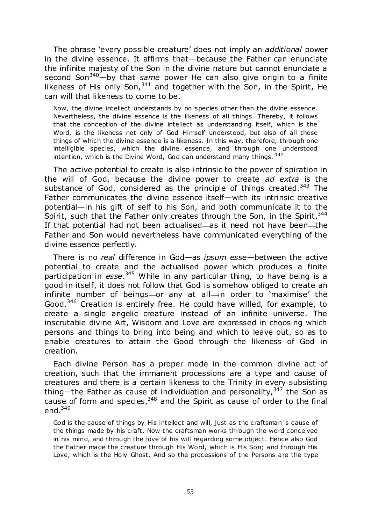The phrase ‗every possible creature' does not imply an *additional* power in the divine essence. It affirms that—because the Father can enunciate the infinite majesty of the Son in the divine nature but cannot enunciate a second Son<sup>340</sup>—by that *same* power He can also give origin to a finite likeness of His only Son,  $341$  and together with the Son, in the Spirit, He can will that likeness to come to be.

Now, the divine intellect understands by no species other than the divine essence. Nevertheless, the divine essence is the likeness of all t hings. Thereby, it follows that the conception of the divine intellect as understanding itself, which is the Word, is the likeness not only of God Himself understood, but also of all those things of which the divine essence is a likeness. In this way, therefore, through one intelligible species, which the divine essence, and through one understood intention, which is the Divine Word, God can understand many things. <sup>342</sup>

The active potential to create is also intrinsic to the power of spiration in the will of God, because the divine power to create *ad extra* is the substance of God, considered as the principle of things created. $343$  The Father communicates the divine essence itself—with its intrinsic creative potential—in his gift of self to his Son, and both communicate it to the Spirit, such that the Father only creates through the Son, in the Spirit.<sup>344</sup> If that potential had not been actualised—as it need not have been—the Father and Son would nevertheless have communicated everything of the divine essence perfectly.

There is no *real* difference in God—as *ipsum esse*—between the active potential to create and the actualised power which produces a finite participation in *esse*. <sup>345</sup> While in any particular thing, to have being is a good in itself, it does not follow that God is somehow obliged to create an infinite number of beings or any at all in order to 'maximise' the Good.<sup>346</sup> Creation is entirely free. He could have willed, for example, to create a single angelic creature instead of an infinite universe. The inscrutable divine Art, Wisdom and Love are expressed in choosing which persons and things to bring into being and which to leave out, so as to enable creatures to attain the Good through the likeness of God in creation.

Each divine Person has a proper mode in the common divine act of creation, such that the immanent processions are a type and cause of creatures and there is a certain likeness to the Trinity in every subsisting thing—the Father as cause of individuation and personality,  $347$  the Son as cause of form and species,  $348$  and the Spirit as cause of order to the final end. $349$ 

God is the cause of things by His intellect and will, just as the craftsman is cause of the things made by his craft. Now the craftsman works through the word conceived in his mind, and through the love of his will regarding some object. Hence also God the Father made the creature through His Word, which is His Son; and through His Love, which is the Holy Ghost. And so the processions of the Persons are the type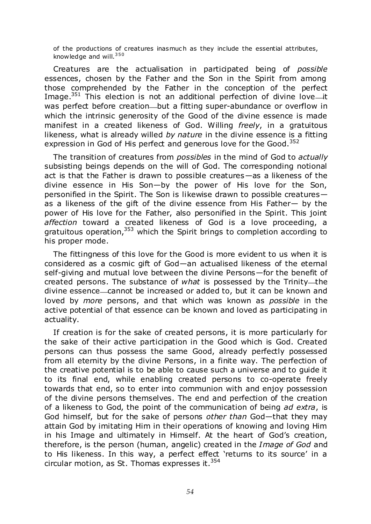of the productions of creatures inasmuch as they include the essential attributes, knowledge and will.<sup>350</sup>

Creatures are the actualisation in participated being of *possible* essences, chosen by the Father and the Son in the Spirit from among those comprehended by the Father in the conception of the perfect Image.<sup>351</sup> This election is not an additional perfection of divine love—it was perfect before creation—but a fitting super-abundance or overflow in which the intrinsic generosity of the Good of the divine essence is made manifest in a created likeness of God. Willing *freely*, in a gratuitous likeness, what is already willed *by nature* in the divine essence is a fitting expression in God of His perfect and generous love for the Good.<sup>352</sup>

The transition of creatures from *possibles* in the mind of God to *actually* subsisting beings depends on the will of God. The corresponding notional act is that the Father is drawn to possible creatures—as a likeness of the divine essence in His Son—by the power of His love for the Son, personified in the Spirit. The Son is likewise drawn to possible creatures as a likeness of the gift of the divine essence from His Father— by the power of His love for the Father, also personified in the Spirit. This joint *affection* toward a created likeness of God is a love proceeding, a gratuitous operation,<sup>353</sup> which the Spirit brings to completion according to his proper mode.

The fittingness of this love for the Good is more evident to us when it is considered as a cosmic gift of God—an actualised likeness of the eternal self-giving and mutual love between the divine Persons—for the benefit of created persons. The substance of *what* is possessed by the Trinity—the divine essence—cannot be increased or added to, but it can be known and loved by *more* persons, and that which was known as *possible* in the active potential of that essence can be known and loved as participating in actuality.

If creation is for the sake of created persons, it is more particularly for the sake of their active participation in the Good which is God. Created persons can thus possess the same Good, already perfectly possessed from all eternity by the divine Persons, in a finite way. The perfection of the creative potential is to be able to cause such a universe and to guide it to its final end, while enabling created persons to co-operate freely towards that end, so to enter into communion with and enjoy possession of the divine persons themselves. The end and perfection of the creation of a likeness to God, the point of the communication of being *ad extra*, is God himself, but for the sake of persons *other than* God—that they may attain God by imitating Him in their operations of knowing and loving Him in his Image and ultimately in Himself. At the heart of God's creation, therefore, is the person (human, angelic) created in the *Image of God* and to His likeness. In this way, a perfect effect 'returns to its source' in a circular motion, as St. Thomas expresses it.  $354$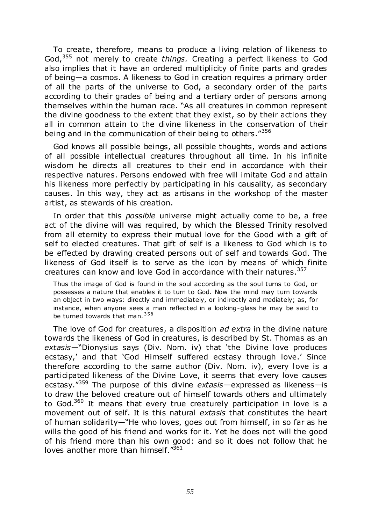To create, therefore, means to produce a living relation of likeness to God,<sup>355</sup> not merely to create *things.* Creating a perfect likeness to God also implies that it have an ordered multiplicity of finite parts and grades of being—a cosmos. A likeness to God in creation requires a primary order of all the parts of the universe to God, a secondary order of the parts according to their grades of being and a tertiary order of persons among themselves within the human race. "As all creatures in common represent the divine goodness to the extent that they exist, so by their actions they all in common attain to the divine likeness in the conservation of their being and in the communication of their being to others."<sup>356</sup>

God knows all possible beings, all possible thoughts, words and actions of all possible intellectual creatures throughout all time. In his infinite wisdom he directs all creatures to their end in accordance with their respective natures. Persons endowed with free will imitate God and attain his likeness more perfectly by participating in his causality, as secondary causes. In this way, they act as artisans in the workshop of the master artist, as stewards of his creation.

In order that this *possible* universe might actually come to be, a free act of the divine will was required, by which the Blessed Trinity resolved from all eternity to express their mutual love for the Good with a gift of self to elected creatures. That gift of self is a likeness to God which is to be effected by drawing created persons out of self and towards God. The likeness of God itself is to serve as the icon by means of which finite creatures can know and love God in accordance with their natures.<sup>357</sup>

Thus the image of God is found in the soul according as the soul turns to God, or possesses a nature that enables it to turn to God. Now the mind may turn towards an object in two ways: directly and immediately, or indirectly and mediately; as, for instance, when anyone sees a man reflected in a looking-glass he may be said to be turned towards that man. 358

The love of God for creatures, a disposition *ad extra* in the divine nature towards the likeness of God in creatures, is described by St. Thomas as an extasis—"Dionysius says (Div. Nom. iv) that 'the Divine love produces ecstasy,' and that 'God Himself suffered ecstasy through love.' Since therefore according to the same author (Div. Nom. iv), every love is a participated likeness of the Divine Love, it seems that every love causes ecstasy.‖<sup>359</sup> The purpose of this divine *extasis*—expressed as likeness—is to draw the beloved creature out of himself towards others and ultimately to God.<sup>360</sup> It means that every true creaturely participation in love is a movement out of self. It is this natural *extasis* that constitutes the heart of human solidarity—"He who loves, goes out from himself, in so far as he wills the good of his friend and works for it. Yet he does not will the good of his friend more than his own good: and so it does not follow that he loves another more than himself. $1361$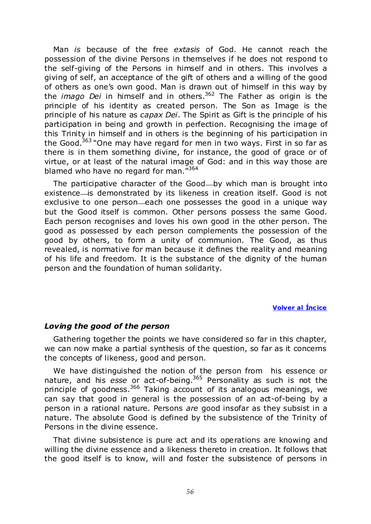Man *is* because of the free *extasis* of God. He cannot reach the possession of the divine Persons in themselves if he does not respond to the self-giving of the Persons in himself and in others. This involves a giving of self, an acceptance of the gift of others and a willing of the good of others as one's own good. Man is drawn out of himself in this way by the *imago Dei* in himself and in others.<sup>362</sup> The Father as origin is the principle of his identity as created person. The Son as Image is the principle of his nature as *capax Dei*. The Spirit as Gift is the principle of his participation in being and growth in perfection. Recognising the image of this Trinity in himself and in others is the beginning of his participation in the Good.<sup>363</sup> "One may have regard for men in two ways. First in so far as there is in them something divine, for instance, the good of grace or of virtue, or at least of the natural image of God: and in this way those are blamed who have no regard for man. $^{7364}$ 

The participative character of the Good—by which man is brought into existence is demonstrated by its likeness in creation itself. Good is not exclusive to one person—each one possesses the good in a unique way but the Good itself is common. Other persons possess the same Good. Each person recognises and loves his own good in the other person. The good as possessed by each person complements the possession of the good by others, to form a unity of communion. The Good, as thus revealed, is normative for man because it defines the reality and meaning of his life and freedom. It is the substance of the dignity of the human person and the foundation of human solidarity.

#### **Volver al Íncice**

## *Loving the good of the person*

Gathering together the points we have considered so far in this chapter, we can now make a partial synthesis of the question, so far as it concerns the concepts of likeness, good and person.

We have distinguished the notion of the person from his essence or nature, and his *esse* or act-of-being.<sup>365</sup> Personality as such is not the principle of goodness.<sup>366</sup> Taking account of its analogous meanings, we can say that good in general is the possession of an act-of-being by a person in a rational nature. Persons *are* good insofar as they subsist in a nature. The absolute Good is defined by the subsistence of the Trinity of Persons in the divine essence.

That divine subsistence is pure act and its operations are knowing and willing the divine essence and a likeness thereto in creation. It follows that the good itself is to know, will and foster the subsistence of persons in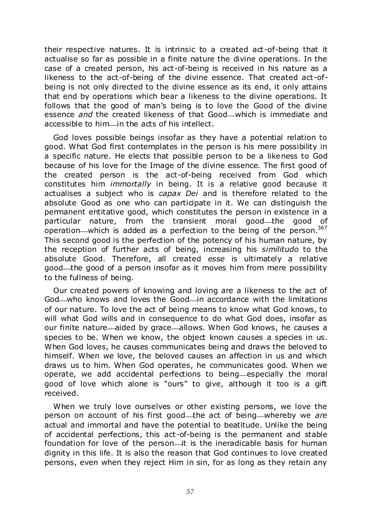their respective natures. It is intrinsic to a created act-of-being that it actualise so far as possible in a finite nature the divine operations. In the case of a created person, his act-of-being is received in his nature as a likeness to the act-of-being of the divine essence. That created act-ofbeing is not only directed to the divine essence as its end, it only attains that end by operations which bear a likeness to the divine operations. It follows that the good of man's being is to love the Good of the divine essence *and* the created likeness of that Good—which is immediate and accessible to him—in the acts of his intellect.

God loves possible beings insofar as they have a potential relation to good. What God first contemplates in the person is his mere possibility in a specific nature. He elects that possible person to be a likeness to God because of his love for the Image of the divine essence. The first good of the created person is the act-of-being received from God which constitutes him *immortally* in being. It is a relative good because it actualises a subject who is *capax Dei* and is therefore related to the absolute Good as one who can participate in it. We can distinguish the permanent entitative good, which constitutes the person in existence in a particular nature, from the transient moral good the good of operation—which is added as a perfection to the being of the person.  $367$ This second good is the perfection of the potency of his human nature, by the reception of further acts of being, increasing his *similitudo* to the absolute Good. Therefore, all created *esse* is ultimately a relative good—the good of a person insofar as it moves him from mere possibility to the fullness of being.

Our created powers of knowing and loving are a likeness to the act of God—who knows and loves the Good—in accordance with the limitations of our nature. To love the act of being means to know what God knows, to will what God wills and in consequence to do what God does, insofar as our finite nature—aided by grace—allows. When God knows, he causes a species to be. When we know, the object known causes a species in us. When God loves, he causes communicates being and draws the beloved to himself. When we love, the beloved causes an affection in us and which draws us to him. When God operates, he communicates good. When we operate, we add accidental perfections to being—especially the moral good of love which alone is "ours" to give, although it too is a gift received.

When we truly love ourselves or other existing persons, we love the person on account of his first good—the act of being—whereby we are actual and immortal and have the potential to beatitude. Unlike the being of accidental perfections, this act-of-being is the permanent and stable foundation for love of the person-it is the ineradicable basis for human dignity in this life. It is also the reason that God continues to love created persons, even when they reject Him in sin, for as long as they retain any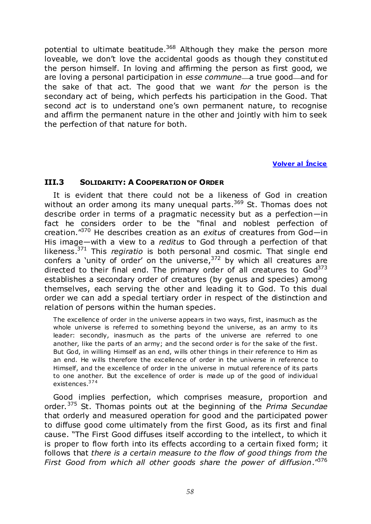potential to ultimate beatitude.<sup>368</sup> Although they make the person more loveable, we don't love the accidental goods as though they constituted the person himself. In loving and affirming the person as first good, we are loving a personal participation in *esse commune*—a true good—and for the sake of that act. The good that we want *for* the person is the secondary act of being, which perfects his participation in the Good. That second *act* is to understand one's own permanent nature, to recognise and affirm the permanent nature in the other and jointly with him to seek the perfection of that nature for both.

# **Volver al Íncice**

## **III.3 SOLIDARITY: A COOPERATION OF ORDER**

It is evident that there could not be a likeness of God in creation without an order among its many unequal parts.<sup>369</sup> St. Thomas does not describe order in terms of a pragmatic necessity but as a perfection—in fact he considers order to be the "final and noblest perfection of creation.<sup>"370</sup> He describes creation as an *exitus* of creatures from God-in His image—with a view to a *reditus* to God through a perfection of that likeness.<sup>371</sup> This *regiratio* is both personal and cosmic. That single end confers a 'unity of order' on the universe,  $372$  by which all creatures are directed to their final end. The primary order of all creatures to  $God<sup>373</sup>$ establishes a secondary order of creatures (by genus and species) among themselves, each serving the other and leading it to God. To this dual order we can add a special tertiary order in respect of the distinction and relation of persons within the human species.

The excellence of order in the universe appears in two ways, first, inasmuch as the whole universe is referred to something beyond the universe, as an army to its leader: secondly, inasmuch as the parts of the universe are referred to one another, like the parts of an army; and the second order is for the sake of the first. But God, in willing Himself as an end, wills other things in their reference to Him as an end. He wills therefore the excellence of order in the universe in reference to Himself, and the excellence of order in the universe in mutual reference of its parts to one another. But the excellence of order is made up of the good of individual existences.<sup>374</sup>

Good implies perfection, which comprises measure, proportion and order.<sup>375</sup> St. Thomas points out at the beginning of the *Prima Secundae* that orderly and measured operation for good and the participated power to diffuse good come ultimately from the first Good, as its first and final cause. ―The First Good diffuses itself according to the intellect, to which it is proper to flow forth into its effects according to a certain fixed form; it follows that *there is a certain measure to the flow of good things from the First Good from which all other goods share the power of diffusion*.‖<sup>376</sup>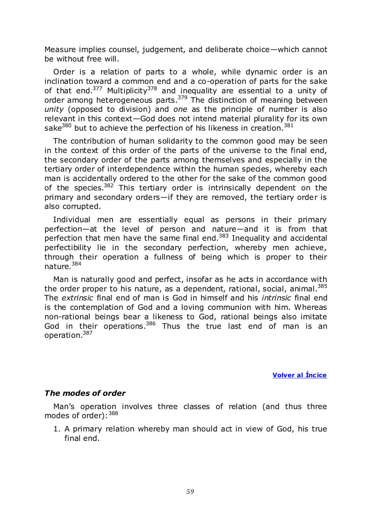Measure implies counsel, judgement, and deliberate choice—which cannot be without free will.

Order is a relation of parts to a whole, while dynamic order is an inclination toward a common end and a co-operation of parts for the sake of that end. $377$  Multiplicity<sup>378</sup> and inequality are essential to a unity of order among heterogeneous parts.<sup>379</sup> The distinction of meaning between *unity* (opposed to division) and *one* as the principle of number is also relevant in this context—God does not intend material plurality for its own sake<sup>380</sup> but to achieve the perfection of his likeness in creation.<sup>381</sup>

The contribution of human solidarity to the common good may be seen in the context of this order of the parts of the universe to the final end, the secondary order of the parts among themselves and especially in the tertiary order of interdependence within the human species, whereby each man is accidentally ordered to the other for the sake of the common good of the species.<sup>382</sup> This tertiary order is intrinsically dependent on the primary and secondary orders—if they are removed, the tertiary order is also corrupted.

Individual men are essentially equal as persons in their primary perfection—at the level of person and nature—and it is from that perfection that men have the same final end. $383$  Inequality and accidental perfectibility lie in the secondary perfection, whereby men achieve, through their operation a fullness of being which is proper to their nature*.* 384

Man is naturally good and perfect, insofar as he acts in accordance with the order proper to his nature, as a dependent, rational, social, animal. $385$ The *extrinsic* final end of man is God in himself and his *intrinsic* final end is the contemplation of God and a loving communion with him. Whereas non-rational beings bear a likeness to God, rational beings also imitate God in their operations.<sup>386</sup> Thus the true last end of man is an operation.<sup>387</sup>

**Volver al Íncice** 

# *The modes of order*

Man's operation involves three classes of relation (and thus three modes of order):  $388$ 

1. A primary relation whereby man should act in view of God, his true final end.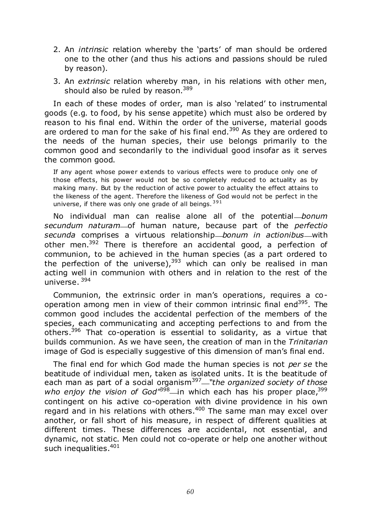- 2. An *intrinsic* relation whereby the 'parts' of man should be ordered one to the other (and thus his actions and passions should be ruled by reason).
- 3. An *extrinsic* relation whereby man, in his relations with other men, should also be ruled by reason.<sup>389</sup>

In each of these modes of order, man is also 'related' to instrumental goods (e.g. to food, by his sense appetite) which must also be ordered by reason to his final end. Within the order of the universe, material goods are ordered to man for the sake of his final end.<sup>390</sup> As they are ordered to the needs of the human species, their use belongs primarily to the common good and secondarily to the individual good insofar as it serves the common good.

If any agent whose power extends to various effects were to produce only one of those effects, his power would not be so completely reduced to actuality as by making many. But by the reduction of active power to actuality the effect attains to the likeness of the agent. Therefore the likeness of God would not be perfect in the universe, if there was only one grade of all beings. 391

No individual man can realise alone all of the potential *bonum secundum naturam* of human nature, because part of the *perfectio secunda* comprises a virtuous relationship *bonum in actionibus* with other men.<sup>392</sup> There is therefore an accidental good, a perfection of communion, to be achieved in the human species (as a part ordered to the perfection of the universe),  $393$  which can only be realised in man acting well in communion with others and in relation to the rest of the universe. <sup>394</sup>

Communion, the extrinsic order in man's operations, requires a cooperation among men in view of their common intrinsic final end<sup>395</sup>. The common good includes the accidental perfection of the members of the species, each communicating and accepting perfections to and from the others.<sup>396</sup> That co-operation is essential to solidarity, as a virtue that builds communion. As we have seen, the creation of man in the *Trinitarian* image of God is especially suggestive of this dimension of man's final end.

The final end for which God made the human species is not *per se* the beatitude of individual men, taken as isolated units. It is the beatitude of each man as part of a social organism<sup>397</sup>—"the organized society of those *who enjoy the vision of God<sup>1398</sup>* in which each has his proper place,<sup>399</sup> contingent on his active co-operation with divine providence in his own regard and in his relations with others.<sup>400</sup> The same man may excel over another, or fall short of his measure, in respect of different qualities at different times. These differences are accidental, not essential, and dynamic, not static. Men could not co-operate or help one another without such inequalities.<sup>401</sup>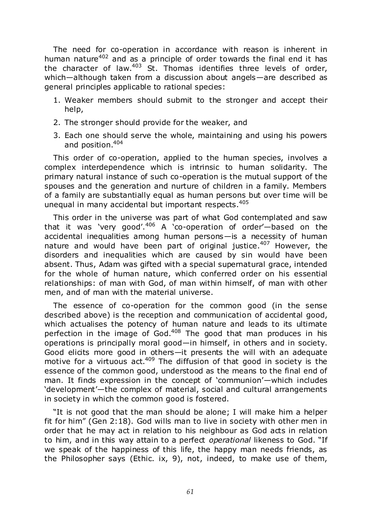The need for co-operation in accordance with reason is inherent in human nature<sup>402</sup> and as a principle of order towards the final end it has the character of law.<sup>403</sup> St. Thomas identifies three levels of order, which—although taken from a discussion about angels—are described as general principles applicable to rational species:

- 1. Weaker members should submit to the stronger and accept their help,
- 2. The stronger should provide for the weaker, and
- 3. Each one should serve the whole, maintaining and using his powers and position. 404

This order of co-operation, applied to the human species, involves a complex interdependence which is intrinsic to human solidarity. The primary natural instance of such co-operation is the mutual support of the spouses and the generation and nurture of children in a family. Members of a family are substantially equal as human persons but over time will be unequal in many accidental but important respects.<sup>405</sup>

This order in the universe was part of what God contemplated and saw that it was 'very good'.<sup>406</sup> A 'co-operation of order'-based on the accidental inequalities among human persons—is a necessity of human nature and would have been part of original justice.<sup>407</sup> However, the disorders and inequalities which are caused by sin would have been absent. Thus, Adam was gifted with a special supernatural grace, intended for the whole of human nature, which conferred order on his essential relationships: of man with God, of man within himself, of man with other men, and of man with the material universe.

The essence of co-operation for the common good (in the sense described above) is the reception and communication of accidental good, which actualises the potency of human nature and leads to its ultimate perfection in the image of God.<sup>408</sup> The good that man produces in his operations is principally moral good—in himself, in others and in society. Good elicits more good in others—it presents the will with an adequate motive for a virtuous  $act.<sup>409</sup>$  The diffusion of that good in society is the essence of the common good, understood as the means to the final end of man. It finds expression in the concept of 'communion'—which includes 'development'-the complex of material, social and cultural arrangements in society in which the common good is fostered.

"It is not good that the man should be alone; I will make him a helper fit for him" (Gen 2:18). God wills man to live in society with other men in order that he may act in relation to his neighbour as God acts in relation to him, and in this way attain to a perfect *operational* likeness to God. "If we speak of the happiness of this life, the happy man needs friends, as the Philosopher says (Ethic. ix, 9), not, indeed, to make use of them,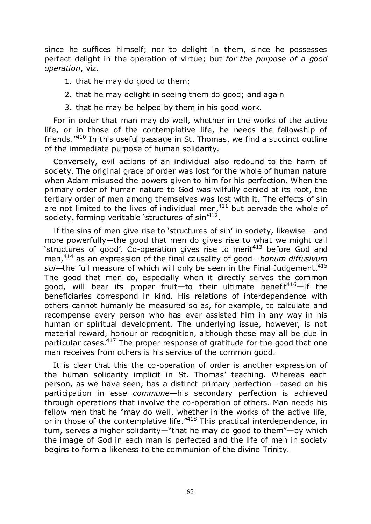since he suffices himself; nor to delight in them, since he possesses perfect delight in the operation of virtue; but *for the purpose of a good operation*, viz.

- 1. that he may do good to them;
- 2. that he may delight in seeing them do good; and again
- 3. that he may be helped by them in his good work.

For in order that man may do well, whether in the works of the active life, or in those of the contemplative life, he needs the fellowship of friends. $410$  In this useful passage in St. Thomas, we find a succinct outline of the immediate purpose of human solidarity.

Conversely, evil actions of an individual also redound to the harm of society. The original grace of order was lost for the whole of human nature when Adam misused the powers given to him for his perfection. When the primary order of human nature to God was wilfully denied at its root, the tertiary order of men among themselves was lost with it. The effects of sin are not limited to the lives of individual men,  $411$  but pervade the whole of society, forming veritable 'structures of sin'<sup>412</sup>.

If the sins of men give rise to 'structures of sin' in society, likewise—and more powerfully—the good that men do gives rise to what we might call 'structures of good'. Co-operation gives rise to merit<sup>413</sup> before God and men,<sup>414</sup> as an expression of the final causality of good—*bonum diffusivum*  sui-the full measure of which will only be seen in the Final Judgement.<sup>415</sup> The good that men do, especially when it directly serves the common good, will bear its proper fruit—to their ultimate benefit<sup>416</sup>—if the beneficiaries correspond in kind. His relations of interdependence with others cannot humanly be measured so as, for example, to calculate and recompense every person who has ever assisted him in any way in his human or spiritual development. The underlying issue, however, is not material reward, honour or recognition, although these may all be due in particular cases.<sup>417</sup> The proper response of gratitude for the good that one man receives from others is his service of the common good.

It is clear that this the co-operation of order is another expression of the human solidarity implicit in St. Thomas' teaching. Whereas each person, as we have seen, has a distinct primary perfection—based on his participation in *esse commune*—his secondary perfection is achieved through operations that involve the co-operation of others. Man needs his fellow men that he "may do well, whether in the works of the active life, or in those of the contemplative life.<sup>"418</sup> This practical interdependence, in turn, serves a higher solidarity—"that he may do good to them"—by which the image of God in each man is perfected and the life of men in society begins to form a likeness to the communion of the divine Trinity.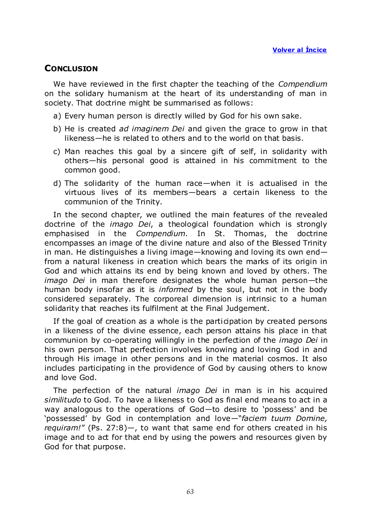# **CONCLUSION**

We have reviewed in the first chapter the teaching of the *Compendium* on the solidary humanism at the heart of its understanding of man in society. That doctrine might be summarised as follows:

a) Every human person is directly willed by God for his own sake.

- b) He is created *ad imaginem Dei* and given the grace to grow in that likeness—he is related to others and to the world on that basis.
- c) Man reaches this goal by a sincere gift of self, in solidarity with others—his personal good is attained in his commitment to the common good.
- d) The solidarity of the human race—when it is actualised in the virtuous lives of its members—bears a certain likeness to the communion of the Trinity.

In the second chapter, we outlined the main features of the revealed doctrine of the *imago Dei*, a theological foundation which is strongly emphasised in the *Compendium*. In St. Thomas, the doctrine encompasses an image of the divine nature and also of the Blessed Trinity in man. He distinguishes a living image—knowing and loving its own end from a natural likeness in creation which bears the marks of its origin in God and which attains its end by being known and loved by others. The *imago Dei* in man therefore designates the whole human person—the human body insofar as it is *informed* by the soul, but not in the body considered separately. The corporeal dimension is intrinsic to a human solidarity that reaches its fulfilment at the Final Judgement.

If the goal of creation as a whole is the participation by created persons in a likeness of the divine essence, each person attains his place in that communion by co-operating willingly in the perfection of the *imago Dei* in his own person. That perfection involves knowing and loving God in and through His image in other persons and in the material cosmos. It also includes participating in the providence of God by causing others to know and love God.

The perfection of the natural *imago Dei* in man is in his acquired *similitudo* to God. To have a likeness to God as final end means to act in a way analogous to the operations of God-to desire to 'possess' and be ‗possessed' by God in contemplation and love—―*faciem tuum Domine, requiram!*‖ (Ps. 27:8)—, to want that same end for others created in his image and to act for that end by using the powers and resources given by God for that purpose.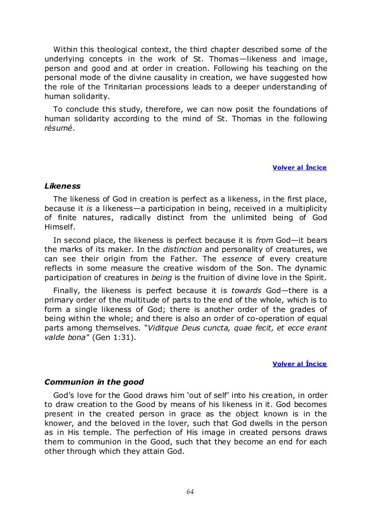Within this theological context, the third chapter described some of the underlying concepts in the work of St. Thomas—likeness and image, person and good and at order in creation. Following his teaching on the personal mode of the divine causality in creation, we have suggested how the role of the Trinitarian processions leads to a deeper understanding of human solidarity.

To conclude this study, therefore, we can now posit the foundations of human solidarity according to the mind of St. Thomas in the following *résumé*.

#### **Volver al Íncice**

#### *Likeness*

The likeness of God in creation is perfect as a likeness, in the first place, because it *is* a likeness—a participation in being, received in a multiplicity of finite natures, radically distinct from the unlimited being of God Himself.

In second place, the likeness is perfect because it is *from* God—it bears the marks of its maker. In the *distinction* and personality of creatures, we can see their origin from the Father. The *essence* of every creature reflects in some measure the creative wisdom of the Son. The dynamic participation of creatures in *being* is the fruition of divine love in the Spirit.

Finally, the likeness is perfect because it is *towards* God—there is a primary order of the multitude of parts to the end of the whole, which is to form a single likeness of God; there is another order of the grades of being within the whole; and there is also an order of co-operation of equal parts among themselves. "Viditque Deus cuncta, quae fecit, et ecce erant *valde bona"* (Gen 1:31).

#### **Volver al Íncice**

## *Communion in the good*

God's love for the Good draws him 'out of self' into his creation, in order to draw creation to the Good by means of his likeness in it. God becomes present in the created person in grace as the object known is in the knower, and the beloved in the lover, such that God dwells in the person as in His temple. The perfection of His image in created persons draws them to communion in the Good, such that they become an end for each other through which they attain God.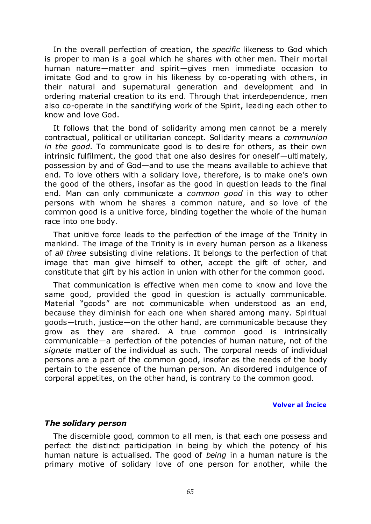In the overall perfection of creation, the *specific* likeness to God which is proper to man is a goal which he shares with other men. Their mortal human nature—matter and spirit—gives men immediate occasion to imitate God and to grow in his likeness by co-operating with others, in their natural and supernatural generation and development and in ordering material creation to its end. Through that interdependence, men also co-operate in the sanctifying work of the Spirit, leading each other to know and love God.

It follows that the bond of solidarity among men cannot be a merely contractual, political or utilitarian concept. Solidarity means a *communion in the good*. To communicate good is to desire for others, as their own intrinsic fulfilment, the good that one also desires for oneself—ultimately, possession by and of God—and to use the means available to achieve that end. To love others with a solidary love, therefore, is to make one's own the good of the others, insofar as the good in question leads to the final end. Man can only communicate a *common good* in this way to other persons with whom he shares a common nature, and so love of the common good is a unitive force, binding together the whole of the human race into one body.

That unitive force leads to the perfection of the image of the Trinity in mankind. The image of the Trinity is in every human person as a likeness of *all three* subsisting divine relations. It belongs to the perfection of that image that man give himself to other, accept the gift of other, and constitute that gift by his action in union with other for the common good.

That communication is effective when men come to know and love the same good, provided the good in question is actually communicable. Material "goods" are not communicable when understood as an end, because they diminish for each one when shared among many. Spiritual goods—truth, justice—on the other hand, are communicable because they grow as they are shared. A true common good is intrinsically communicable—a perfection of the potencies of human nature, not of the *signate* matter of the individual as such. The corporal needs of individual persons are a part of the common good, insofar as the needs of the body pertain to the essence of the human person. An disordered indulgence of corporal appetites, on the other hand, is contrary to the common good.

**Volver al Íncice** 

## *The solidary person*

The discernible good, common to all men, is that each one possess and perfect the distinct participation in being by which the potency of his human nature is actualised. The good of *being* in a human nature is the primary motive of solidary love of one person for another, while the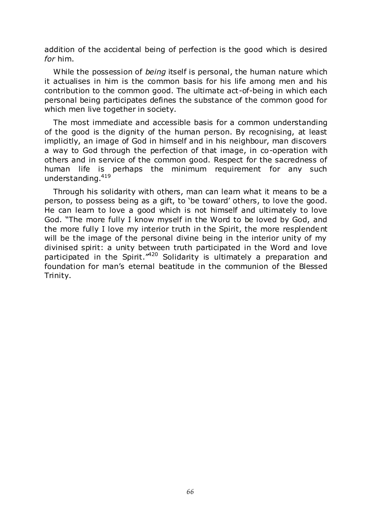addition of the accidental being of perfection is the good which is desired *for* him.

While the possession of *being* itself is personal, the human nature which it actualises in him is the common basis for his life among men and his contribution to the common good. The ultimate act-of-being in which each personal being participates defines the substance of the common good for which men live together in society.

The most immediate and accessible basis for a common understanding of the good is the dignity of the human person. By recognising, at least implicitly, an image of God in himself and in his neighbour, man discovers a way to God through the perfection of that image, in co-operation with others and in service of the common good. Respect for the sacredness of human life is perhaps the minimum requirement for any such understanding.<sup>419</sup>

Through his solidarity with others, man can learn what it means to be a person, to possess being as a gift, to 'be toward' others, to love the good. He can learn to love a good which is not himself and ultimately to love God. "The more fully I know myself in the Word to be loved by God, and the more fully I love my interior truth in the Spirit, the more resplendent will be the image of the personal divine being in the interior unity of my divinised spirit: a unity between truth participated in the Word and love participated in the Spirit.<sup> $n420$ </sup> Solidarity is ultimately a preparation and foundation for man's eternal beatitude in the communion of the Blessed Trinity.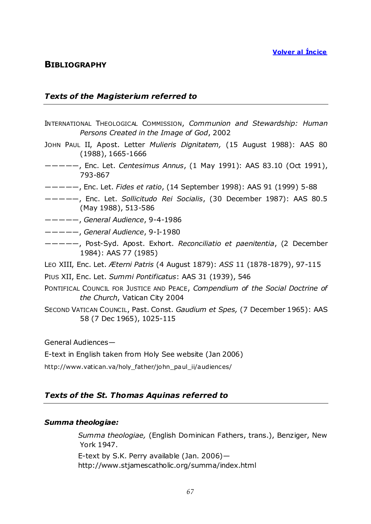# **BIBLIOGRAPHY**

#### *Texts of the Magisterium referred to*

- INTERNATIONAL THEOLOGICAL COMMISSION, *Communion and Stewardship: Human Persons Created in the Image of God*, 2002
- JOHN PAUL II, Apost. Letter *Mulieris Dignitatem,* (15 August 1988): AAS 80 (1988), 1665-1666
- ―――――, Enc. Let. *Centesimus Annus*, (1 May 1991): AAS 83.10 (Oct 1991), 793-867
- ―――――, Enc. Let. *Fides et ratio*, (14 September 1998): AAS 91 (1999) 5-88
- ―――――, Enc. Let. *Sollicitudo Rei Socialis*, (30 December 1987): AAS 80.5 (May 1988), 513-586
- ―――――, *General Audience*, 9-4-1986
- ―――――, *General Audience*, 9-I-1980
- ―――――, Post-Syd. Apost. Exhort. *Reconciliatio et paenitentia*, (2 December 1984): AAS 77 (1985)
- LEO XIII, Enc. Let. *Æterni Patris* (4 August 1879): *ASS* 11 (1878-1879), 97-115
- PIUS XII, Enc. Let. *Summi Pontificatus*: AAS 31 (1939), 546
- PONTIFICAL COUNCIL FOR JUSTICE AND PEACE, *Compendium of the Social Doctrine of the Church*, Vatican City 2004
- SECOND VATICAN COUNCIL, Past. Const. *Gaudium et Spes,* (7 December 1965): AAS 58 (7 Dec 1965), 1025-115

General Audiences—

E-text in English taken from Holy See website (Jan 2006)

http://www.vatican.va/holy\_father/john\_paul\_ii/audiences/

## *Texts of the St. Thomas Aquinas referred to*

#### *Summa theologiae:*

*Summa theologiae,* (English Dominican Fathers, trans.), Benziger, New York 1947. E-text by S.K. Perry available (Jan. 2006)—

http://www.stjamescatholic.org/summa/index.html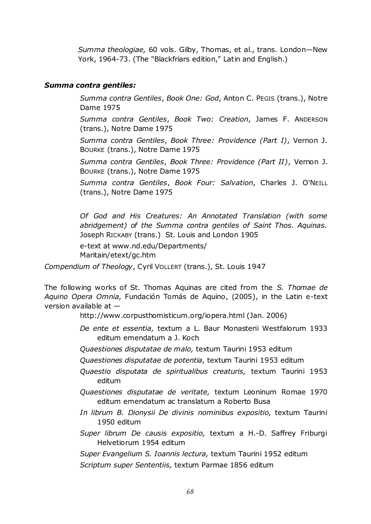*Summa theologiae,* 60 vols. Gilby, Thomas, et al., trans. London—New York, 1964-73. (The "Blackfriars edition," Latin and English.)

#### *Summa contra gentiles:*

*Summa contra Gentiles*, *Book One: God*, Anton C. PEGIS (trans.), Notre Dame 1975

*Summa contra Gentiles*, *Book Two: Creation*, James F. ANDERSON (trans.), Notre Dame 1975

*Summa contra Gentiles*, *Book Three: Providence (Part I)*, Vernon J. BOURKE (trans.), Notre Dame 1975

*Summa contra Gentiles*, *Book Three: Providence (Part II)*, Vernon J. BOURKE (trans.), Notre Dame 1975

*Summa contra Gentiles*, *Book Four: Salvation*, Charles J. O'NEILL (trans.), Notre Dame 1975

*Of God and His Creatures: An Annotated Translation (with some abridgement) of the Summa contra gentiles of Saint Thos. Aquinas.* Joseph RICKABY (trans.) St. Louis and London 1905

e-text at www.nd.edu/Departments/ Maritain/etext/gc.htm

*Compendium of Theology*, Cyril VOLLERT (trans.), St. Louis 1947

The following works of St. Thomas Aquinas are cited from the *S. Thomae de Aquino Opera Omnia,* Fundación Tomás de Aquino, (2005), in the Latin e-text version available at —

http://www.corpusthomisticum.org/iopera.html (Jan. 2006)

- *De ente et essentia,* textum a L. Baur Monasterii Westfalorum 1933 editum emendatum a J. Koch
- *Quaestiones disputatae de malo,* textum Taurini 1953 editum
- *Quaestiones disputatae de potentia,* textum Taurini 1953 editum
- *Quaestio disputata de spiritualibus creaturis,* textum Taurini 1953 editum
- *Quaestiones disputatae de veritate,* textum Leoninum Romae 1970 editum emendatum ac translatum a Roberto Busa
- *In librum B. Dionysii De divinis nominibus expositio,* textum Taurini 1950 editum
- *Super librum De causis expositio,* textum a H.-D. Saffrey Friburgi Helvetiorum 1954 editum

*Super Evangelium S. Ioannis lectura,* textum Taurini 1952 editum

*Scriptum super Sententiis,* textum Parmae 1856 editum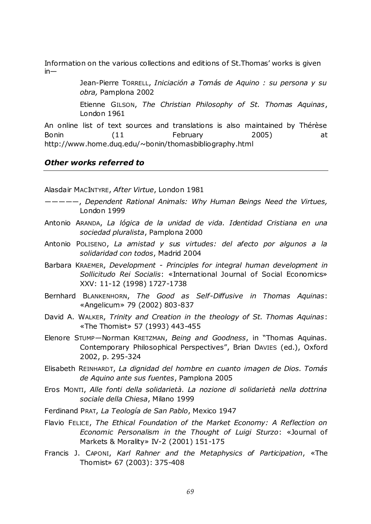Information on the various collections and editions of St.Thomas' works is given  $in-$ 

> Jean-Pierre TORRELL, *Iniciación a Tomás de Aquino : su persona y su obra,* Pamplona 2002

> Etienne GILSON, *The Christian Philosophy of St. Thomas Aquinas*, London 1961

An online list of text sources and translations is also maintained by Thérèse Bonin (11 February 2005) at http://www.home.duq.edu/~bonin/thomasbibliography.html

#### *Other works referred to*

Alasdair MACINTYRE, *After Virtue*, London 1981

- ―――――, *Dependent Rational Animals: Why Human Beings Need the Virtues,* London 1999
- Antonio ARANDA, *La lógica de la unidad de vida. Identidad Cristiana en una sociedad pluralista*, Pamplona 2000
- Antonio POLISENO, *La amistad y sus virtudes: del afecto por algunos a la solidaridad con todos*, Madrid 2004
- Barbara KRAEMER, *Development - Principles for integral human development in Sollicitudo Rei Socialis*: «International Journal of Social Economics» XXV: 11-12 (1998) 1727-1738
- Bernhard BLANKENHORN, *The Good as Self-Diffusive in Thomas Aquinas*: «Angelicum» 79 (2002) 803-837
- David A. WALKER, *Trinity and Creation in the theology of St. Thomas Aquinas*: «The Thomist» 57 (1993) 443-455
- Elenore STUMP-Norman KRETZMAN, *Being and Goodness*, in "Thomas Aquinas. Contemporary Philosophical Perspectives", Brian DAVIES (ed.), Oxford 2002, p. 295-324
- Elisabeth REINHARDT, *La dignidad del hombre en cuanto imagen de Dios. Tomás de Aquino ante sus fuentes*, Pamplona 2005
- Eros MONTI, *Alle fonti della solidarietà. La nozione di solidarietà nella dottrina sociale della Chiesa*, Milano 1999
- Ferdinand PRAT, *La Teología de San Pablo*, Mexico 1947
- Flavio FELICE, *The Ethical Foundation of the Market Economy: A Reflection on Economic Personalism in the Thought of Luigi Sturzo*: «Journal of Markets & Morality» IV-2 (2001) 151-175
- Francis J. CAPONI, *Karl Rahner and the Metaphysics of Participation*, «The Thomist» 67 (2003): 375-408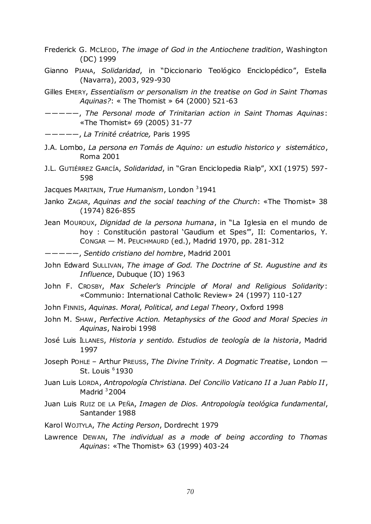- Frederick G. MCLEOD, *The image of God in the Antiochene tradition*, Washington (DC) 1999
- Gianno PIANA, Solidaridad, in "Diccionario Teológico Enciclopédico", Estella (Navarra), 2003, 929-930
- Gilles EMERY, *Essentialism or personalism in the treatise on God in Saint Thomas Aquinas?*: « The Thomist » 64 (2000) 521-63
- ―――――, *The Personal mode of Trinitarian action in Saint Thomas Aquinas*: «The Thomist» 69 (2005) 31-77
- ―――――, *La Trinité créatrice,* Paris 1995
- J.A. Lombo, *La persona en Tomás de Aquino: un estudio historico y sistemático*, Roma 2001
- J.L. GUTIÉRREZ GARCÍA, *Solidaridad*, in "Gran Enciclopedia Rialp", XXI (1975) 597-598
- Jacques MARITAIN, *True Humanism*, London<sup>3</sup>1941
- Janko ZAGAR, *Aquinas and the social teaching of the Church*: «The Thomist» 38 (1974) 826-855
- Jean Mouroux, *Dignidad de la persona humana*, in "La Iglesia en el mundo de hoy : Constitución pastoral 'Gaudium et Spes'", II: Comentarios, Y. CONGAR — M. PEUCHMAURD (ed.), Madrid 1970, pp. 281-312
- ―――――, *Sentido cristiano del hombre*, Madrid 2001
- John Edward SULLIVAN, *The image of God. The Doctrine of St. Augustine and its Influence*, Dubuque (IO) 1963
- John F. CROSBY, *Max Scheler's Principle of Moral and Religious Solidarity*: «Communio: International Catholic Review» 24 (1997) 110-127
- John FINNIS, *Aquinas. Moral, Political, and Legal Theory*, Oxford 1998
- John M. SHAW, *Perfective Action. Metaphysics of the Good and Moral Species in Aquinas*, Nairobi 1998
- José Luis ILLANES, *Historia y sentido. Estudios de teología de la historia*, Madrid 1997
- Joseph POHLE Arthur PREUSS, *The Divine Trinity. A Dogmatic Treatise*, London St. Louis  $61930$
- Juan Luis LORDA, *Antropología Christiana. Del Concilio Vaticano II a Juan Pablo II*, Madrid  $32004$
- Juan Luis RUIZ DE LA PEÑA, *Imagen de Dios. Antropología teológica fundamental*, Santander 1988
- Karol WOJTYLA, *The Acting Person*, Dordrecht 1979
- Lawrence DEWAN, *The individual as a mode of being according to Thomas Aquinas*: «The Thomist» 63 (1999) 403-24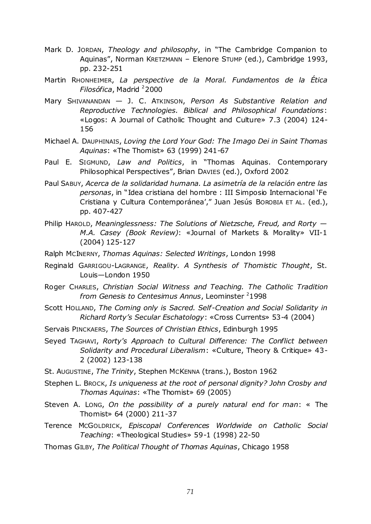- Mark D. JORDAN, *Theology and philosophy*, in "The Cambridge Companion to Aquinas", Norman KRETZMANN - Elenore STUMP (ed.), Cambridge 1993, pp. 232-251
- Martin RHONHEIMER, *La perspective de la Moral. Fundamentos de la Ética Filosófica*, Madrid <sup>2</sup>2000
- Mary SHIVANANDAN J. C. ATKINSON, *Person As Substantive Relation and Reproductive Technologies. Biblical and Philosophical Foundations*: «Logos: A Journal of Catholic Thought and Culture» 7.3 (2004) 124- 156
- Michael A. DAUPHINAIS, *Loving the Lord Your God: The Imago Dei in Saint Thomas Aquinas*: «The Thomist» 63 (1999) 241-67
- Paul E. SIGMUND, Law and Politics, in "Thomas Aquinas. Contemporary Philosophical Perspectives", Brian DAVIES (ed.), Oxford 2002
- Paul SABUY, *Acerca de la solidaridad humana. La asimetría de la relación entre las personas*, in "Idea cristiana del hombre : III Simposio Internacional 'Fe Cristiana y Cultura Contemporánea'," Juan Jesús BOROBIA ET AL. (ed.), pp. 407-427
- Philip HAROLD, *Meaninglessness: The Solutions of Nietzsche, Freud, and Rorty — M.A. Casey (Book Review)*: «Journal of Markets & Morality» VII-1 (2004) 125-127
- Ralph MCINERNY, *Thomas Aquinas: Selected Writings*, London 1998
- Reginald GARRIGOU-LAGRANGE, *Reality. A Synthesis of Thomistic Thought*, St. Louis—London 1950
- Roger CHARLES, *Christian Social Witness and Teaching. The Catholic Tradition from Genesis to Centesimus Annus*, Leominster <sup>2</sup>1998
- Scott HOLLAND, *The Coming only is Sacred. Self-Creation and Social Solidarity in Richard Rorty"s Secular Eschatology*: «Cross Currents» 53-4 (2004)
- Servais PINCKAERS, *The Sources of Christian Ethics*, Edinburgh 1995
- Seyed TAGHAVI, *Rorty's Approach to Cultural Difference: The Conflict between Solidarity and Procedural Liberalism*: «Culture, Theory & Critique» 43- 2 (2002) 123-138
- St. AUGUSTINE, *The Trinity*, Stephen MCKENNA (trans.), Boston 1962
- Stephen L. BROCK, *Is uniqueness at the root of personal dignity? John Crosby and Thomas Aquinas*: «The Thomist» 69 (2005)
- Steven A. LONG, *On the possibility of a purely natural end for man*: « The Thomist» 64 (2000) 211-37
- Terence MCGOLDRICK, *Episcopal Conferences Worldwide on Catholic Social Teaching*: «Theological Studies» 59-1 (1998) 22-50
- Thomas GILBY, *The Political Thought of Thomas Aquinas*, Chicago 1958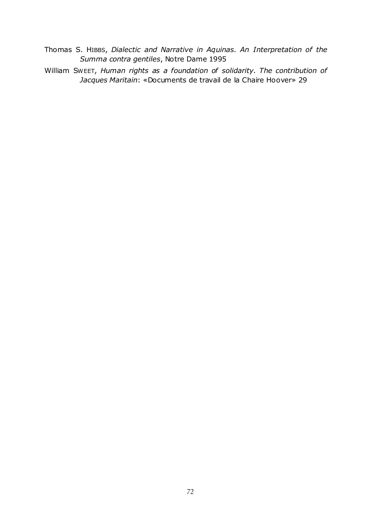- Thomas S. HIBBS, *Dialectic and Narrative in Aquinas. An Interpretation of the Summa contra gentiles*, Notre Dame 1995
- William SWEET, *Human rights as a foundation of solidarity. The contribution of Jacques Maritain*: «Documents de travail de la Chaire Hoover» 29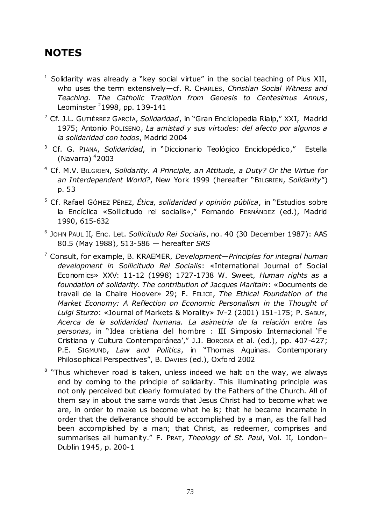## **NOTES**

- $1$  Solidarity was already a "key social virtue" in the social teaching of Pius XII, who uses the term extensively—cf. R. CHARLES, *Christian Social Witness and Teaching. The Catholic Tradition from Genesis to Centesimus Annus*, Leominster  $2$ 1998, pp. 139-141
- <sup>2</sup> Cf. J.L. GUTIÉRREZ GARCÍA, Solidaridad, in "Gran Enciclopedia Rialp," XXI, Madrid 1975; Antonio POLISENO, *La amistad y sus virtudes: del afecto por algunos a la solidaridad con todos*, Madrid 2004
- <sup>3</sup> Cf. G. PIANA, Solidaridad, in "Diccionario Teológico Enciclopédico," Estella (Navarra)  $42003$
- <sup>4</sup> Cf. M.V. BILGRIEN, *Solidarity. A Principle, an Attitude, a Duty? Or the Virtue for*  an Interdependent World?, New York 1999 (hereafter "BILGRIEN, Solidarity") p. 53
- <sup>5</sup> Cf. Rafael GÓMEZ PÉREZ, Ética, solidaridad y opinión pública, in "Estudios sobre la Encíclica «Sollicitudo rei socialis»," Fernando FERNÁNDEZ (ed.), Madrid 1990, 615-632
- 6 JOHN PAUL II, Enc. Let. *Sollicitudo Rei Socialis*, no. 40 (30 December 1987): AAS 80.5 (May 1988), 513-586 — hereafter *SRS*
- <sup>7</sup> Consult, for example, B. KRAEMER, *Development—Principles for integral human development in Sollicitudo Rei Socialis*: «International Journal of Social Economics» XXV: 11-12 (1998) 1727-1738 W. Sweet, *Human rights as a foundation of solidarity. The contribution of Jacques Maritain*: «Documents de travail de la Chaire Hoover» 29; F. FELICE, *The Ethical Foundation of the Market Economy: A Reflection on Economic Personalism in the Thought of Luigi Sturzo*: «Journal of Markets & Morality» IV-2 (2001) 151-175; P. SABUY, *Acerca de la solidaridad humana. La asimetría de la relación entre las*  personas, in "Idea cristiana del hombre : III Simposio Internacional 'Fe Cristiana y Cultura Contemporánea'," J.J. BOROBIA et al. (ed.), pp. 407-427; P.E. SIGMUND, Law and Politics, in "Thomas Aquinas. Contemporary Philosophical Perspectives", B. DavIES (ed.), Oxford 2002
- <sup>8</sup> "Thus whichever road is taken, unless indeed we halt on the way, we always end by coming to the principle of solidarity. This illuminating principle was not only perceived but clearly formulated by the Fathers of the Church. All of them say in about the same words that Jesus Christ had to become what we are, in order to make us become what he is; that he became incarnate in order that the deliverance should be accomplished by a man, as the fall had been accomplished by a man; that Christ, as redeemer, comprises and summarises all humanity.‖ F. PRAT, *Theology of St. Paul*, Vol. II, London– Dublin 1945, p. 200-1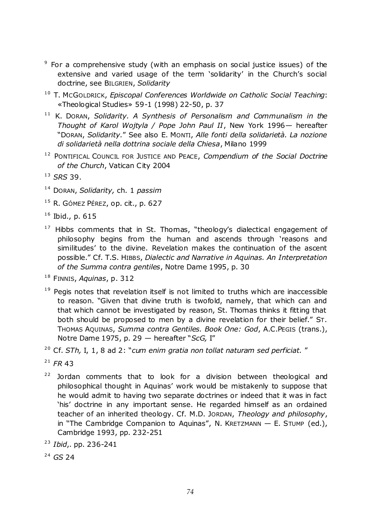- <sup>9</sup> For a comprehensive study (with an emphasis on social justice issues) of the extensive and varied usage of the term 'solidarity' in the Church's social doctrine, see BILGRIEN, *Solidarity*
- <sup>10</sup> T. McGOLDRICK, *Episcopal Conferences Worldwide on Catholic Social Teaching*: «Theological Studies» 59-1 (1998) 22-50, p. 37
- <sup>11</sup> K. Doran, *Solidarity. A Synthesis of Personalism and Communalism in the Thought of Karol Wojtyla / Pope John Paul II*, New York 1996*—* hereafter ―DORAN, *Solidarity.*‖ See also E. MONTI, *Alle fonti della solidarietà. La nozione di solidarietà nella dottrina sociale della Chiesa*, Milano 1999
- <sup>12</sup> PONTIFICAL COUNCIL FOR JUSTICE AND PEACE, *Compendium of the Social Doctrine of the Church*, Vatican City 2004

- 1 4 DORAN, *Solidarity,* ch. 1 *passim*
- $15$  R. GÓMEZ PÉREZ, op. cit., p. 627
- $16$  Ibid., p. 615
- $17$  Hibbs comments that in St. Thomas, "theology's dialectical engagement of philosophy begins from the human and ascends through 'reasons and similitudes' to the divine. Revelation makes the continuation of the ascent possible.‖ Cf. T.S. HIBBS, *Dialectic and Narrative in Aquinas. An Interpretation of the Summa contra gentiles*, Notre Dame 1995, p. 30
- 1 8 FINNIS, *Aquinas*, p. 312
- $19$  Pegis notes that revelation itself is not limited to truths which are inaccessible to reason. "Given that divine truth is twofold, namely, that which can and that which cannot be investigated by reason, St. Thomas thinks it fitting that both should be proposed to men by a divine revelation for their belief." ST. THOMAS AQUINAS, *Summa contra Gentiles. Book One: God*, A.C.PEGIS (trans.), Notre Dame 1975, p. 29 - hereafter "ScG, I"
- <sup>20</sup> Cf. *STh*, I, 1, 8 ad 2: "cum enim gratia non tollat naturam sed perficiat."
- $21$  *FR* 43
- $22$  Jordan comments that to look for a division between theological and philosophical thought in Aquinas' work would be mistakenly to suppose that he would admit to having two separate doctrines or indeed that it was in fact 'his' doctrine in any important sense. He regarded himself as an ordained teacher of an inherited theology. Cf. M.D. JORDAN, *Theology and philosophy*, in "The Cambridge Companion to Aquinas", N. KRETZMANN  $-$  E. STUMP (ed.), Cambridge 1993, pp. 232-251
- <sup>23</sup> *Ibid*,. pp. 236-241
- <sup>24</sup> *GS* 24

<sup>1 3</sup> *SRS* 39.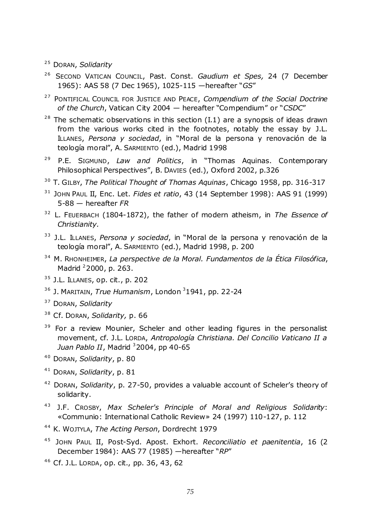- <sup>25</sup> DORAN, Solidarity
- <sup>26</sup> SECOND VATICAN COUNCIL, Past. Const. *Gaudium et Spes,* 24 (7 December 1965): AAS 58 (7 Dec 1965), 1025-115 - hereafter "GS"
- <sup>27</sup> PONTIFICAL COUNCIL FOR JUSTICE AND PEACE, *Compendium of the Social Doctrine of the Church*, Vatican City 2004 — hereafter "Compendium" or "CSDC"
- $28$  The schematic observations in this section (I.1) are a synopsis of ideas drawn from the various works cited in the footnotes, notably the essay by J.L. ILLANES, Persona y sociedad, in "Moral de la persona y renovación de la teología moral", A. SARMIENTO (ed.), Madrid 1998
- <sup>29</sup> P.E. SIGMUND, *Law and Politics*, in "Thomas Aquinas. Contemporary Philosophical Perspectives", B. DavIES (ed.), Oxford 2002, p.326
- 3 0 T. GILBY, *The Political Thought of Thomas Aquinas*, Chicago 1958, pp. 316-317
- <sup>31</sup> JOHN PAUL II, Enc. Let. *Fides et ratio*, 43 (14 September 1998): AAS 91 (1999) 5-88 — hereafter *FR*
- <sup>32</sup> L. FEUERBACH (1804-1872), the father of modern atheism, in *The Essence of Christianity.*
- <sup>33</sup> J.L. ILLANES, *Persona y sociedad*, in "Moral de la persona y renovación de la teología moral", A. SARMIENTO (ed.), Madrid 1998, p. 200
- 3 4 M. RHONHEIMER, *La perspective de la Moral. Fundamentos de la Ética Filosófica*, Madrid <sup>2</sup>2000, p. 263.
- $35$  J.L. ILLANES, op. cit., p. 202
- <sup>36</sup> J. MARITAIN, *True Humanism*, London <sup>3</sup>1941, pp. 22-24
- <sup>37</sup> DORAN, *Solidarity*
- 3 8 Cf. DORAN, *Solidarity,* p. 66
- <sup>39</sup> For a review Mounier, Scheler and other leading figures in the personalist movement, cf. J.L. LORDA, *Antropología Christiana. Del Concilio Vaticano II a Juan Pablo II*, Madrid <sup>3</sup> 2004, pp 40-65
- <sup>40</sup> DORAN, *Solidarity*, p. 80
- <sup>41</sup> DORAN, *Solidarity*, p. 81
- <sup>42</sup> DORAN, *Solidarity*, p. 27-50, provides a valuable account of Scheler's theory of solidarity.
- <sup>43</sup> J.F. CROSBY, Max Scheler's Principle of Moral and Religious Solidarity: «Communio: International Catholic Review» 24 (1997) 110-127, p. 112
- 4 4 K. WOJTYLA, *The Acting Person*, Dordrecht 1979
- <sup>45</sup> JOHN PAUL II, Post-Syd. Apost. Exhort. *Reconciliatio et paenitentia*, 16 (2 December 1984): AAS 77 (1985) - hereafter "RP"
- $46$  Cf. J.L. LORDA, op. cit., pp. 36, 43, 62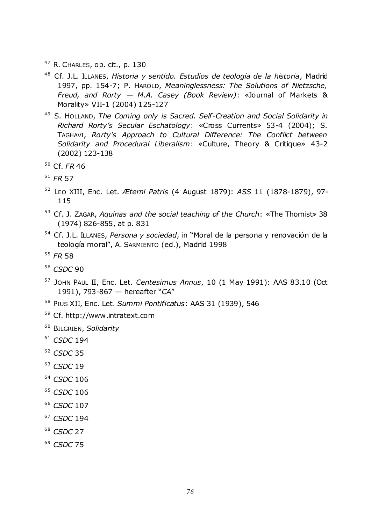- $47$  R. CHARLES, op. cit., p. 130
- <sup>48</sup> Cf. J.L. ILLANES, *Historia y sentido. Estudios de teología de la historia*, Madrid 1997, pp. 154-7; P. HAROLD, *Meaninglessness: The Solutions of Nietzsche, Freud, and Rorty — M.A. Casey (Book Review)*: «Journal of Markets & Morality» VII-1 (2004) 125-127
- <sup>49</sup> S. HOLLAND, The Coming only is Sacred. Self-Creation and Social Solidarity in *Richard Rorty"s Secular Eschatology*: «Cross Currents» 53-4 (2004); S. TAGHAVI, *Rorty's Approach to Cultural Difference: The Conflict between Solidarity and Procedural Liberalism*: «Culture, Theory & Critique» 43-2 (2002) 123-138

- 5 1 *FR* 57
- 5 2 LEO XIII, Enc. Let. *Æterni Patris* (4 August 1879): *ASS* 11 (1878-1879), 97- 115
- 5 3 Cf. J. ZAGAR, *Aquinas and the social teaching of the Church*: «The Thomist» 38 (1974) 826-855, at p. 831
- <sup>54</sup> Cf. J.L. ILLANES, *Persona y sociedad*, in "Moral de la persona y renovación de la teología moral", A. SARMIENTO (ed.), Madrid 1998
- 5 5 *FR* 58
- 56 *CSDC* 90
- <sup>57</sup> JOHN PAUL II, Enc. Let. *Centesimus Annus*, 10 (1 May 1991): AAS 83.10 (Oct 1991), 793-867 — hereafter "CA"
- 5 8 PIUS XII, Enc. Let. *Summi Pontificatus*: AAS 31 (1939), 546
- <sup>59</sup> Cf. http://www.intratext.com
- 6 0 BILGRIEN, *Solidarity*
- $61$  *CSDC* 194
- 6 2 *CSDC* 35
- <sup>63</sup> *CSDC* 19
- 6 4 *CSDC* 106
- <sup>65</sup> *CSDC* 106
- <sup>66</sup> CSDC 107
- <sup>67</sup> *CSDC* 194
- <sup>68</sup> *CSDC* 27
- <sup>69</sup> *CSDC* 75

<sup>5 0</sup> Cf. *FR* 46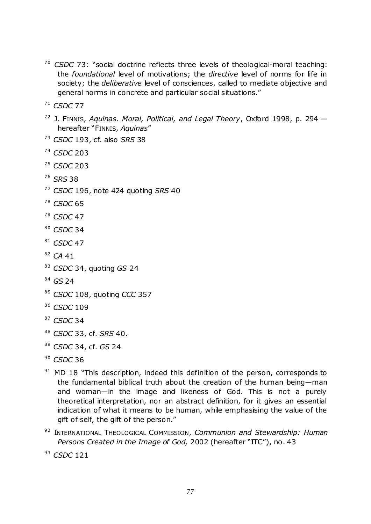- <sup>70</sup> *CSDC* 73: "social doctrine reflects three levels of theological-moral teaching: the *foundational* level of motivations; the *directive* level of norms for life in society; the *deliberative* level of consciences, called to mediate objective and general norms in concrete and particular social situations."
- <sup>71</sup> *CSDC* 77
- 7 2 J. FINNIS, *Aquinas. Moral, Political, and Legal Theory*, Oxford 1998, p. 294 hereafter "FINNIS, Aquinas"
- 7 3 *CSDC* 193, cf. also *SRS* 38
- 7 4 *CSDC* 203
- <sup>75</sup> *CSDC* 203
- 7 6 *SRS* 38
- 7 7 *CSDC* 196, note 424 quoting *SRS* 40
- <sup>78</sup> *CSDC* 65
- <sup>79</sup> *CSDC* 47
- <sup>80</sup> *CSDC* 34
- <sup>81</sup> *CSDC* 47
- 82 CA 41
- 8 3 *CSDC* 34, quoting *GS* 24
- 8 4 *GS* 24
- 8 5 *CSDC* 108, quoting *CCC* 357
- 86 *CSDC* 109
- <sup>87</sup> *CSDC* 34
- 8 8 *CSDC* 33, cf. *SRS* 40.
- 8 9 *CSDC* 34, cf. *GS* 24
- <sup>90</sup> *CSDC* 36
- $91$  MD 18 "This description, indeed this definition of the person, corresponds to the fundamental biblical truth about the creation of the human being—man and woman—in the image and likeness of God. This is not a purely theoretical interpretation, nor an abstract definition, for it gives an essential indication of what it means to be human, while emphasising the value of the gift of self, the gift of the person."
- <sup>92</sup> INTERNATIONAL THEOLOGICAL COMMISSION, *Communion and Stewardship: Human Persons Created in the Image of God,* 2002 (hereafter "ITC"), no. 43
- <sup>93</sup> *CSDC* 121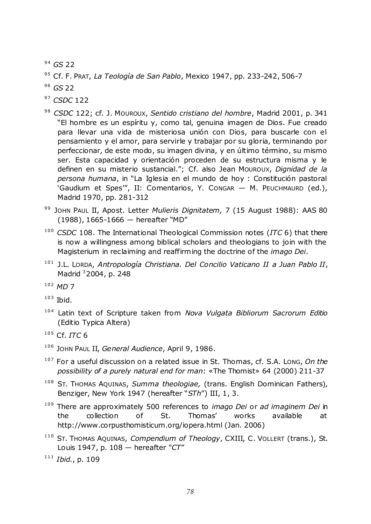<sup>94</sup> GS 22

<sup>95</sup> Cf. F. Prat, *La Teología de San Pablo*, Mexico 1947, pp. 233-242, 506-7

<sup>96</sup> GS 22

<sup>97</sup> *CSDC* 122

- <sup>98</sup> CSDC 122; cf. J. Mouroux, Sentido cristiano del hombre, Madrid 2001, p. 341 "El hombre es un espíritu y, como tal, genuina imagen de Dios. Fue creado para llevar una vida de misteriosa unión con Dios, para buscarle con el pensamiento y el amor, para servirle y trabajar por su gloria, terminando por perfeccionar, de este modo, su imagen divina, y en último término, su mismo ser. Esta capacidad y orientación proceden de su estructura misma y le definen en su misterio sustancial.‖; Cf. also Jean MOUROUX, *Dignidad de la*  persona humana, in "La Iglesia en el mundo de hoy : Constitución pastoral 'Gaudium et Spes'", II: Comentarios, Y. CONGAR - M. PEUCHMAURD (ed.), Madrid 1970, pp. 281-312
- 99 JOHN PAUL II, Apost. Letter *Mulieris Dignitatem, 7* (15 August 1988): AAS 80  $(1988)$ , 1665-1666 — hereafter "MD"
- <sup>100</sup> *CSDC* 108. The International Theological Commission notes (*ITC* 6) that there is now a willingness among biblical scholars and theologians to join with the Magisterium in reclaiming and reaffirming the doctrine of the *imago Dei*.
- <sup>101</sup> J.L. LORDA, *Antropología Christiana. Del Concilio Vaticano II a Juan Pablo II*, Madrid <sup>3</sup>2004, p. 248

 $103$  Ibid.

<sup>104</sup> Latin text of Scripture taken from *Nova Vulgata Bibliorum Sacrorum Editio*  (Editio Typica Altera)

- <sup>106</sup> JOHN PAUL II, *General Audience*, April 9, 1986.
- <sup>107</sup> For a useful discussion on a related issue in St. Thomas, cf. S.A. LONG, *On the possibility of a purely natural end for man*: «The Thomist» 64 (2000) 211-37
- <sup>108</sup> ST. THOMAS AQUINAS, *Summa theologiae,* (trans. English Dominican Fathers), Benziger, New York 1947 (hereafter "STh") III, 1, 3.
- <sup>109</sup> There are approximately 500 references to *imago Dei* or *ad imaginem Dei* in the collection of St. Thomas' works available at http://www.corpusthomisticum.org/iopera.html (Jan. 2006)
- <sup>110</sup> ST. THOMAS AQUINAS, *Compendium of Theology*, CXIII, C. VOLLERT (trans.), St. Louis 1947, p. 108 — hereafter *"CT"*

<sup>111</sup> *Ibid.*, p. 109

<sup>102</sup> *MD* 7

<sup>105</sup> Cf. *ITC* 6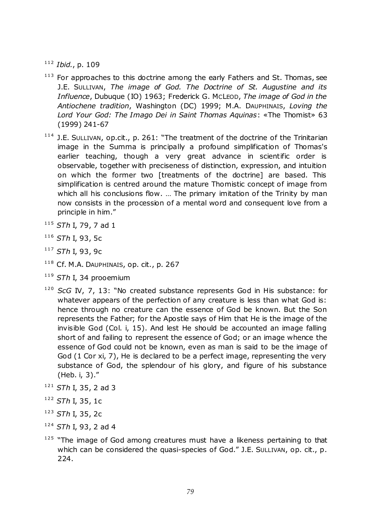<sup>112</sup> *Ibid.*, p. 109

- $113$  For approaches to this doctrine among the early Fathers and St. Thomas, see J.E. SULLIVAN, *The image of God. The Doctrine of St. Augustine and its Influence*, Dubuque (IO) 1963; Frederick G. MCLEOD, *The image of God in the Antiochene tradition*, Washington (DC) 1999; M.A. DAUPHINAIS, *Loving the Lord Your God: The Imago Dei in Saint Thomas Aquinas*: «The Thomist» 63 (1999) 241-67
- $114$  J.E. SULLIVAN, op.cit., p. 261: "The treatment of the doctrine of the Trinitarian image in the Summa is principally a profound simplification of Thomas's earlier teaching, though a very great advance in scientific order is observable, together with preciseness of distinction, expression, and intuition on which the former two [treatments of the doctrine] are based. This simplification is centred around the mature Thomistic concept of image from which all his conclusions flow. ... The primary imitation of the Trinity by man now consists in the procession of a mental word and consequent love from a principle in him."
- <sup>115</sup> *STh* I, 79, 7 ad 1
- <sup>116</sup> *STh* I, 93, 5c
- <sup>117</sup> *STh* I, 93, 9c
- <sup>118</sup> Cf. M.A. DAUPHINAIS, op. cit., p. 267
- <sup>119</sup> *STh* I, 34 prooemium
- <sup>120</sup> *ScG* IV, 7, 13: "No created substance represents God in His substance: for whatever appears of the perfection of any creature is less than what God is: hence through no creature can the essence of God be known. But the Son represents the Father; for the Apostle says of Him that He is the image of the invisible God (Col. i, 15). And lest He should be accounted an image falling short of and failing to represent the essence of God; or an image whence the essence of God could not be known, even as man is said to be the image of God (1 Cor xi, 7), He is declared to be a perfect image, representing the very substance of God, the splendour of his glory, and figure of his substance (Heb. i, 3)."
- <sup>121</sup> *STh* I, 35, 2 ad 3
- <sup>122</sup> *STh* I, 35, 1c
- <sup>123</sup> *STh* I, 35, 2c
- <sup>124</sup> *STh* I, 93, 2 ad 4
- $125$  "The image of God among creatures must have a likeness pertaining to that which can be considered the quasi-species of God." J.E. SULLIVAN, op. cit., p. 224.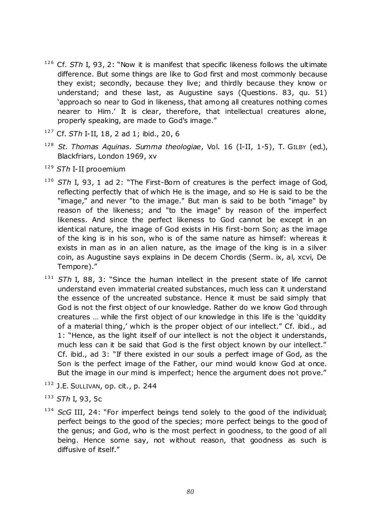- <sup>126</sup> Cf. *STh* I, 93, 2: "Now it is manifest that specific likeness follows the ultimate difference. But some things are like to God first and most commonly because they exist; secondly, because they live; and thirdly because they know or understand; and these last, as Augustine says (Questions. 83, qu. 51) 'approach so near to God in likeness, that among all creatures nothing comes nearer to Him.' It is clear, therefore, that intellectual creatures alone, properly speaking, are made to God's image."
- <sup>127</sup> Cf. *STh* I-II, 18, 2 ad 1; ibid., 20, 6
- <sup>128</sup> *St. Thomas Aquinas. Summa theologiae*, Vol. 16 (I-II, 1-5), T. GILBY (ed.), Blackfriars, London 1969, xv
- <sup>129</sup> *STh* I-II prooemium
- <sup>130</sup> *STh* I, 93, 1 ad 2: "The First-Born of creatures is the perfect image of God, reflecting perfectly that of which He is the image, and so He is said to be the "image," and never "to the image." But man is said to be both "image" by reason of the likeness; and "to the image" by reason of the imperfect likeness. And since the perfect likeness to God cannot be except in an identical nature, the image of God exists in His first-born Son; as the image of the king is in his son, who is of the same nature as himself: whereas it exists in man as in an alien nature, as the image of the king is in a silver coin, as Augustine says explains in De decem Chordis (Serm. ix, al, xcvi, De Tempore)."
- 131 STh I, 88, 3: "Since the human intellect in the present state of life cannot understand even immaterial created substances, much less can it understand the essence of the uncreated substance. Hence it must be said simply that God is not the first object of our knowledge. Rather do we know God through creatures ... while the first object of our knowledge in this life is the 'quiddity of a material thing,' which is the proper object of our intellect." Cf. ibid., ad 1: "Hence, as the light itself of our intellect is not the object it understands, much less can it be said that God is the first object known by our intellect." Cf. ibid., ad 3: "If there existed in our souls a perfect image of God, as the Son is the perfect image of the Father, our mind would know God at once. But the image in our mind is imperfect; hence the argument does not prove."
- 132 J.E. SULLIVAN, op. cit., p. 244
- <sup>133</sup> *STh* I, 93, 5c
- <sup>134</sup> *ScG* III, 24: "For imperfect beings tend solely to the good of the individual; perfect beings to the good of the species; more perfect beings to the good of the genus; and God, who is the most perfect in goodness, to the good of all being. Hence some say, not without reason, that goodness as such is diffusive of itself."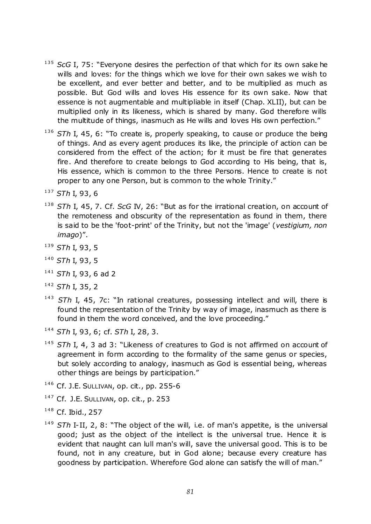- <sup>135</sup> *ScG* I, 75: "Everyone desires the perfection of that which for its own sake he wills and loves: for the things which we love for their own sakes we wish to be excellent, and ever better and better, and to be multiplied as much as possible. But God wills and loves His essence for its own sake. Now that essence is not augmentable and multipliable in itself (Chap. XLII), but can be multiplied only in its likeness, which is shared by many. God therefore wills the multitude of things, inasmuch as He wills and loves His own perfection."
- 136 STh I, 45, 6: "To create is, properly speaking, to cause or produce the being of things. And as every agent produces its like, the principle of action can be considered from the effect of the action; for it must be fire that generates fire. And therefore to create belongs to God according to His being, that is, His essence, which is common to the three Persons. Hence to create is not proper to any one Person, but is common to the whole Trinity."

- <sup>138</sup> *STh I, 45, 7. Cf. ScG IV, 26:* "But as for the irrational creation, on account of the remoteness and obscurity of the representation as found in them, there is said to be the 'foot-print' of the Trinity, but not the 'image' (*vestigium, non imago*)".
- <sup>139</sup> *STh* I, 93, 5
- <sup>140</sup> *STh* I, 93, 5
- <sup>141</sup> *STh* I, 93, 6 ad 2
- <sup>142</sup> *STh* I, 35, 2
- <sup>143</sup> STh I, 45, 7c: "In rational creatures, possessing intellect and will, there is found the representation of the Trinity by way of image, inasmuch as there is found in them the word conceived, and the love proceeding."
- <sup>144</sup> *STh* I, 93, 6; cf. *STh* I, 28, 3.
- <sup>145</sup> STh I, 4, 3 ad 3: "Likeness of creatures to God is not affirmed on account of agreement in form according to the formality of the same genus or species, but solely according to analogy, inasmuch as God is essential being, whereas other things are beings by participation."
- <sup>146</sup> Cf. J.E. SULLIVAN, op. cit., pp. 255-6
- $147$  Cf. J.E. SULLIVAN, op. cit., p. 253
- <sup>148</sup> Cf. Ibid., 257
- <sup>149</sup> *STh* I-II, 2, 8: "The object of the will, i.e. of man's appetite, is the universal good; just as the object of the intellect is the universal true. Hence it is evident that naught can lull man's will, save the universal good. This is to be found, not in any creature, but in God alone; because every creature has goodness by participation. Wherefore God alone can satisfy the will of man."

<sup>137</sup> *STh* I, 93, 6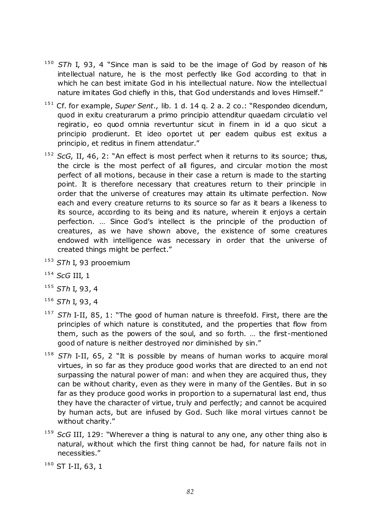- <sup>150</sup> STh I, 93, 4 "Since man is said to be the image of God by reason of his intellectual nature, he is the most perfectly like God according to that in which he can best imitate God in his intellectual nature. Now the intellectual nature imitates God chiefly in this, that God understands and loves Himself."
- <sup>151</sup> Cf. for example, *Super Sent.*, lib. 1 d. 14 q. 2 a. 2 co.: "Respondeo dicendum, quod in exitu creaturarum a primo principio attenditur quaedam circulatio vel regiratio, eo quod omnia revertuntur sicut in finem in id a quo sicut a principio prodierunt. Et ideo oportet ut per eadem quibus est exitus a principio, et reditus in finem attendatur."
- <sup>152</sup> *ScG*, II, 46, 2: "An effect is most perfect when it returns to its source; thus, the circle is the most perfect of all figures, and circular motion the most perfect of all motions, because in their case a return is made to the starting point. It is therefore necessary that creatures return to their principle in order that the universe of creatures may attain its ultimate perfection. Now each and every creature returns to its source so far as it bears a likeness to its source, according to its being and its nature, wherein it enjoys a certain perfection. … Since God's intellect is the principle of the production of creatures, as we have shown above, the existence of some creatures endowed with intelligence was necessary in order that the universe of created things might be perfect."
- <sup>153</sup> *STh* I, 93 prooemium
- <sup>154</sup> *ScG* III, 1
- <sup>155</sup> *STh* I, 93, 4
- <sup>156</sup> *STh* I, 93, 4
- <sup>157</sup> STh I-II, 85, 1: "The good of human nature is threefold. First, there are the principles of which nature is constituted, and the properties that flow from them, such as the powers of the soul, and so forth. … the first-mentioned good of nature is neither destroyed nor diminished by sin."
- <sup>158</sup> STh I-II, 65, 2 "It is possible by means of human works to acquire moral virtues, in so far as they produce good works that are directed to an end not surpassing the natural power of man: and when they are acquired thus, they can be without charity, even as they were in many of the Gentiles. But in so far as they produce good works in proportion to a supernatural last end, thus they have the character of virtue, truly and perfectly; and cannot be acquired by human acts, but are infused by God. Such like moral virtues cannot be without charity."
- <sup>159</sup> *ScG* III, 129: "Wherever a thing is natural to any one, any other thing also is natural, without which the first thing cannot be had, for nature fails not in necessities.‖

<sup>160</sup> ST I-II, 63, 1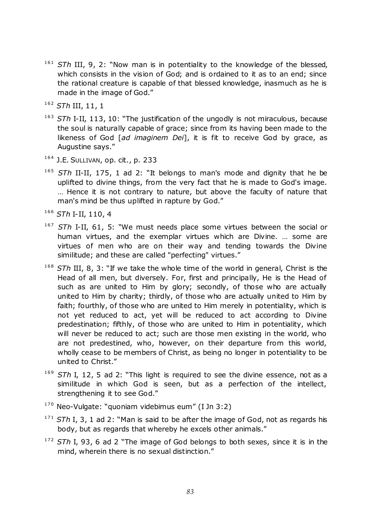- <sup>161</sup> STh III, 9, 2: "Now man is in potentiality to the knowledge of the blessed, which consists in the vision of God; and is ordained to it as to an end; since the rational creature is capable of that blessed knowledge, inasmuch as he is made in the image of God."
- <sup>162</sup> *STh* III, 11, 1
- <sup>163</sup> STh I-II, 113, 10: "The justification of the ungodly is not miraculous, because the soul is naturally capable of grace; since from its having been made to the likeness of God [*ad imaginem Dei*], it is fit to receive God by grace, as Augustine says."
- <sup>164</sup> J.E. SULLIVAN, op. cit., p. 233
- <sup>165</sup> STh II-II, 175, 1 ad 2: "It belongs to man's mode and dignity that he be uplifted to divine things, from the very fact that he is made to God's image. … Hence it is not contrary to nature, but above the faculty of nature that man's mind be thus uplifted in rapture by God."
- <sup>166</sup> *STh* I-II, 110, 4
- <sup>167</sup> STh I-II, 61, 5: "We must needs place some virtues between the social or human virtues, and the exemplar virtues which are Divine. … some are virtues of men who are on their way and tending towards the Divine similitude; and these are called "perfecting" virtues."
- <sup>168</sup> STh III, 8, 3: "If we take the whole time of the world in general, Christ is the Head of all men, but diversely. For, first and principally, He is the Head of such as are united to Him by glory; secondly, of those who are actually united to Him by charity; thirdly, of those who are actually united to Him by faith; fourthly, of those who are united to Him merely in potentiality, which is not yet reduced to act, yet will be reduced to act according to Divine predestination; fifthly, of those who are united to Him in potentiality, which will never be reduced to act; such are those men existing in the world, who are not predestined, who, however, on their departure from this world, wholly cease to be members of Christ, as being no longer in potentiality to be united to Christ."
- <sup>169</sup> STh I, 12, 5 ad 2: "This light is required to see the divine essence, not as a similitude in which God is seen, but as a perfection of the intellect, strengthening it to see God."
- $170$  Neo-Vulgate: "quoniam videbimus eum" (I Jn 3:2)
- $171$  *STh* I, 3, 1 ad 2: "Man is said to be after the image of God, not as regards his body, but as regards that whereby he excels other animals."
- <sup>172</sup> STh I, 93, 6 ad 2 "The image of God belongs to both sexes, since it is in the mind, wherein there is no sexual distinction."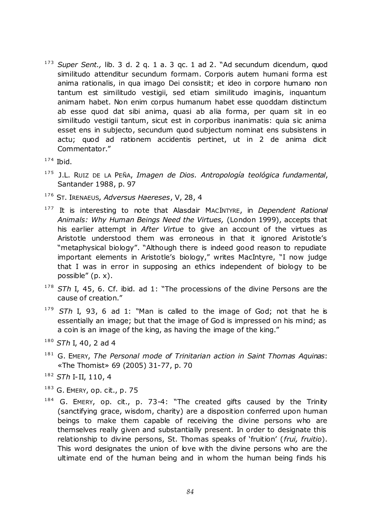<sup>173</sup> Super Sent., lib. 3 d. 2 q. 1 a. 3 qc. 1 ad 2. "Ad secundum dicendum, quod similitudo attenditur secundum formam. Corporis autem humani forma est anima rationalis, in qua imago Dei consistit; et ideo in corpore humano non tantum est similitudo vestigii, sed etiam similitudo imaginis, inquantum animam habet. Non enim corpus humanum habet esse quoddam distinctum ab esse quod dat sibi anima, quasi ab alia forma, per quam sit in eo similitudo vestigii tantum, sicut est in corporibus inanimatis: quia sic anima esset ens in subjecto, secundum quod subjectum nominat ens subsistens in actu; quod ad rationem accidentis pertinet, ut in 2 de anima dicit Commentator."

 $174$  Ibid.

- <sup>175</sup> J.L. RUIZ DE LA PEÑA, *Imagen de Dios. Antropología teológica fundamental*, Santander 1988, p. 97
- <sup>176</sup> ST. IRENAEUS*, Adversus Haereses*, V, 28, 4
- <sup>177</sup> It is interesting to note that Alasdair MACINTYRE, in *Dependent Rational Animals: Why Human Beings Need the Virtues,* (London 1999), accepts that his earlier attempt in *After Virtue* to give an account of the virtues as Aristotle understood them was erroneous in that it ignored Aristotle's "metaphysical biology". "Although there is indeed good reason to repudiate important elements in Aristotle's biology," writes MacIntyre, "I now judge that I was in error in supposing an ethics independent of biology to be possible"  $(p, x)$ .
- <sup>178</sup> STh I, 45, 6. Cf. ibid. ad 1: "The processions of the divine Persons are the cause of creation."
- <sup>179</sup> *STh* I, 93, 6 ad 1: "Man is called to the image of God; not that he is essentially an image; but that the image of God is impressed on his mind; as a coin is an image of the king, as having the image of the king."
- <sup>180</sup> *STh* I, 40, 2 ad 4
- <sup>181</sup> G. EMERY, *The Personal mode of Trinitarian action in Saint Thomas Aquinas*: «The Thomist» 69 (2005) 31-77, p. 70
- <sup>182</sup> *STh* I-II, 110, 4
- $183$  G. EMERY, op. cit., p. 75
- $184$  G. EMERY, op. cit., p. 73-4: "The created gifts caused by the Trinity (sanctifying grace, wisdom, charity) are a disposition conferred upon human beings to make them capable of receiving the divine persons who are themselves really given and substantially present. In order to designate this relationship to divine persons, St. Thomas speaks of 'fruition' (*frui, fruitio*). This word designates the union of love with the divine persons who are the ultimate end of the human being and in whom the human being finds his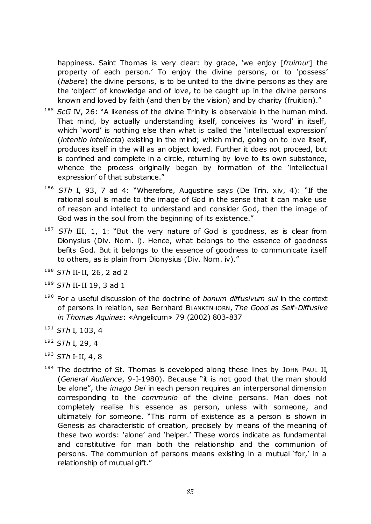happiness. Saint Thomas is very clear: by grace, 'we enjoy [fruimur] the property of each person.' To enjoy the divine persons, or to 'possess' (*habere*) the divine persons, is to be united to the divine persons as they are the 'object' of knowledge and of love, to be caught up in the divine persons known and loved by faith (and then by the vision) and by charity (fruition)."

- <sup>185</sup> *ScG* IV, 26: "A likeness of the divine Trinity is observable in the human mind. That mind, by actually understanding itself, conceives its 'word' in itself, which 'word' is nothing else than what is called the 'intellectual expression' (*intentio intellecta*) existing in the mind; which mind, going on to love itself, produces itself in the will as an object loved. Further it does not proceed, but is confined and complete in a circle, returning by love to its own substance, whence the process originally began by formation of the 'intellectual expression' of that substance."
- <sup>186</sup> *STh* I, 93, 7 ad 4: "Wherefore, Augustine says (De Trin. xiv, 4): "If the rational soul is made to the image of God in the sense that it can make use of reason and intellect to understand and consider God, then the image of God was in the soul from the beginning of its existence."
- <sup>187</sup> *STh* III, 1, 1: "But the very nature of God is goodness, as is clear from Dionysius (Div. Nom. i). Hence, what belongs to the essence of goodness befits God. But it belongs to the essence of goodness to communicate itself to others, as is plain from Dionysius (Div. Nom. iv)."
- <sup>188</sup> *STh* II-II, 26, 2 ad 2
- <sup>189</sup> *STh* II-II 19, 3 ad 1
- <sup>190</sup> For a useful discussion of the doctrine of *bonum diffusivum sui* in the context of persons in relation, see Bernhard BLANKENHORN, *The Good as Self-Diffusive in Thomas Aquinas*: «Angelicum» 79 (2002) 803-837
- <sup>191</sup> *STh* I, 103, 4
- <sup>192</sup> *STh* I, 29, 4
- <sup>193</sup> *STh* I-II, 4, 8
- $194$  The doctrine of St. Thomas is developed along these lines by JOHN PAUL II, (General Audience, 9-I-1980). Because "it is not good that the man should be alone", the *imago Dei* in each person requires an interpersonal dimension corresponding to the *communio* of the divine persons. Man does not completely realise his essence as person, unless with someone, and ultimately for someone. "This norm of existence as a person is shown in Genesis as characteristic of creation, precisely by means of the meaning of these two words: 'alone' and 'helper.' These words indicate as fundamental and constitutive for man both the relationship and the communion of persons. The communion of persons means existing in a mutual 'for,' in a relationship of mutual gift."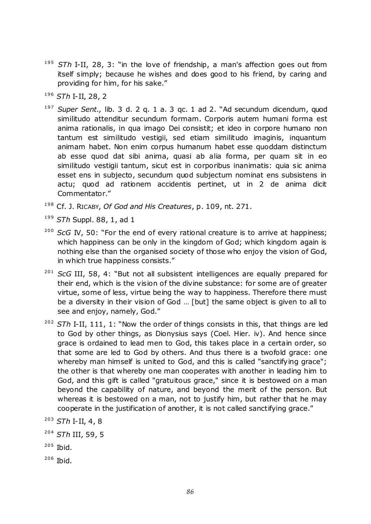- <sup>195</sup> STh I-II, 28, 3: "in the love of friendship, a man's affection goes out from itself simply; because he wishes and does good to his friend, by caring and providing for him, for his sake."
- <sup>196</sup> *STh* I-II, 28, 2
- <sup>197</sup> Super Sent., lib. 3 d. 2 q. 1 a. 3 qc. 1 ad 2. "Ad secundum dicendum, quod similitudo attenditur secundum formam. Corporis autem humani forma est anima rationalis, in qua imago Dei consistit; et ideo in corpore humano non tantum est similitudo vestigii, sed etiam similitudo imaginis, inquantum animam habet. Non enim corpus humanum habet esse quoddam distinctum ab esse quod dat sibi anima, quasi ab alia forma, per quam sit in eo similitudo vestigii tantum, sicut est in corporibus inanimatis: quia sic anima esset ens in subjecto, secundum quod subjectum nominat ens subsistens in actu; quod ad rationem accidentis pertinet, ut in 2 de anima dicit Commentator."
- <sup>198</sup> Cf. J. RICABY, *Of God and His Creatures*, p. 109, nt. 271.
- <sup>199</sup> *STh* Suppl. 88, 1, ad 1
- <sup>200</sup> *ScG* IV, 50: "For the end of every rational creature is to arrive at happiness; which happiness can be only in the kingdom of God; which kingdom again is nothing else than the organised society of those who enjoy the vision of God, in which true happiness consists."
- <sup>201</sup> *ScG* III, 58, 4: "But not all subsistent intelligences are equally prepared for their end, which is the vision of the divine substance: for some are of greater virtue, some of less, virtue being the way to happiness. Therefore there must be a diversity in their vision of God … [but] the same object is given to all to see and enjoy, namely, God."
- <sup>202</sup> STh I-II, 111, 1: "Now the order of things consists in this, that things are led to God by other things, as Dionysius says (Coel. Hier. iv). And hence since grace is ordained to lead men to God, this takes place in a certain order, so that some are led to God by others. And thus there is a twofold grace: one whereby man himself is united to God, and this is called "sanctifying grace"; the other is that whereby one man cooperates with another in leading him to God, and this gift is called "gratuitous grace," since it is bestowed on a man beyond the capability of nature, and beyond the merit of the person. But whereas it is bestowed on a man, not to justify him, but rather that he may cooperate in the justification of another, it is not called sanctifying grace."

 $205$  Ibid.

<sup>203</sup> *STh* I-II, 4, 8

<sup>204</sup> *STh* III, 59, 5

<sup>206</sup> Ibid.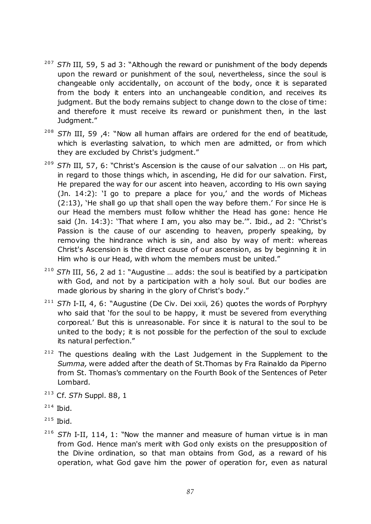- <sup>207</sup> STh III, 59, 5 ad 3: "Although the reward or punishment of the body depends upon the reward or punishment of the soul, nevertheless, since the soul is changeable only accidentally, on account of the body, once it is separated from the body it enters into an unchangeable condition, and receives its judgment. But the body remains subject to change down to the close of time: and therefore it must receive its reward or punishment then, in the last Judgment."
- <sup>208</sup> STh III, 59 ,4: "Now all human affairs are ordered for the end of beatitude, which is everlasting salvation, to which men are admitted, or from which they are excluded by Christ's judgment."
- <sup>209</sup> *STh III, 57, 6:* "Christ's Ascension is the cause of our salvation ... on His part, in regard to those things which, in ascending, He did for our salvation. First, He prepared the way for our ascent into heaven, according to His own saying (Jn.  $14:2$ ): 'I go to prepare a place for you,' and the words of Micheas  $(2:13)$ , 'He shall go up that shall open the way before them.' For since He is our Head the members must follow whither the Head has gone: hence He said (Jn.  $14:3$ ): 'That where I am, you also may be.'". Ibid., ad 2: "Christ's Passion is the cause of our ascending to heaven, properly speaking, by removing the hindrance which is sin, and also by way of merit: whereas Christ's Ascension is the direct cause of our ascension, as by beginning it in Him who is our Head, with whom the members must be united."
- <sup>210</sup> STh III, 56, 2 ad 1: "Augustine ... adds: the soul is beatified by a participation with God, and not by a participation with a holy soul. But our bodies are made glorious by sharing in the glory of Christ's body."
- <sup>211</sup> STh I-II, 4, 6: "Augustine (De Civ. Dei xxii, 26) quotes the words of Porphyry who said that 'for the soul to be happy, it must be severed from everything corporeal.' But this is unreasonable. For since it is natural to the soul to be united to the body; it is not possible for the perfection of the soul to exclude its natural perfection."
- $212$  The questions dealing with the Last Judgement in the Supplement to the *Summa,* were added after the death of St.Thomas by Fra Rainaldo da Piperno from St. Thomas's commentary on the Fourth Book of the Sentences of Peter Lombard.
- <sup>213</sup> Cf. *STh* Suppl. 88, 1

- $215$  Ibid.
- <sup>216</sup> STh I-II, 114, 1: "Now the manner and measure of human virtue is in man from God. Hence man's merit with God only exists on the presupposition of the Divine ordination, so that man obtains from God, as a reward of his operation, what God gave him the power of operation for, even as natural

 $214$  Ibid.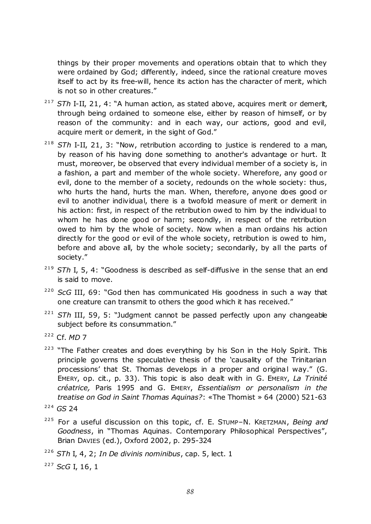things by their proper movements and operations obtain that to which they were ordained by God; differently, indeed, since the rational creature moves itself to act by its free-will, hence its action has the character of merit, which is not so in other creatures."

- <sup>217</sup> STh I-II, 21, 4: "A human action, as stated above, acquires merit or demerit, through being ordained to someone else, either by reason of himself, or by reason of the community: and in each way, our actions, good and evil, acquire merit or demerit, in the sight of God."
- <sup>218</sup> STh I-II, 21, 3: "Now, retribution according to justice is rendered to a man, by reason of his having done something to another's advantage or hurt. It must, moreover, be observed that every individual member of a society is, in a fashion, a part and member of the whole society. Wherefore, any good or evil, done to the member of a society, redounds on the whole society: thus, who hurts the hand, hurts the man. When, therefore, anyone does good or evil to another individual, there is a twofold measure of merit or demerit in his action: first, in respect of the retribution owed to him by the individual to whom he has done good or harm; secondly, in respect of the retribution owed to him by the whole of society. Now when a man ordains his action directly for the good or evil of the whole society, retribution is owed to him, before and above all, by the whole society; secondarily, by all the parts of society."
- <sup>219</sup> STh I, 5, 4: "Goodness is described as self-diffusive in the sense that an end is said to move.
- <sup>220</sup> *ScG III*, 69: "God then has communicated His goodness in such a way that one creature can transmit to others the good which it has received."
- <sup>221</sup> STh III, 59, 5: "Judgment cannot be passed perfectly upon any changeable subject before its consummation."
- <sup>222</sup> Cf. *MD* 7
- <sup>223</sup> "The Father creates and does everything by his Son in the Holy Spirit. This principle governs the speculative thesis of the 'causality of the Trinitarian processions' that St. Thomas develops in a proper and original way." (G. EMERY, op. cit., p. 33). This topic is also dealt with in G. EMERY, *La Trinité créatrice,* Paris 1995 and G. EMERY, *Essentialism or personalism in the treatise on God in Saint Thomas Aquinas?*: «The Thomist » 64 (2000) 521-63

- <sup>225</sup> For a useful discussion on this topic, cf. E. STUMP–N. KRETZMAN, *Being and*  Goodness, in "Thomas Aquinas. Contemporary Philosophical Perspectives", Brian DAVIES (ed.), Oxford 2002, p. 295-324
- <sup>226</sup> *STh* I, 4, 2; *In De divinis nominibus*, cap. 5, lect. 1
- <sup>227</sup> *ScG* I, 16, 1

<sup>224</sup> *GS* 24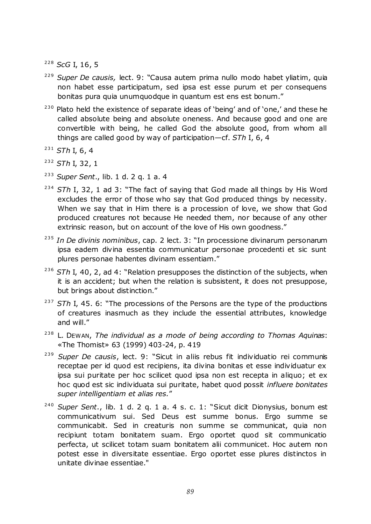<sup>228</sup> *ScG* I, 16, 5

- <sup>229</sup> Super De causis, lect. 9: "Causa autem prima nullo modo habet yliatim, quia non habet esse participatum, sed ipsa est esse purum et per consequens bonitas pura quia unumquodque in quantum est ens est bonum."
- $230$  Plato held the existence of separate ideas of 'being' and of 'one,' and these he called absolute being and absolute oneness. And because good and one are convertible with being, he called God the absolute good, from whom all things are called good by way of participation—cf. *STh* I, 6, 4
- <sup>231</sup> *STh* I, 6, 4

<sup>232</sup> *STh* I, 32, 1

- <sup>233</sup> *Super Sent*., lib. 1 d. 2 q. 1 a. 4
- <sup>234</sup> STh I, 32, 1 ad 3: "The fact of saying that God made all things by His Word excludes the error of those who say that God produced things by necessity. When we say that in Him there is a procession of love, we show that God produced creatures not because He needed them, nor because of any other extrinsic reason, but on account of the love of His own goodness."
- <sup>235</sup> In De divinis nominibus, cap. 2 lect. 3: "In processione divinarum personarum ipsa eadem divina essentia communicatur personae procedenti et sic sunt plures personae habentes divinam essentiam."
- <sup>236</sup> STh I, 40, 2, ad 4: "Relation presupposes the distinction of the subjects, when it is an accident; but when the relation is subsistent, it does not presuppose, but brings about distinction."
- <sup>237</sup> STh I, 45. 6: "The processions of the Persons are the type of the productions of creatures inasmuch as they include the essential attributes, knowledge and will."
- <sup>238</sup> L. DEWAN, *The individual as a mode of being according to Thomas Aquinas*: «The Thomist» 63 (1999) 403-24, p. 419
- <sup>239</sup> Super De causis, lect. 9: "Sicut in aliis rebus fit individuatio rei communis receptae per id quod est recipiens, ita divina bonitas et esse individuatur ex ipsa sui puritate per hoc scilicet quod ipsa non est recepta in aliquo; et ex hoc quod est sic individuata sui puritate, habet quod possit *influere bonitates super intelligentiam et alias res.*‖
- <sup>240</sup> Super Sent., lib. 1 d. 2 q. 1 a. 4 s. c. 1: "Sicut dicit Dionysius, bonum est communicativum sui. Sed Deus est summe bonus. Ergo summe se communicabit. Sed in creaturis non summe se communicat, quia non recipiunt totam bonitatem suam. Ergo oportet quod sit communicatio perfecta, ut scilicet totam suam bonitatem alii communicet. Hoc autem non potest esse in diversitate essentiae. Ergo oportet esse plures distinctos in unitate divinae essentiae."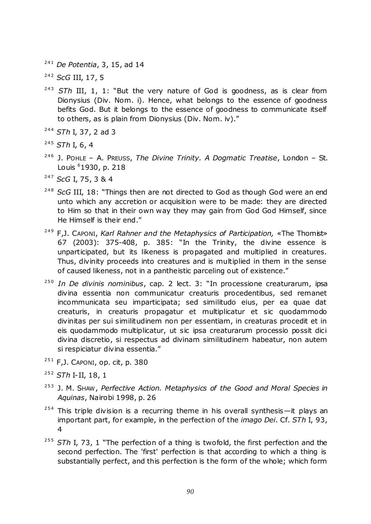<sup>241</sup> *De Potentia*, 3, 15, ad 14

<sup>242</sup> *ScG* III, 17, 5

- <sup>243</sup> STh III, 1, 1: "But the very nature of God is goodness, as is clear from Dionysius (Div. Nom. i). Hence, what belongs to the essence of goodness befits God. But it belongs to the essence of goodness to communicate itself to others, as is plain from Dionysius (Div. Nom. iv)."
- <sup>244</sup> *STh* I, 37, 2 ad 3
- <sup>245</sup> *STh* I, 6, 4
- <sup>246</sup> J. POHLE A. PREUSS, *The Divine Trinity. A Dogmatic Treatise*, London St. Louis <sup>6</sup>1930, p. 218
- <sup>247</sup> *ScG* I, 75, 3 & 4
- <sup>248</sup> *ScG* III, 18: "Things then are not directed to God as though God were an end unto which any accretion or acquisition were to be made: they are directed to Him so that in their own way they may gain from God God Himself, since He Himself is their end."
- <sup>249</sup> F,J. CAPONI, *Karl Rahner and the Metaphysics of Participation,* «The Thomist» 67 (2003): 375-408, p. 385: "In the Trinity, the divine essence is unparticipated, but its likeness is propagated and multiplied in creatures. Thus, divinity proceeds into creatures and is multiplied in them in the sense of caused likeness, not in a pantheistic parceling out of existence."
- <sup>250</sup> In De divinis nominibus, cap. 2 lect. 3: "In processione creaturarum, ipsa divina essentia non communicatur creaturis procedentibus, sed remanet incommunicata seu imparticipata; sed similitudo eius, per ea quae dat creaturis, in creaturis propagatur et multiplicatur et sic quodammodo divinitas per sui similitudinem non per essentiam, in creaturas procedit et in eis quodammodo multiplicatur, ut sic ipsa creaturarum processio possit dici divina discretio, si respectus ad divinam similitudinem habeatur, non autem si respiciatur divina essentia."
- $251$  F, J. CAPONI, op. cit, p. 380
- <sup>252</sup> *STh* I-II, 18, 1
- <sup>253</sup> J. M. SHAW, *Perfective Action. Metaphysics of the Good and Moral Species in Aquinas*, Nairobi 1998, p. 26
- $254$  This triple division is a recurring theme in his overall synthesis—it plays an important part, for example, in the perfection of the *imago Dei*. Cf. *STh* I, 93, 4
- <sup>255</sup> STh I, 73, 1 "The perfection of a thing is twofold, the first perfection and the second perfection. The 'first' perfection is that according to which a thing is substantially perfect, and this perfection is the form of the whole; which form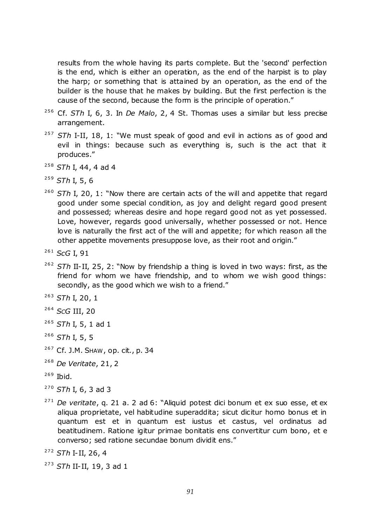results from the whole having its parts complete. But the 'second' perfection is the end, which is either an operation, as the end of the harpist is to play the harp; or something that is attained by an operation, as the end of the builder is the house that he makes by building. But the first perfection is the cause of the second, because the form is the principle of operation."

- <sup>256</sup> Cf. *STh* I, 6, 3. In *De Malo*, 2, 4 St. Thomas uses a similar but less precise arrangement.
- <sup>257</sup> STh I-II, 18, 1: "We must speak of good and evil in actions as of good and evil in things: because such as everything is, such is the act that it produces."
- <sup>258</sup> *STh* I, 44, 4 ad 4
- <sup>259</sup> *STh* I, 5, 6
- <sup>260</sup> STh I, 20, 1: "Now there are certain acts of the will and appetite that regard good under some special condition, as joy and delight regard good present and possessed; whereas desire and hope regard good not as yet possessed. Love, however, regards good universally, whether possessed or not. Hence love is naturally the first act of the will and appetite; for which reason all the other appetite movements presuppose love, as their root and origin."
- <sup>261</sup> *ScG* I, 91
- <sup>262</sup> *STh* II-II, 25, 2: "Now by friendship a thing is loved in two ways: first, as the friend for whom we have friendship, and to whom we wish good things: secondly, as the good which we wish to a friend."
- <sup>263</sup> *STh* I, 20, 1
- <sup>264</sup> *SCG* III, 20
- <sup>265</sup> *STh* I, 5, 1 ad 1
- <sup>266</sup> *STh* I, 5, 5
- <sup>267</sup> Cf. J.M. SHAW, op. cit*.*, p. 34
- <sup>268</sup> *De Veritate*, 21, 2
- $269$  Ibid.
- <sup>270</sup> *STh* I, 6, 3 ad 3
- <sup>271</sup> *De veritate*, q. 21 a. 2 ad 6: "Aliquid potest dici bonum et ex suo esse, et ex aliqua proprietate, vel habitudine superaddita; sicut dicitur homo bonus et in quantum est et in quantum est iustus et castus, vel ordinatus ad beatitudinem. Ratione igitur primae bonitatis ens convertitur cum bono, et e converso; sed ratione secundae bonum dividit ens."
- <sup>272</sup> *STh* I-II, 26, 4
- <sup>273</sup> *STh* II-II, 19, 3 ad 1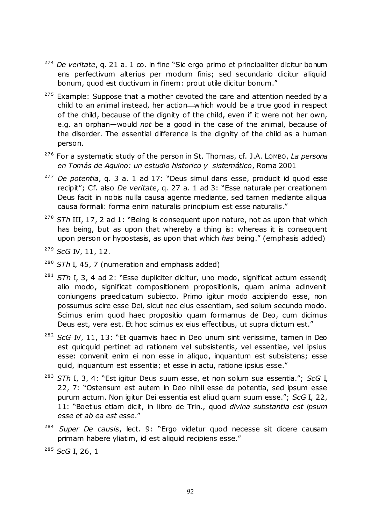- <sup>274</sup> *De veritate*, q. 21 a. 1 co. in fine "Sic ergo primo et principaliter dicitur bonum ens perfectivum alterius per modum finis; sed secundario dicitur aliquid bonum, quod est ductivum in finem: prout utile dicitur bonum."
- $275$  Example: Suppose that a mother devoted the care and attention needed by a child to an animal instead, her action—which would be a true good in respect of the child, because of the dignity of the child, even if it were not her own, e.g. an orphan—would *not* be a good in the case of the animal, because of the disorder. The essential difference is the dignity of the child as a human person.
- <sup>276</sup> For a systematic study of the person in St. Thomas, cf. J.A. LOMBO, *La persona en Tomás de Aquino: un estudio historico y sistemático*, Roma 2001
- <sup>277</sup> *De potentia*, q. 3 a. 1 ad 17: "Deus simul dans esse, producit id quod esse recipit"; Cf. also *De veritate*, g. 27 a. 1 ad 3: "Esse naturale per creationem Deus facit in nobis nulla causa agente mediante, sed tamen mediante aliqua causa formali: forma enim naturalis principium est esse naturalis."
- <sup>278</sup> STh III, 17, 2 ad 1: "Being is consequent upon nature, not as upon that which has being, but as upon that whereby a thing is: whereas it is consequent upon person or hypostasis, as upon that which *has* being.‖ (emphasis added)
- <sup>279</sup> *ScG* IV, 11, 12.
- <sup>280</sup> *STh* I, 45, 7 (numeration and emphasis added)
- <sup>281</sup> STh I, 3, 4 ad 2: "Esse dupliciter dicitur, uno modo, significat actum essendi; alio modo, significat compositionem propositionis, quam anima adinvenit coniungens praedicatum subiecto. Primo igitur modo accipiendo esse, non possumus scire esse Dei, sicut nec eius essentiam, sed solum secundo modo. Scimus enim quod haec propositio quam formamus de Deo, cum dicimus Deus est, vera est. Et hoc scimus ex eius effectibus, ut supra dictum est."
- <sup>282</sup> ScG IV, 11, 13: "Et quamvis haec in Deo unum sint verissime, tamen in Deo est quicquid pertinet ad rationem vel subsistentis, vel essentiae, vel ipsius esse: convenit enim ei non esse in aliquo, inquantum est subsistens; esse quid, inquantum est essentia; et esse in actu, ratione ipsius esse."
- <sup>283</sup> *STh* I, 3, 4: "Est igitur Deus suum esse, et non solum sua essentia."; *ScG* I, 22, 7: "Ostensum est autem in Deo nihil esse de potentia, sed ipsum esse purum actum. Non igitur Dei essentia est aliud quam suum esse.‖; *ScG* I, 22, 11: ―Boetius etiam dicit, in libro de Trin., quod *divina substantia est ipsum esse et ab ea est esse*.‖
- <sup>284</sup> Super De causis, lect. 9: "Ergo videtur quod necesse sit dicere causam primam habere yliatim, id est aliquid recipiens esse."

<sup>285</sup> *ScG* I, 26, 1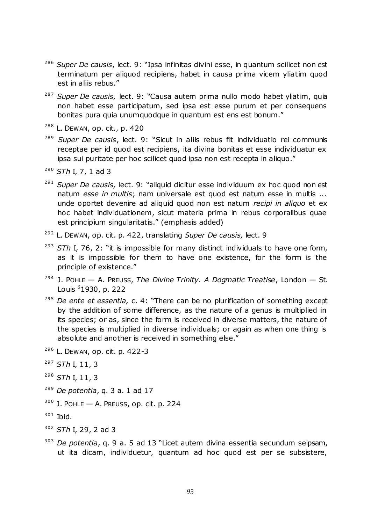- <sup>286</sup> Super De causis, lect. 9: "Ipsa infinitas divini esse, in quantum scilicet non est terminatum per aliquod recipiens, habet in causa prima vicem yliatim quod est in aliis rebus."
- <sup>287</sup> Super De causis, lect. 9: "Causa autem prima nullo modo habet yliatim, quia non habet esse participatum, sed ipsa est esse purum et per consequens bonitas pura quia unumquodque in quantum est ens est bonum."
- <sup>288</sup> L. DEWAN, op. cit*.*, p. 420
- <sup>289</sup> Super De causis, lect. 9: "Sicut in aliis rebus fit individuatio rei communis receptae per id quod est recipiens, ita divina bonitas et esse individuatur ex ipsa sui puritate per hoc scilicet quod ipsa non est recepta in aliquo."
- <sup>290</sup> *STh* I, 7, 1 ad 3
- <sup>291</sup> Super De causis, lect. 9: "aliquid dicitur esse individuum ex hoc quod non est natum *esse in multis*; nam universale est quod est natum esse in multis ... unde oportet devenire ad aliquid quod non est natum *recipi in aliquo* et ex hoc habet individuationem, sicut materia prima in rebus corporalibus quae est principium singularitatis." (emphasis added)
- <sup>292</sup> L. DEWAN, op. cit. p. 422, translating *Super De causis,* lect. 9
- <sup>293</sup> *STh I. 76, 2*: "it is impossible for many distinct individuals to have one form, as it is impossible for them to have one existence, for the form is the principle of existence."
- <sup>294</sup> J. POHLE A. PREUSS, *The Divine Trinity. A Dogmatic Treatise*, London St. Louis <sup>6</sup>1930, p. 222
- <sup>295</sup> *De ente et essentia,* c. 4: "There can be no plurification of something except by the addition of some difference, as the nature of a genus is multiplied in its species; or as, since the form is received in diverse matters, the nature of the species is multiplied in diverse individuals; or again as when one thing is absolute and another is received in something else."
- <sup>296</sup> L. DEWAN, op. cit. p. 422-3
- <sup>297</sup> *STh* I, 11, 3
- <sup>298</sup> *STh* I, 11, 3
- <sup>299</sup> *De potentia*, q. 3 a. 1 ad 17
- $300$  J. POHLE  $-$  A. PREUSS, op. cit. p. 224
- $301$  Ibid.
- <sup>302</sup> *STh* I, 29, 2 ad 3
- <sup>303</sup> *De potentia*, q. 9 a. 5 ad 13 "Licet autem divina essentia secundum seipsam, ut ita dicam, individuetur, quantum ad hoc quod est per se subsistere,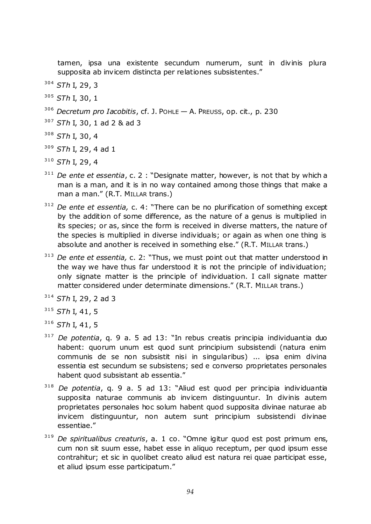tamen, ipsa una existente secundum numerum, sunt in divinis plura supposita ab invicem distincta per relationes subsistentes."

- <sup>304</sup> *STh* I, 29, 3
- <sup>305</sup> *STh* I, 30, 1
- <sup>306</sup> *Decretum pro Iacobitis*, cf. J. POHLE A. PREUSS, op. cit., p. 230
- <sup>307</sup> *STh* I, 30, 1 ad 2 & ad 3
- <sup>308</sup> *STh* I, 30, 4
- <sup>309</sup> *STh* I, 29, 4 ad 1
- <sup>310</sup> *STh* I, 29, 4
- <sup>311</sup> *De ente et essentia*, c. 2 : "Designate matter, however, is not that by which a man is a man, and it is in no way contained among those things that make a man a man." (R.T. MILLAR trans.)
- <sup>312</sup> *De ente et essentia,* c. 4: "There can be no plurification of something except by the addition of some difference, as the nature of a genus is multiplied in its species; or as, since the form is received in diverse matters, the nature of the species is multiplied in diverse individuals; or again as when one thing is absolute and another is received in something else." (R.T. MILLAR trans.)
- <sup>313</sup> *De ente et essentia,* c. 2: "Thus, we must point out that matter understood in the way we have thus far understood it is not the principle of individuation; only signate matter is the principle of individuation. I call signate matter matter considered under determinate dimensions." (R.T. MILLAR trans.)
- <sup>314</sup> *STh* I, 29, 2 ad 3
- <sup>315</sup> *STh* I, 41, 5
- <sup>316</sup> *STh* I, 41, 5
- <sup>317</sup> *De potentia*, q. 9 a. 5 ad 13: "In rebus creatis principia individuantia duo habent: quorum unum est quod sunt principium subsistendi (natura enim communis de se non subsistit nisi in singularibus) ... ipsa enim divina essentia est secundum se subsistens; sed e converso proprietates personales habent quod subsistant ab essentia."
- <sup>318</sup> *De potentia*, q. 9 a. 5 ad 13: "Aliud est quod per principia individuantia supposita naturae communis ab invicem distinguuntur. In divinis autem proprietates personales hoc solum habent quod supposita divinae naturae ab invicem distinguuntur, non autem sunt principium subsistendi divinae essentiae."
- <sup>319</sup> De spiritualibus creaturis, a. 1 co. "Omne igitur quod est post primum ens, cum non sit suum esse, habet esse in aliquo receptum, per quod ipsum esse contrahitur; et sic in quolibet creato aliud est natura rei quae participat esse, et aliud ipsum esse participatum."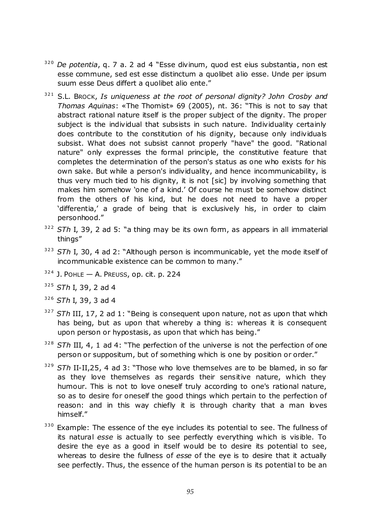- <sup>320</sup> *De potentia*, q. 7 a. 2 ad 4 "Esse divinum, quod est eius substantia, non est esse commune, sed est esse distinctum a quolibet alio esse. Unde per ipsum suum esse Deus differt a quolibet alio ente."
- <sup>321</sup> S.L. Brock, *Is uniqueness at the root of personal dignity? John Crosby and Thomas Aquinas*: «The Thomist» 69 (2005), nt. 36: ―This is not to say that abstract rational nature itself is the proper subject of the dignity. The proper subject is the individual that subsists in such nature. Individuality certainly does contribute to the constitution of his dignity, because only individuals subsist. What does not subsist cannot properly "have" the good. "Rational nature" only expresses the formal principle, the constitutive feature that completes the determination of the person's status as one who exists for his own sake. But while a person's individuality, and hence incommunicability, is thus very much tied to his dignity, it is not [sic] by involving something that makes him somehow 'one of a kind.' Of course he must be somehow distinct from the others of his kind, but he does not need to have a proper 'differentia,' a grade of being that is exclusively his, in order to claim personhood."
- 322 STh I, 39, 2 ad 5: "a thing may be its own form, as appears in all immaterial things"
- <sup>323</sup> STh I, 30, 4 ad 2: "Although person is incommunicable, yet the mode itself of incommunicable existence can be common to many."
- $324$  J. POHLE  $-$  A. PREUSS, op. cit. p. 224
- <sup>325</sup> *STh* I, 39, 2 ad 4
- <sup>326</sup> *STh* I, 39, 3 ad 4
- <sup>327</sup> STh III, 17, 2 ad 1: "Being is consequent upon nature, not as upon that which has being, but as upon that whereby a thing is: whereas it is consequent upon person or hypostasis, as upon that which has being."
- <sup>328</sup> STh III, 4, 1 ad 4: "The perfection of the universe is not the perfection of one person or suppositum, but of something which is one by position or order."
- <sup>329</sup> STh II-II,25, 4 ad 3: "Those who love themselves are to be blamed, in so far as they love themselves as regards their sensitive nature, which they humour. This is not to love oneself truly according to one's rational nature, so as to desire for oneself the good things which pertain to the perfection of reason: and in this way chiefly it is through charity that a man loves himself."
- 330 Example: The essence of the eye includes its potential to see. The fullness of its natural *esse* is actually to see perfectly everything which is visible. To desire the eye as a good in itself would be to desire its potential to see, whereas to desire the fullness of *esse* of the eye is to desire that it actually see perfectly. Thus, the essence of the human person is its potential to be an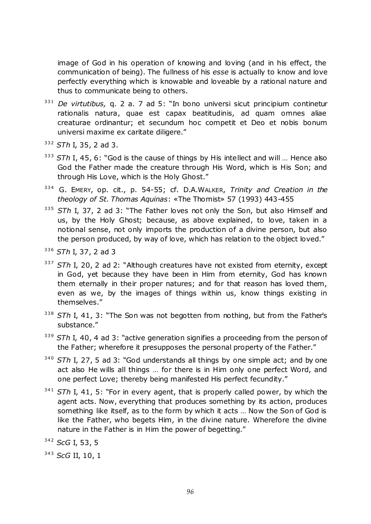image of God in his operation of knowing and loving (and in his effect, the communication of being). The fullness of his *esse* is actually to know and love perfectly everything which is knowable and loveable by a rational nature and thus to communicate being to others.

- <sup>331</sup> *De virtutibus,* q. 2 a. 7 ad 5: "In bono universi sicut principium continetur rationalis natura, quae est capax beatitudinis, ad quam omnes aliae creaturae ordinantur; et secundum hoc competit et Deo et nobis bonum universi maxime ex caritate diligere."
- <sup>332</sup> *STh* I, 35, 2 ad 3.
- <sup>333</sup> STh I, 45, 6: "God is the cause of things by His intellect and will ... Hence also God the Father made the creature through His Word, which is His Son; and through His Love, which is the Holy Ghost."
- <sup>334</sup> G. EMERY, op. cit., p. 54-55; cf. D.A.WALKER, *Trinity and Creation in the theology of St. Thomas Aquinas*: «The Thomist» 57 (1993) 443-455
- 335 STh I, 37, 2 ad 3: "The Father loves not only the Son, but also Himself and us, by the Holy Ghost; because, as above explained, to love, taken in a notional sense, not only imports the production of a divine person, but also the person produced, by way of love, which has relation to the object loved."
- <sup>336</sup> *STh* I, 37, 2 ad 3
- <sup>337</sup> STh I, 20, 2 ad 2: "Although creatures have not existed from eternity, except in God, yet because they have been in Him from eternity, God has known them eternally in their proper natures; and for that reason has loved them, even as we, by the images of things within us, know things existing in themselves."
- <sup>338</sup> STh I, 41, 3: "The Son was not begotten from nothing, but from the Father's substance."
- <sup>339</sup> STh I, 40, 4 ad 3: "active generation signifies a proceeding from the person of the Father; wherefore it presupposes the personal property of the Father."
- <sup>340</sup> STh I, 27, 5 ad 3: "God understands all things by one simple act; and by one act also He wills all things … for there is in Him only one perfect Word, and one perfect Love; thereby being manifested His perfect fecundity."
- <sup>341</sup> STh I, 41, 5: "For in every agent, that is properly called power, by which the agent acts. Now, everything that produces something by its action, produces something like itself, as to the form by which it acts … Now the Son of God is like the Father, who begets Him, in the divine nature. Wherefore the divine nature in the Father is in Him the power of begetting."
- <sup>342</sup> *ScG* I, 53, 5

<sup>343</sup> *ScG* II, 10, 1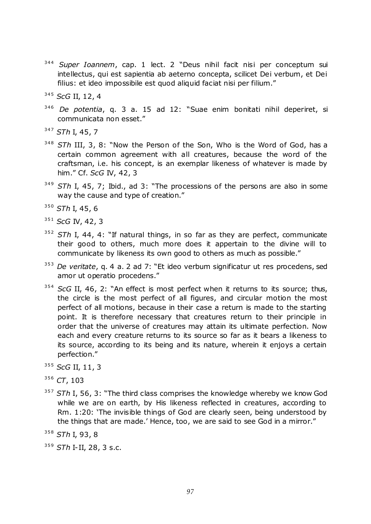- <sup>344</sup> Super Ioannem, cap. 1 lect. 2 "Deus nihil facit nisi per conceptum sui intellectus, qui est sapientia ab aeterno concepta, scilicet Dei verbum, et Dei filius: et ideo impossibile est quod aliquid faciat nisi per filium."
- <sup>345</sup> *ScG* II, 12, 4
- 346 *De potentia*, q. 3 a. 15 ad 12: "Suae enim bonitati nihil deperiret, si communicata non esset."
- <sup>347</sup> *STh* I, 45, 7
- <sup>348</sup> *STh* III, 3, 8: "Now the Person of the Son, Who is the Word of God, has a certain common agreement with all creatures, because the word of the craftsman, i.e. his concept, is an exemplar likeness of whatever is made by him.‖ Cf. *ScG* IV, 42, 3
- <sup>349</sup> *STh* I, 45, 7; Ibid., ad 3: "The processions of the persons are also in some way the cause and type of creation."
- <sup>350</sup> *STh* I, 45, 6
- <sup>351</sup> *ScG* IV, 42, 3
- <sup>352</sup> STh I, 44, 4: "If natural things, in so far as they are perfect, communicate their good to others, much more does it appertain to the divine will to communicate by likeness its own good to others as much as possible."
- <sup>353</sup> *De veritate*, q. 4 a. 2 ad 7: "Et ideo verbum significatur ut res procedens, sed amor ut operatio procedens."
- <sup>354</sup> *ScG* II, 46, 2: "An effect is most perfect when it returns to its source; thus, the circle is the most perfect of all figures, and circular motion the most perfect of all motions, because in their case a return is made to the starting point. It is therefore necessary that creatures return to their principle in order that the universe of creatures may attain its ultimate perfection. Now each and every creature returns to its source so far as it bears a likeness to its source, according to its being and its nature, wherein it enjoys a certain perfection."
- <sup>355</sup> *ScG* II, 11, 3

<sup>357</sup> STh I, 56, 3: "The third class comprises the knowledge whereby we know God while we are on earth, by His likeness reflected in creatures, according to Rm. 1:20: 'The invisible things of God are clearly seen, being understood by the things that are made.' Hence, too, we are said to see God in a mirror."

<sup>356</sup> *CT*, 103

<sup>358</sup> *STh* I, 93, 8

<sup>359</sup> *STh* I-II, 28, 3 s.c.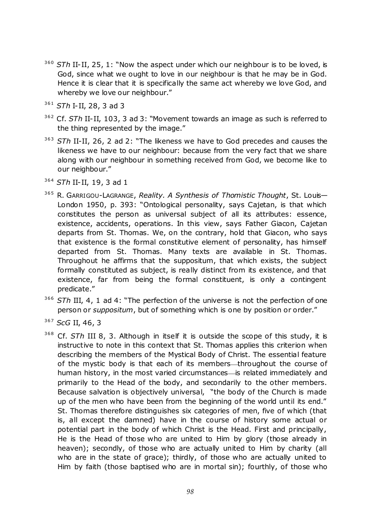- <sup>360</sup> STh II-II, 25, 1: "Now the aspect under which our neighbour is to be loved, is God, since what we ought to love in our neighbour is that he may be in God. Hence it is clear that it is specifically the same act whereby we love God, and whereby we love our neighbour."
- <sup>361</sup> *STh* I-II, 28, 3 ad 3
- <sup>362</sup> Cf. *STh* II-II, 103, 3 ad 3: "Movement towards an image as such is referred to the thing represented by the image."
- <sup>363</sup> STh II-II, 26, 2 ad 2: "The likeness we have to God precedes and causes the likeness we have to our neighbour: because from the very fact that we share along with our neighbour in something received from God, we become like to our neighbour."
- <sup>364</sup> *STh* II-II, 19, 3 ad 1
- <sup>365</sup> R. GARRIGOU-LAGRANGE, *Reality. A Synthesis of Thomistic Thought*, St. Louis— London 1950, p. 393: "Ontological personality, says Cajetan, is that which constitutes the person as universal subject of all its attributes: essence, existence, accidents, operations. In this view, says Father Giacon, Cajetan departs from St. Thomas. We, on the contrary, hold that Giacon, who says that existence is the formal constitutive element of personality, has himself departed from St. Thomas. Many texts are available in St. Thomas. Throughout he affirms that the suppositum, that which exists, the subject formally constituted as subject, is really distinct from its existence, and that existence, far from being the formal constituent, is only a contingent predicate."
- <sup>366</sup> STh III, 4, 1 ad 4: "The perfection of the universe is not the perfection of one person or *suppositum*, but of something which is one by position or order."
- <sup>367</sup> *ScG* II, 46, 3
- <sup>368</sup> Cf. STh III 8, 3. Although in itself it is outside the scope of this study, it is instructive to note in this context that St. Thomas applies this criterion when describing the members of the Mystical Body of Christ. The essential feature of the mystic body is that each of its members—throughout the course of human history, in the most varied circumstances- is related immediately and primarily to the Head of the body, and secondarily to the other members. Because salvation is objectively universal, "the body of the Church is made up of the men who have been from the beginning of the world until its end." St. Thomas therefore distinguishes six categories of men, five of which (that is, all except the damned) have in the course of history some actual or potential part in the body of which Christ is the Head. First and principally, He is the Head of those who are united to Him by glory (those already in heaven); secondly, of those who are actually united to Him by charity (all who are in the state of grace); thirdly, of those who are actually united to Him by faith (those baptised who are in mortal sin); fourthly, of those who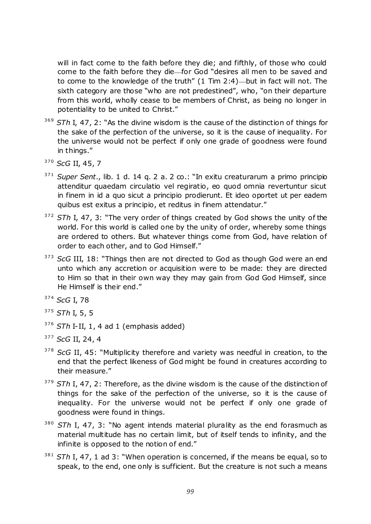will in fact come to the faith before they die; and fifthly, of those who could come to the faith before they die-for God "desires all men to be saved and to come to the knowledge of the truth"  $(1 \text{ Tim } 2:4)$ —but in fact will not. The sixth category are those "who are not predestined", who, "on their departure from this world, wholly cease to be members of Christ, as being no longer in potentiality to be united to Christ."

- <sup>369</sup> STh I, 47, 2: "As the divine wisdom is the cause of the distinction of things for the sake of the perfection of the universe, so it is the cause of inequality. For the universe would not be perfect if only one grade of goodness were found in things."
- <sup>370</sup> *ScG* II, 45, 7
- <sup>371</sup> Super Sent., lib. 1 d. 14 q. 2 a. 2 co.: "In exitu creaturarum a primo principio attenditur quaedam circulatio vel regiratio, eo quod omnia revertuntur sicut in finem in id a quo sicut a principio prodierunt. Et ideo oportet ut per eadem quibus est exitus a principio, et reditus in finem attendatur."
- <sup>372</sup> STh I, 47, 3: "The very order of things created by God shows the unity of the world. For this world is called one by the unity of order, whereby some things are ordered to others. But whatever things come from God, have relation of order to each other, and to God Himself."
- <sup>373</sup> ScG III, 18: "Things then are not directed to God as though God were an end unto which any accretion or acquisition were to be made: they are directed to Him so that in their own way they may gain from God God Himself, since He Himself is their end."
- <sup>374</sup> *ScG* I, 78
- <sup>375</sup> *STh* I, 5, 5
- <sup>376</sup> *STh* I-II, 1, 4 ad 1 (emphasis added)
- <sup>377</sup> *ScG* II, 24, 4
- <sup>378</sup> *ScG* II, 45: "Multiplicity therefore and variety was needful in creation, to the end that the perfect likeness of God might be found in creatures according to their measure."
- <sup>379</sup> STh I, 47, 2: Therefore, as the divine wisdom is the cause of the distinction of things for the sake of the perfection of the universe, so it is the cause of inequality. For the universe would not be perfect if only one grade of goodness were found in things.
- <sup>380</sup> STh I, 47, 3: "No agent intends material plurality as the end forasmuch as material multitude has no certain limit, but of itself tends to infinity, and the infinite is opposed to the notion of end."
- <sup>381</sup> STh I, 47, 1 ad 3: "When operation is concerned, if the means be equal, so to speak, to the end, one only is sufficient. But the creature is not such a means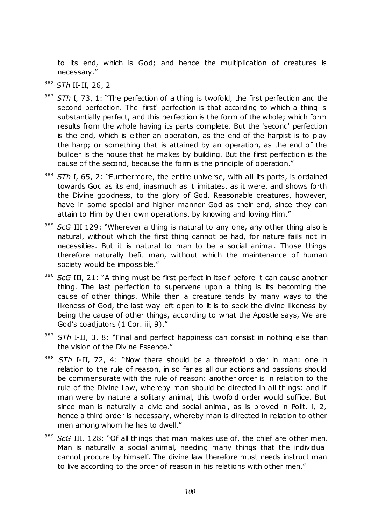to its end, which is God; and hence the multiplication of creatures is necessary."

- <sup>382</sup> *STh* II-II, 26, 2
- <sup>383</sup> STh I, 73, 1: "The perfection of a thing is twofold, the first perfection and the second perfection. The 'first' perfection is that according to which a thing is substantially perfect, and this perfection is the form of the whole; which form results from the whole having its parts complete. But the 'second' perfection is the end, which is either an operation, as the end of the harpist is to play the harp; or something that is attained by an operation, as the end of the builder is the house that he makes by building. But the first perfection is the cause of the second, because the form is the principle of operation."
- 384 *STh* I, 65, 2: "Furthermore, the entire universe, with all its parts, is ordained towards God as its end, inasmuch as it imitates, as it were, and shows forth the Divine goodness, to the glory of God. Reasonable creatures, however, have in some special and higher manner God as their end, since they can attain to Him by their own operations, by knowing and loving Him."
- <sup>385</sup> ScG III 129: "Wherever a thing is natural to any one, any other thing also is natural, without which the first thing cannot be had, for nature fails not in necessities. But it is natural to man to be a social animal. Those things therefore naturally befit man, without which the maintenance of human society would be impossible."
- <sup>386</sup> ScG III, 21: "A thing must be first perfect in itself before it can cause another thing. The last perfection to supervene upon a thing is its becoming the cause of other things. While then a creature tends by many ways to the likeness of God, the last way left open to it is to seek the divine likeness by being the cause of other things, according to what the Apostle says, We are God's coadjutors (1 Cor. iii, 9)."
- <sup>387</sup> STh I-II, 3, 8: "Final and perfect happiness can consist in nothing else than the vision of the Divine Essence."
- <sup>388</sup> STh I-II, 72, 4: "Now there should be a threefold order in man: one in relation to the rule of reason, in so far as all our actions and passions should be commensurate with the rule of reason: another order is in relation to the rule of the Divine Law, whereby man should be directed in all things: and if man were by nature a solitary animal, this twofold order would suffice. But since man is naturally a civic and social animal, as is proved in Polit. i, 2, hence a third order is necessary, whereby man is directed in relation to other men among whom he has to dwell."
- <sup>389</sup> *ScG* III, 128: "Of all things that man makes use of, the chief are other men. Man is naturally a social animal, needing many things that the individual cannot procure by himself. The divine law therefore must needs instruct man to live according to the order of reason in his relations with other men."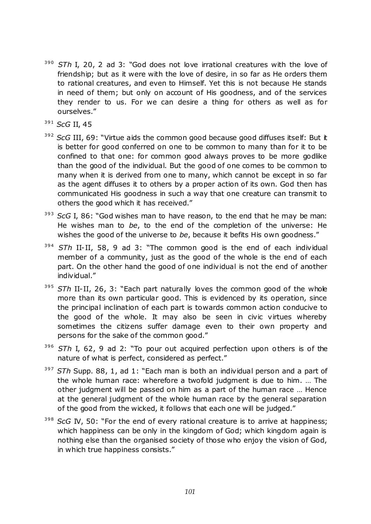- <sup>390</sup> STh I, 20, 2 ad 3: "God does not love irrational creatures with the love of friendship; but as it were with the love of desire, in so far as He orders them to rational creatures, and even to Himself. Yet this is not because He stands in need of them; but only on account of His goodness, and of the services they render to us. For we can desire a thing for others as well as for ourselves."
- <sup>391</sup> *ScG* II, 45
- <sup>392</sup> *ScG* III, 69: "Virtue aids the common good because good diffuses itself: But it is better for good conferred on one to be common to many than for it to be confined to that one: for common good always proves to be more godlike than the good of the individual. But the good of one comes to be common to many when it is derived from one to many, which cannot be except in so far as the agent diffuses it to others by a proper action of its own. God then has communicated His goodness in such a way that one creature can transmit to others the good which it has received."
- <sup>393</sup> *ScG* I, 86: "God wishes man to have reason, to the end that he may be man: He wishes man to *be*, to the end of the completion of the universe: He wishes the good of the universe to *be*, because it befits His own goodness."
- 394 *STh* II-II, 58, 9 ad 3: "The common good is the end of each individual member of a community, just as the good of the whole is the end of each part. On the other hand the good of one individual is not the end of another individual."
- <sup>395</sup> STh II-II, 26, 3: "Each part naturally loves the common good of the whole more than its own particular good. This is evidenced by its operation, since the principal inclination of each part is towards common action conducive to the good of the whole. It may also be seen in civic virtues whereby sometimes the citizens suffer damage even to their own property and persons for the sake of the common good."
- <sup>396</sup> STh I, 62, 9 ad 2: "To pour out acquired perfection upon others is of the nature of what is perfect, considered as perfect."
- <sup>397</sup> STh Supp. 88, 1, ad 1: "Each man is both an individual person and a part of the whole human race: wherefore a twofold judgment is due to him. … The other judgment will be passed on him as a part of the human race … Hence at the general judgment of the whole human race by the general separation of the good from the wicked, it follows that each one will be judged."
- <sup>398</sup> *ScG* IV, 50: "For the end of every rational creature is to arrive at happiness; which happiness can be only in the kingdom of God; which kingdom again is nothing else than the organised society of those who enjoy the vision of God, in which true happiness consists."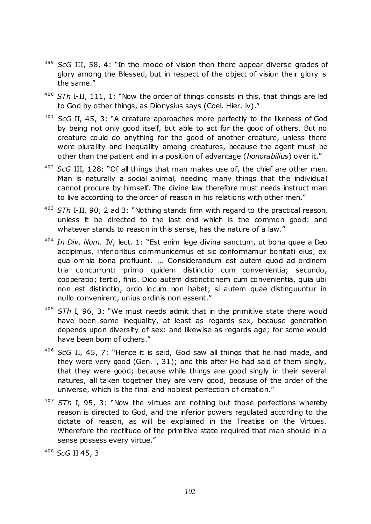- <sup>399</sup> *ScG* III, 58, 4: "In the mode of vision then there appear diverse grades of glory among the Blessed, but in respect of the object of vision their glory is the same."
- <sup>400</sup> STh I-II, 111, 1: "Now the order of things consists in this, that things are led to God by other things, as Dionysius says (Coel. Hier. iv)."
- <sup>401</sup> *ScG* II, 45, 3: "A creature approaches more perfectly to the likeness of God by being not only good itself, but able to act for the good of others. But no creature could do anything for the good of another creature, unless there were plurality and inequality among creatures, because the agent must be other than the patient and in a position of advantage (*honorabilius*) over it."
- <sup>402</sup> *ScG* III, 128: "Of all things that man makes use of, the chief are other men. Man is naturally a social animal, needing many things that the individual cannot procure by himself. The divine law therefore must needs instruct man to live according to the order of reason in his relations with other men."
- <sup>403</sup> STh I-II, 90, 2 ad 3: "Nothing stands firm with regard to the practical reason, unless it be directed to the last end which is the common good: and whatever stands to reason in this sense, has the nature of a law."
- <sup>404</sup> In Div. Nom. IV, lect. 1: "Est enim lege divina sanctum, ut bona quae a Deo accipimus, inferioribus communicemus et sic conformamur bonitati eius, ex qua omnia bona profluunt. ... Considerandum est autem quod ad ordinem tria concurrunt: primo quidem distinctio cum convenientia; secundo, cooperatio; tertio, finis. Dico autem distinctionem cum convenientia, quia ubi non est distinctio, ordo locum non habet; si autem quae distinguuntur in nullo convenirent, unius ordinis non essent."
- <sup>405</sup> STh I, 96, 3: "We must needs admit that in the primitive state there would have been some inequality, at least as regards sex, because generation depends upon diversity of sex: and likewise as regards age; for some would have been born of others."
- <sup>406</sup> *ScG* II, 45, 7: "Hence it is said, God saw all things that he had made, and they were very good (Gen. i, 31); and this after He had said of them singly, that they were good; because while things are good singly in their several natures, all taken together they are very good, because of the order of the universe, which is the final and noblest perfection of creation."
- <sup>407</sup> STh I, 95, 3: "Now the virtues are nothing but those perfections whereby reason is directed to God, and the inferior powers regulated according to the dictate of reason, as will be explained in the Treatise on the Virtues. Wherefore the rectitude of the primitive state required that man should in a sense possess every virtue."

<sup>408</sup> *ScG* II 45, 3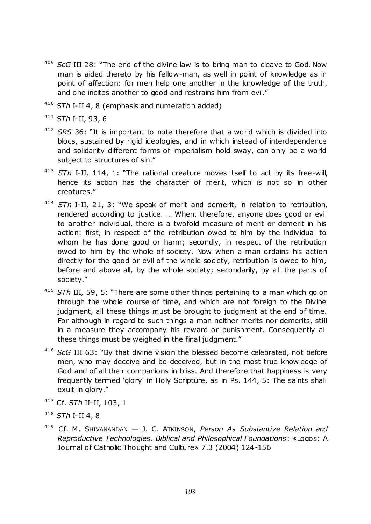- <sup>409</sup> *ScG* III 28: "The end of the divine law is to bring man to cleave to God. Now man is aided thereto by his fellow-man, as well in point of knowledge as in point of affection: for men help one another in the knowledge of the truth, and one incites another to good and restrains him from evil."
- <sup>410</sup> *STh* I-II 4, 8 (emphasis and numeration added)

<sup>411</sup> *STh* I-II, 93, 6

- <sup>412</sup> SRS 36: "It is important to note therefore that a world which is divided into blocs, sustained by rigid ideologies, and in which instead of interdependence and solidarity different forms of imperialism hold sway, can only be a world subject to structures of sin."
- <sup>413</sup> STh I-II, 114, 1: "The rational creature moves itself to act by its free-will, hence its action has the character of merit, which is not so in other creatures.‖
- <sup>414</sup> STh I-II, 21, 3: "We speak of merit and demerit, in relation to retribution, rendered according to justice. … When, therefore, anyone does good or evil to another individual, there is a twofold measure of merit or demerit in his action: first, in respect of the retribution owed to him by the individual to whom he has done good or harm; secondly, in respect of the retribution owed to him by the whole of society. Now when a man ordains his action directly for the good or evil of the whole society, retribution is owed to him, before and above all, by the whole society; secondarily, by all the parts of society."
- <sup>415</sup> STh III, 59, 5: "There are some other things pertaining to a man which go on through the whole course of time, and which are not foreign to the Divine judgment, all these things must be brought to judgment at the end of time. For although in regard to such things a man neither merits nor demerits, still in a measure they accompany his reward or punishment. Consequently all these things must be weighed in the final judgment."
- <sup>416</sup> *ScG* III 63: "By that divine vision the blessed become celebrated, not before men, who may deceive and be deceived, but in the most true knowledge of God and of all their companions in bliss. And therefore that happiness is very frequently termed 'glory' in Holy Scripture, as in Ps. 144, 5: The saints shall exult in glory."
- <sup>417</sup> Cf. *STh* II-II, 103, 1
- <sup>418</sup> *STh* I-II 4, 8
- <sup>419</sup> Cf. M. SHIVANANDAN J. C. ATKINSON, *Person As Substantive Relation and Reproductive Technologies. Biblical and Philosophical Foundations*: «Logos: A Journal of Catholic Thought and Culture» 7.3 (2004) 124-156